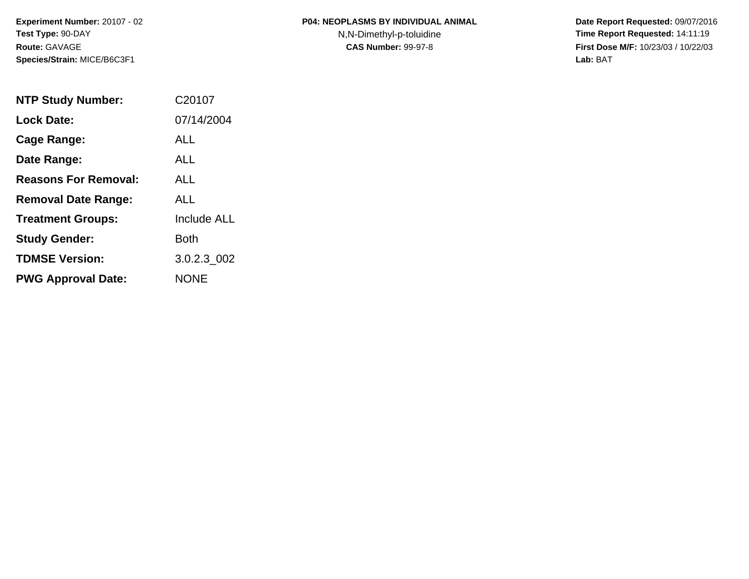N,N-Dimethyl-p-toluidine

| <b>NTP Study Number:</b>    | C <sub>20107</sub> |
|-----------------------------|--------------------|
| <b>Lock Date:</b>           | 07/14/2004         |
| Cage Range:                 | ALL                |
| Date Range:                 | ALL.               |
| <b>Reasons For Removal:</b> | ALL.               |
| <b>Removal Date Range:</b>  | ALL                |
| <b>Treatment Groups:</b>    | <b>Include ALL</b> |
| <b>Study Gender:</b>        | Both               |
| <b>TDMSE Version:</b>       | 3.0.2.3_002        |
| <b>PWG Approval Date:</b>   | <b>NONE</b>        |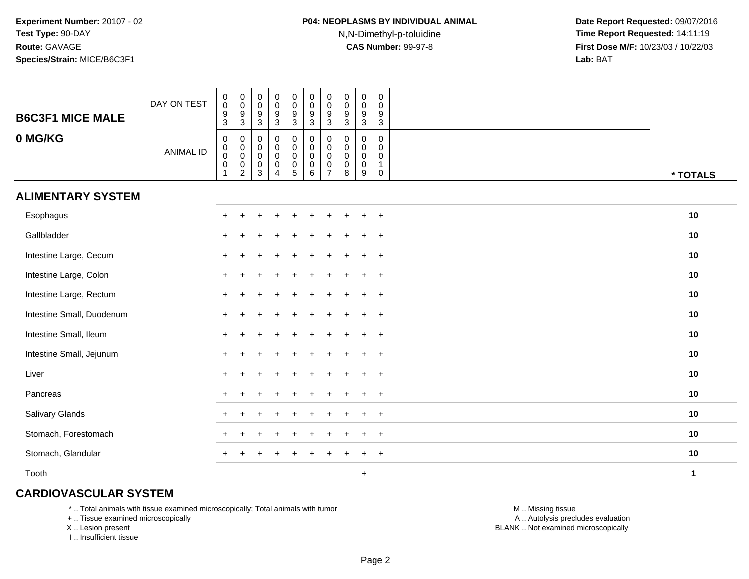### **P04: NEOPLASMS BY INDIVIDUAL ANIMAL**N,N-Dimethyl-p-toluidine

 **Date Report Requested:** 09/07/2016 **Time Report Requested:** 14:11:19 **First Dose M/F:** 10/23/03 / 10/22/03<br>**Lab:** BAT **Lab:** BAT

| <b>B6C3F1 MICE MALE</b>   | DAY ON TEST      | $_{\rm 0}^{\rm 0}$<br>$^9_3$                                                                    | $_{\rm 0}^{\rm 0}$<br>$\frac{9}{3}$                                         | $\pmb{0}$<br>$\mathbf 0$<br>9<br>$\overline{3}$ | $_{\rm 0}^{\rm 0}$<br>$\frac{9}{3}$                             | $_{\rm 0}^{\rm 0}$<br>$\frac{9}{3}$                         | $\begin{smallmatrix} 0\\0 \end{smallmatrix}$<br>$\frac{9}{3}$ | $\begin{smallmatrix} 0\\0 \end{smallmatrix}$<br>$\frac{9}{3}$                | $\pmb{0}$<br>$\mathbf 0$<br>$9\,$<br>$\overline{3}$ | $\pmb{0}$<br>$\mathbf 0$<br>$\boldsymbol{9}$<br>$\mathbf{3}$ | $\pmb{0}$<br>0<br>9<br>$\mathbf{3}$              |              |
|---------------------------|------------------|-------------------------------------------------------------------------------------------------|-----------------------------------------------------------------------------|-------------------------------------------------|-----------------------------------------------------------------|-------------------------------------------------------------|---------------------------------------------------------------|------------------------------------------------------------------------------|-----------------------------------------------------|--------------------------------------------------------------|--------------------------------------------------|--------------|
| 0 MG/KG                   | <b>ANIMAL ID</b> | $\boldsymbol{0}$<br>$\begin{smallmatrix} 0\\0 \end{smallmatrix}$<br>$\mathbf 0$<br>$\mathbf{1}$ | $\pmb{0}$<br>$\overline{0}$<br>$\begin{smallmatrix} 0\\2 \end{smallmatrix}$ | 0<br>$\mathbf 0$<br>$\pmb{0}$<br>$\pmb{0}$<br>3 | $\pmb{0}$<br>$\overline{0}$<br>0<br>$\pmb{0}$<br>$\overline{4}$ | $\mathsf{O}\xspace$<br>$\overline{0}$<br>0<br>$\frac{0}{5}$ | 0<br>$\overline{0}$<br>0<br>$0\over 6$                        | $\begin{smallmatrix}0\\0\\0\end{smallmatrix}$<br>$\pmb{0}$<br>$\overline{7}$ | 0<br>$\mathbf 0$<br>$\mathbf 0$<br>$\mathbf 0$<br>8 | $\pmb{0}$<br>$\mathbf 0$<br>$\mathbf 0$<br>$\mathbf 0$<br>9  | $\pmb{0}$<br>0<br>0<br>$\mathbf{1}$<br>$\pmb{0}$ | * TOTALS     |
| <b>ALIMENTARY SYSTEM</b>  |                  |                                                                                                 |                                                                             |                                                 |                                                                 |                                                             |                                                               |                                                                              |                                                     |                                                              |                                                  |              |
| Esophagus                 |                  |                                                                                                 |                                                                             |                                                 |                                                                 | $\ddot{}$                                                   | $\ddot{}$                                                     | $\ddot{}$                                                                    | +                                                   | $+$                                                          | $+$                                              | 10           |
| Gallbladder               |                  |                                                                                                 |                                                                             |                                                 |                                                                 |                                                             |                                                               |                                                                              |                                                     |                                                              | $\ddot{}$                                        | 10           |
| Intestine Large, Cecum    |                  | $+$                                                                                             |                                                                             |                                                 |                                                                 |                                                             |                                                               |                                                                              |                                                     |                                                              | $\ddot{}$                                        | 10           |
| Intestine Large, Colon    |                  | $\pm$                                                                                           |                                                                             |                                                 |                                                                 |                                                             |                                                               |                                                                              |                                                     |                                                              | $^{+}$                                           | 10           |
| Intestine Large, Rectum   |                  | $\ddot{}$                                                                                       |                                                                             |                                                 |                                                                 |                                                             |                                                               |                                                                              |                                                     |                                                              | $\ddot{}$                                        | 10           |
| Intestine Small, Duodenum |                  |                                                                                                 |                                                                             |                                                 |                                                                 |                                                             |                                                               |                                                                              |                                                     |                                                              | $\ddot{}$                                        | 10           |
| Intestine Small, Ileum    |                  |                                                                                                 |                                                                             |                                                 |                                                                 |                                                             |                                                               |                                                                              |                                                     |                                                              | $\ddot{}$                                        | 10           |
| Intestine Small, Jejunum  |                  |                                                                                                 |                                                                             |                                                 |                                                                 |                                                             |                                                               |                                                                              |                                                     |                                                              | $\ddot{}$                                        | 10           |
| Liver                     |                  |                                                                                                 |                                                                             |                                                 |                                                                 |                                                             | ÷                                                             |                                                                              |                                                     | $\pm$                                                        | $^{+}$                                           | 10           |
| Pancreas                  |                  | $\pm$                                                                                           |                                                                             |                                                 |                                                                 | $\div$                                                      | ÷                                                             |                                                                              |                                                     | $\pm$                                                        | $+$                                              | 10           |
| Salivary Glands           |                  | $+$                                                                                             |                                                                             |                                                 |                                                                 | $\overline{ }$                                              |                                                               |                                                                              |                                                     | $\pm$                                                        | $+$                                              | 10           |
| Stomach, Forestomach      |                  | $+$                                                                                             | $\ddot{}$                                                                   |                                                 |                                                                 | $\ddot{}$                                                   |                                                               |                                                                              |                                                     | $+$                                                          | $+$                                              | 10           |
| Stomach, Glandular        |                  | $\ddot{}$                                                                                       | $\ddot{}$                                                                   |                                                 |                                                                 |                                                             |                                                               |                                                                              |                                                     |                                                              | $\ddot{}$                                        | 10           |
| Tooth                     |                  |                                                                                                 |                                                                             |                                                 |                                                                 |                                                             |                                                               |                                                                              |                                                     | $\ddot{}$                                                    |                                                  | $\mathbf{1}$ |

#### **CARDIOVASCULAR SYSTEM**

\* .. Total animals with tissue examined microscopically; Total animals with tumor

+ .. Tissue examined microscopically

X .. Lesion present

I .. Insufficient tissue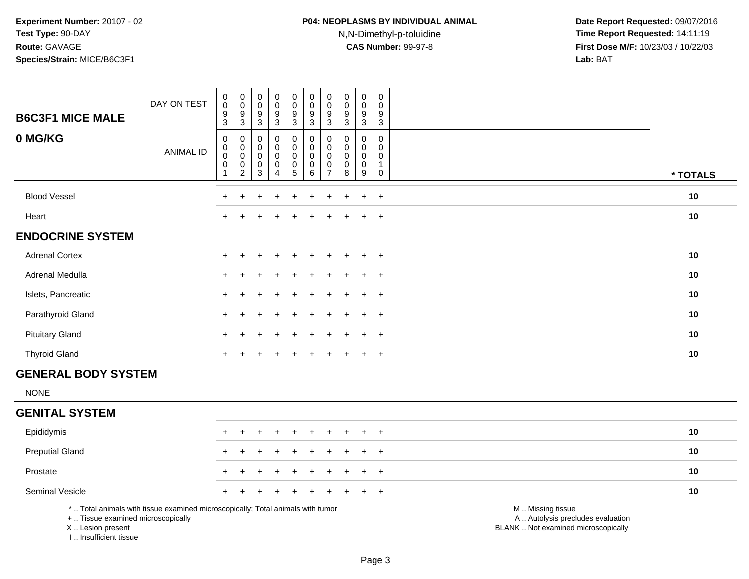## **P04: NEOPLASMS BY INDIVIDUAL ANIMAL**N,N-Dimethyl-p-toluidine

| <b>B6C3F1 MICE MALE</b>                                                          | DAY ON TEST                                                                     | $_{\rm 0}^{\rm 0}$<br>$\boldsymbol{9}$<br>$\mathbf{3}$ | $\begin{smallmatrix} 0\\0 \end{smallmatrix}$<br>$\boldsymbol{9}$<br>$\mathbf{3}$ | 0<br>0<br>9<br>$\mathbf{3}$              | $_{\rm 0}^{\rm 0}$<br>$\boldsymbol{9}$<br>$\mathsf 3$                | 0<br>$\mathbf 0$<br>$\boldsymbol{9}$<br>3                | $\mathbf 0$<br>$\ddot{\mathbf{0}}$<br>9<br>$\ensuremath{\mathsf{3}}$ | $\mathbf 0$<br>$\mathbf 0$<br>9<br>3                          | $\begin{smallmatrix}0\0\0\end{smallmatrix}$<br>$\boldsymbol{9}$<br>$\mathfrak{Z}$ | $\begin{smallmatrix}0\0\0\end{smallmatrix}$<br>$\boldsymbol{9}$<br>3 | $\mathsf{O}\xspace$<br>0<br>9<br>$\mathbf{3}$                 |                                                                                               |          |
|----------------------------------------------------------------------------------|---------------------------------------------------------------------------------|--------------------------------------------------------|----------------------------------------------------------------------------------|------------------------------------------|----------------------------------------------------------------------|----------------------------------------------------------|----------------------------------------------------------------------|---------------------------------------------------------------|-----------------------------------------------------------------------------------|----------------------------------------------------------------------|---------------------------------------------------------------|-----------------------------------------------------------------------------------------------|----------|
| 0 MG/KG                                                                          | <b>ANIMAL ID</b>                                                                | $\pmb{0}$<br>$\overline{0}$<br>$\mathbf 0$<br>1        | $\mathbf 0$<br>$\pmb{0}$<br>$\pmb{0}$<br>$\mathsf{O}\xspace$<br>$\overline{2}$   | $\mathbf{0}$<br>0<br>0<br>$\pmb{0}$<br>3 | $\mathbf 0$<br>$\pmb{0}$<br>$\pmb{0}$<br>$\pmb{0}$<br>$\overline{4}$ | 0<br>$\mathsf{O}\xspace$<br>$\pmb{0}$<br>0<br>$\sqrt{5}$ | $\pmb{0}$<br>$\mathbf 0$<br>$\mathbf 0$<br>$\pmb{0}$<br>$\,6\,$      | $\Omega$<br>0<br>$\mathbf 0$<br>$\mathbf 0$<br>$\overline{7}$ | $\mathbf 0$<br>$\mathbf 0$<br>0<br>$\pmb{0}$<br>8                                 | $\mathbf 0$<br>0<br>$\mathbf 0$<br>$\mathsf{O}\xspace$<br>9          | $\mathbf 0$<br>0<br>$\mathbf 0$<br>$\mathbf 1$<br>$\mathbf 0$ |                                                                                               | * TOTALS |
| <b>Blood Vessel</b>                                                              |                                                                                 |                                                        |                                                                                  |                                          |                                                                      |                                                          |                                                                      |                                                               |                                                                                   | $\ddot{}$                                                            | $+$                                                           |                                                                                               | 10       |
| Heart                                                                            |                                                                                 |                                                        |                                                                                  |                                          |                                                                      |                                                          |                                                                      |                                                               |                                                                                   | $\ddot{}$                                                            | $+$                                                           |                                                                                               | 10       |
| <b>ENDOCRINE SYSTEM</b>                                                          |                                                                                 |                                                        |                                                                                  |                                          |                                                                      |                                                          |                                                                      |                                                               |                                                                                   |                                                                      |                                                               |                                                                                               |          |
| <b>Adrenal Cortex</b>                                                            |                                                                                 |                                                        | $\pm$                                                                            |                                          |                                                                      |                                                          |                                                                      |                                                               |                                                                                   | $\overline{+}$                                                       | $+$                                                           |                                                                                               | 10       |
| Adrenal Medulla                                                                  |                                                                                 |                                                        | ÷                                                                                |                                          |                                                                      | $\div$                                                   |                                                                      |                                                               |                                                                                   | $\ddot{}$                                                            | $+$                                                           |                                                                                               | 10       |
| Islets, Pancreatic                                                               |                                                                                 |                                                        |                                                                                  |                                          |                                                                      |                                                          |                                                                      |                                                               |                                                                                   |                                                                      | $\ddot{}$                                                     |                                                                                               | 10       |
| Parathyroid Gland                                                                |                                                                                 |                                                        |                                                                                  |                                          |                                                                      |                                                          |                                                                      |                                                               |                                                                                   |                                                                      | $\ddot{}$                                                     |                                                                                               | 10       |
| <b>Pituitary Gland</b>                                                           |                                                                                 |                                                        |                                                                                  |                                          |                                                                      |                                                          |                                                                      |                                                               |                                                                                   | $\ddot{}$                                                            | $+$                                                           |                                                                                               | 10       |
| <b>Thyroid Gland</b>                                                             |                                                                                 |                                                        |                                                                                  |                                          |                                                                      |                                                          |                                                                      |                                                               |                                                                                   | $\overline{+}$                                                       | $+$                                                           |                                                                                               | 10       |
| <b>GENERAL BODY SYSTEM</b>                                                       |                                                                                 |                                                        |                                                                                  |                                          |                                                                      |                                                          |                                                                      |                                                               |                                                                                   |                                                                      |                                                               |                                                                                               |          |
| <b>NONE</b>                                                                      |                                                                                 |                                                        |                                                                                  |                                          |                                                                      |                                                          |                                                                      |                                                               |                                                                                   |                                                                      |                                                               |                                                                                               |          |
| <b>GENITAL SYSTEM</b>                                                            |                                                                                 |                                                        |                                                                                  |                                          |                                                                      |                                                          |                                                                      |                                                               |                                                                                   |                                                                      |                                                               |                                                                                               |          |
| Epididymis                                                                       |                                                                                 |                                                        | ÷                                                                                |                                          |                                                                      | $\div$                                                   |                                                                      |                                                               |                                                                                   | $\ddot{}$                                                            | $\ddot{}$                                                     |                                                                                               | 10       |
| <b>Preputial Gland</b>                                                           |                                                                                 |                                                        |                                                                                  |                                          |                                                                      |                                                          |                                                                      |                                                               |                                                                                   |                                                                      | $\ddot{}$                                                     |                                                                                               | 10       |
| Prostate                                                                         |                                                                                 |                                                        |                                                                                  |                                          |                                                                      |                                                          |                                                                      |                                                               |                                                                                   |                                                                      | $\ddot{}$                                                     |                                                                                               | 10       |
| Seminal Vesicle                                                                  |                                                                                 |                                                        |                                                                                  |                                          |                                                                      |                                                          |                                                                      |                                                               |                                                                                   |                                                                      | $+$                                                           |                                                                                               | 10       |
| +  Tissue examined microscopically<br>X  Lesion present<br>I Insufficient tissue | *  Total animals with tissue examined microscopically; Total animals with tumor |                                                        |                                                                                  |                                          |                                                                      |                                                          |                                                                      |                                                               |                                                                                   |                                                                      |                                                               | M  Missing tissue<br>A  Autolysis precludes evaluation<br>BLANK  Not examined microscopically |          |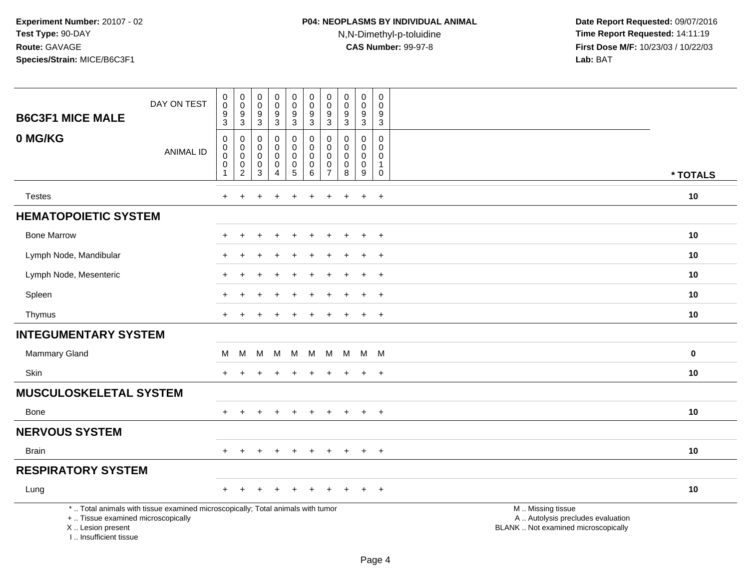## **P04: NEOPLASMS BY INDIVIDUAL ANIMAL**N,N-Dimethyl-p-toluidine

| <b>B6C3F1 MICE MALE</b>                                                            | DAY ON TEST                                                                     | $_{\rm 0}^{\rm 0}$<br>$\frac{9}{3}$                              | $_{\rm 0}^{\rm 0}$<br>$\frac{9}{3}$                                 | $\boldsymbol{0}$<br>$\ddot{\mathbf{0}}$<br>9<br>$\overline{3}$      | $_{\rm 0}^{\rm 0}$<br>$\boldsymbol{9}$<br>$\overline{3}$               | $\pmb{0}$<br>$\ddot{\mathbf{0}}$<br>$\frac{9}{3}$                      | $\pmb{0}$<br>$\ddot{\mathbf{0}}$<br>$\boldsymbol{9}$<br>$\overline{3}$ | $\mathbf 0$<br>$\ddot{\mathbf{0}}$<br>9<br>$\overline{3}$ | $\pmb{0}$<br>$\pmb{0}$<br>$\frac{9}{3}$ | $\begin{smallmatrix} 0\\0 \end{smallmatrix}$<br>$^9_3$                   | 0<br>$\mathbf 0$<br>$\boldsymbol{9}$<br>$\overline{3}$            |                                                                                               |  |
|------------------------------------------------------------------------------------|---------------------------------------------------------------------------------|------------------------------------------------------------------|---------------------------------------------------------------------|---------------------------------------------------------------------|------------------------------------------------------------------------|------------------------------------------------------------------------|------------------------------------------------------------------------|-----------------------------------------------------------|-----------------------------------------|--------------------------------------------------------------------------|-------------------------------------------------------------------|-----------------------------------------------------------------------------------------------|--|
| 0 MG/KG                                                                            | <b>ANIMAL ID</b>                                                                | $\pmb{0}$<br>$\pmb{0}$<br>$\pmb{0}$<br>$\pmb{0}$<br>$\mathbf{1}$ | $\pmb{0}$<br>$\pmb{0}$<br>$\mathsf{O}\xspace$<br>$^{\rm 0}_{\rm 2}$ | 0<br>$\mathbf 0$<br>$\mathbf 0$<br>$\boldsymbol{0}$<br>$\mathbf{3}$ | $\pmb{0}$<br>$\mathbf 0$<br>$\mathbf 0$<br>$\pmb{0}$<br>$\overline{4}$ | $\pmb{0}$<br>$\mathbf 0$<br>$\mathbf 0$<br>$\pmb{0}$<br>$\overline{5}$ | $\pmb{0}$<br>0<br>$\mathbf 0$<br>$\pmb{0}$<br>$\overline{6}$           | 0<br>$\mathbf 0$<br>$\mathbf 0$<br>0<br>$\overline{7}$    | 0<br>$\mathbf 0$<br>0<br>$\pmb{0}$<br>8 | $\mathbf 0$<br>$\mathbf 0$<br>$\mathbf 0$<br>$\pmb{0}$<br>$\overline{9}$ | $\pmb{0}$<br>$\Omega$<br>$\mathbf 0$<br>$\mathbf{1}$<br>$\pmb{0}$ | * TOTALS                                                                                      |  |
| <b>Testes</b>                                                                      |                                                                                 | $+$                                                              |                                                                     |                                                                     |                                                                        |                                                                        |                                                                        |                                                           |                                         | $\ddot{}$                                                                | $\ddot{}$                                                         | 10                                                                                            |  |
| <b>HEMATOPOIETIC SYSTEM</b>                                                        |                                                                                 |                                                                  |                                                                     |                                                                     |                                                                        |                                                                        |                                                                        |                                                           |                                         |                                                                          |                                                                   |                                                                                               |  |
| <b>Bone Marrow</b>                                                                 |                                                                                 | $+$                                                              | $\pm$                                                               | +                                                                   | $\div$                                                                 | $\overline{+}$                                                         | $\pm$                                                                  | $\ddot{}$                                                 | $\ddot{}$                               | $+$                                                                      | $+$                                                               | 10                                                                                            |  |
| Lymph Node, Mandibular                                                             |                                                                                 |                                                                  | $\pm$                                                               |                                                                     |                                                                        | $\ddot{}$                                                              |                                                                        |                                                           |                                         | $\div$                                                                   | $+$                                                               | 10                                                                                            |  |
| Lymph Node, Mesenteric                                                             |                                                                                 |                                                                  |                                                                     |                                                                     |                                                                        |                                                                        |                                                                        |                                                           |                                         | $\overline{ }$                                                           | $+$                                                               | 10                                                                                            |  |
| Spleen                                                                             |                                                                                 |                                                                  |                                                                     |                                                                     |                                                                        |                                                                        |                                                                        |                                                           |                                         |                                                                          | $\overline{+}$                                                    | 10                                                                                            |  |
| Thymus                                                                             |                                                                                 | $+$                                                              | $\div$                                                              |                                                                     |                                                                        |                                                                        |                                                                        |                                                           | +                                       | $\ddot{}$                                                                | $^{+}$                                                            | 10                                                                                            |  |
| <b>INTEGUMENTARY SYSTEM</b>                                                        |                                                                                 |                                                                  |                                                                     |                                                                     |                                                                        |                                                                        |                                                                        |                                                           |                                         |                                                                          |                                                                   |                                                                                               |  |
| Mammary Gland                                                                      |                                                                                 | M                                                                | M                                                                   | м                                                                   | M                                                                      | M                                                                      | M                                                                      | M                                                         | M                                       |                                                                          | M M                                                               | $\bf{0}$                                                                                      |  |
| <b>Skin</b>                                                                        |                                                                                 |                                                                  |                                                                     |                                                                     |                                                                        |                                                                        |                                                                        |                                                           |                                         |                                                                          | $\ddot{}$                                                         | 10                                                                                            |  |
| <b>MUSCULOSKELETAL SYSTEM</b>                                                      |                                                                                 |                                                                  |                                                                     |                                                                     |                                                                        |                                                                        |                                                                        |                                                           |                                         |                                                                          |                                                                   |                                                                                               |  |
| Bone                                                                               |                                                                                 | $+$                                                              | $\ddot{}$                                                           | $+$                                                                 | $\ddot{}$                                                              | $+$                                                                    | $\ddot{}$                                                              | $+$                                                       | $+$                                     | $+$                                                                      | $+$                                                               | 10                                                                                            |  |
| <b>NERVOUS SYSTEM</b>                                                              |                                                                                 |                                                                  |                                                                     |                                                                     |                                                                        |                                                                        |                                                                        |                                                           |                                         |                                                                          |                                                                   |                                                                                               |  |
| <b>Brain</b>                                                                       |                                                                                 | $+$                                                              | $\ddot{}$                                                           |                                                                     |                                                                        | $\ddot{}$                                                              | $\div$                                                                 | $\ddot{}$                                                 | $\pm$                                   | $\ddot{}$                                                                | $^{+}$                                                            | 10                                                                                            |  |
| <b>RESPIRATORY SYSTEM</b>                                                          |                                                                                 |                                                                  |                                                                     |                                                                     |                                                                        |                                                                        |                                                                        |                                                           |                                         |                                                                          |                                                                   |                                                                                               |  |
| Lung                                                                               |                                                                                 |                                                                  |                                                                     |                                                                     |                                                                        |                                                                        |                                                                        |                                                           |                                         |                                                                          | $\overline{+}$                                                    | 10                                                                                            |  |
| +  Tissue examined microscopically<br>X  Lesion present<br>L., Insufficient tissue | *  Total animals with tissue examined microscopically; Total animals with tumor |                                                                  |                                                                     |                                                                     |                                                                        |                                                                        |                                                                        |                                                           |                                         |                                                                          |                                                                   | M  Missing tissue<br>A  Autolysis precludes evaluation<br>BLANK  Not examined microscopically |  |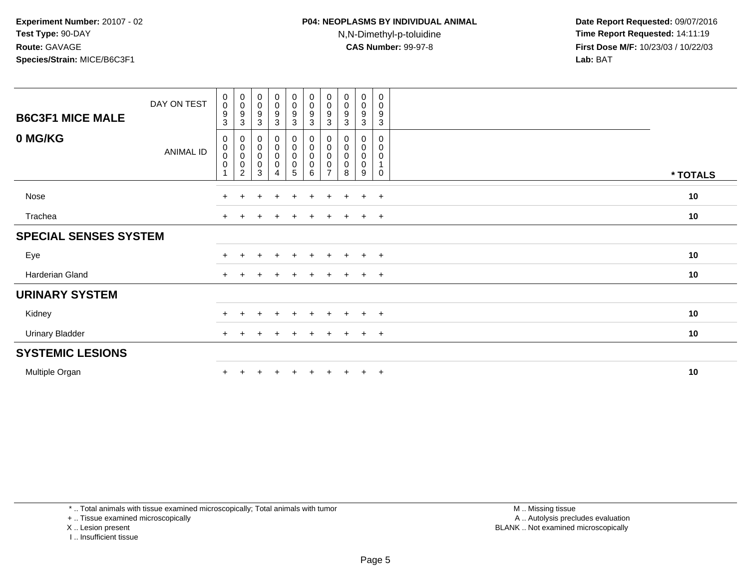### **P04: NEOPLASMS BY INDIVIDUAL ANIMAL**N,N-Dimethyl-p-toluidine

 **Date Report Requested:** 09/07/2016 **Time Report Requested:** 14:11:19 **First Dose M/F:** 10/23/03 / 10/22/03<br>**Lab:** BAT **Lab:** BAT

| <b>B6C3F1 MICE MALE</b>      | DAY ON TEST      | $\pmb{0}$<br>$\pmb{0}$<br>$\overline{9}$<br>$\sqrt{3}$ | $\begin{smallmatrix} 0\\0 \end{smallmatrix}$<br>$\boldsymbol{9}$<br>$\ensuremath{\mathsf{3}}$ | $_{\rm 0}^{\rm 0}$<br>$^9_3$            | $\begin{smallmatrix} 0\\0 \end{smallmatrix}$<br>$\frac{9}{3}$ | $\begin{matrix} 0 \\ 0 \\ 9 \\ 3 \end{matrix}$ | $\begin{smallmatrix}0\\0\end{smallmatrix}$<br>$\frac{9}{3}$   | $\begin{smallmatrix}0\0\0\end{smallmatrix}$<br>9<br>$\ensuremath{\mathsf{3}}$ | $_{\rm 0}^{\rm 0}$<br>9<br>3     | $_{\rm 0}^{\rm 0}$<br>$\boldsymbol{9}$<br>$\sqrt{3}$ | 0<br>$\mathsf{O}\xspace$<br>$\boldsymbol{9}$<br>$\mathsf 3$ |          |
|------------------------------|------------------|--------------------------------------------------------|-----------------------------------------------------------------------------------------------|-----------------------------------------|---------------------------------------------------------------|------------------------------------------------|---------------------------------------------------------------|-------------------------------------------------------------------------------|----------------------------------|------------------------------------------------------|-------------------------------------------------------------|----------|
| 0 MG/KG                      | <b>ANIMAL ID</b> | $\mathbf 0$<br>$_{\rm 0}^{\rm 0}$<br>$\pmb{0}$<br>1    | 0<br>$\,0\,$<br>$\mathbf 0$<br>$\pmb{0}$<br>$\overline{c}$                                    | 0<br>0<br>$\mathsf 0$<br>$\pmb{0}$<br>3 | $\mathbf 0$<br>$\mathbf 0$<br>$\pmb{0}$<br>$\pmb{0}$<br>4     | 0<br>0<br>0<br>5<br>5                          | $\boldsymbol{0}$<br>$\,0\,$<br>$\overline{0}$<br>0<br>$\,6\,$ | 0<br>0<br>$\mathbf 0$<br>$\pmb{0}$<br>$\overline{ }$                          | 0<br>$\pmb{0}$<br>$\pmb{0}$<br>8 | 0<br>0<br>$\pmb{0}$<br>$\pmb{0}$<br>9                | 0<br>0<br>$\pmb{0}$<br>1<br>$\mathbf 0$                     | * TOTALS |
| Nose                         |                  | $+$                                                    |                                                                                               | ÷                                       | $\div$                                                        | $\ddot{}$                                      | $\div$                                                        | $\div$                                                                        | $+$                              | $+$                                                  | $+$                                                         | 10       |
| Trachea                      |                  | $\pm$                                                  |                                                                                               |                                         |                                                               |                                                |                                                               |                                                                               |                                  | $+$                                                  | $+$                                                         | 10       |
| <b>SPECIAL SENSES SYSTEM</b> |                  |                                                        |                                                                                               |                                         |                                                               |                                                |                                                               |                                                                               |                                  |                                                      |                                                             |          |
| Eye                          |                  |                                                        |                                                                                               |                                         | $\div$                                                        | $\ddot{}$                                      | $\pm$                                                         | $\pm$                                                                         | $+$                              | $+$                                                  | $+$                                                         | 10       |
| Harderian Gland              |                  | $+$                                                    |                                                                                               |                                         | $\pm$                                                         | $\pm$                                          | $\ddot{}$                                                     | $\div$                                                                        | $\pm$                            | $+$                                                  | $+$                                                         | 10       |
| <b>URINARY SYSTEM</b>        |                  |                                                        |                                                                                               |                                         |                                                               |                                                |                                                               |                                                                               |                                  |                                                      |                                                             |          |
| Kidney                       |                  | $+$                                                    |                                                                                               |                                         | $\ddot{}$                                                     | $\div$                                         | $\pm$                                                         | ÷                                                                             |                                  | $+$                                                  | $+$                                                         | 10       |
| <b>Urinary Bladder</b>       |                  | $+$                                                    |                                                                                               |                                         |                                                               |                                                |                                                               |                                                                               |                                  | $+$                                                  | $+$                                                         | 10       |
| <b>SYSTEMIC LESIONS</b>      |                  |                                                        |                                                                                               |                                         |                                                               |                                                |                                                               |                                                                               |                                  |                                                      |                                                             |          |
| Multiple Organ               |                  |                                                        |                                                                                               |                                         | $\div$                                                        |                                                |                                                               |                                                                               |                                  | $+$                                                  | $+$                                                         | 10       |

\* .. Total animals with tissue examined microscopically; Total animals with tumor

+ .. Tissue examined microscopically

X .. Lesion present

I .. Insufficient tissue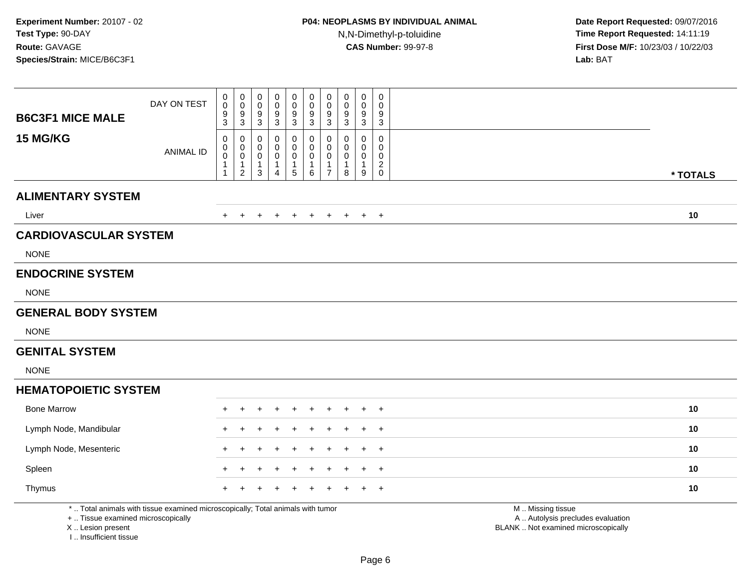| <b>B6C3F1 MICE MALE</b>                                 | DAY ON TEST                                                                     | 0<br>$\mathbf 0$<br>9<br>$\overline{3}$                        | $\pmb{0}$<br>$\ddot{\mathbf{0}}$<br>$\frac{9}{3}$                            | 0<br>$\mathsf 0$<br>$\frac{9}{3}$        | $\mathbf 0$<br>$\mathbf 0$<br>$\frac{9}{3}$               | 0<br>$\mathbf 0$<br>9<br>$\overline{3}$                       | $\pmb{0}$<br>$\pmb{0}$<br>$^9_3$                 | $\mathbf 0$<br>$\mathbf 0$<br>9<br>$\mathbf{3}$                   | $\mathbf 0$<br>$\mathsf{O}\xspace$<br>9<br>$\overline{3}$ | $\pmb{0}$<br>0<br>$\frac{9}{3}$  | $\pmb{0}$<br>$\mathbf 0$<br>9<br>3                               |                                                                                               |
|---------------------------------------------------------|---------------------------------------------------------------------------------|----------------------------------------------------------------|------------------------------------------------------------------------------|------------------------------------------|-----------------------------------------------------------|---------------------------------------------------------------|--------------------------------------------------|-------------------------------------------------------------------|-----------------------------------------------------------|----------------------------------|------------------------------------------------------------------|-----------------------------------------------------------------------------------------------|
| 15 MG/KG                                                | <b>ANIMAL ID</b>                                                                | $\mathbf 0$<br>0<br>$\mathbf 0$<br>$\mathbf{1}$<br>$\mathbf 1$ | $\mathbf 0$<br>$\mathsf{O}$<br>$\mathbf 0$<br>$\mathbf{1}$<br>$\overline{c}$ | $\mathbf 0$<br>0<br>0<br>1<br>$\sqrt{3}$ | $\mathbf 0$<br>0<br>0<br>$\overline{1}$<br>$\overline{4}$ | $\mathbf 0$<br>$\mathbf 0$<br>0<br>$\mathbf{1}$<br>$\sqrt{5}$ | 0<br>$\mathbf 0$<br>0<br>$\mathbf{1}$<br>$\,6\,$ | $\mathbf 0$<br>$\mathbf 0$<br>0<br>$\mathbf{1}$<br>$\overline{7}$ | $\mathbf 0$<br>$\mathbf 0$<br>0<br>1<br>8                 | 0<br>0<br>0<br>$\mathbf{1}$<br>9 | $\mathbf 0$<br>$\mathbf 0$<br>0<br>$\overline{c}$<br>$\mathbf 0$ | * TOTALS                                                                                      |
| <b>ALIMENTARY SYSTEM</b>                                |                                                                                 |                                                                |                                                                              |                                          |                                                           |                                                               |                                                  |                                                                   |                                                           |                                  |                                                                  |                                                                                               |
| Liver                                                   |                                                                                 | $+$                                                            | $+$                                                                          | $+$                                      | $\ddot{}$                                                 | $+$                                                           | $+$                                              | $+$                                                               | $+$                                                       |                                  | $+$ $+$                                                          | 10                                                                                            |
| <b>CARDIOVASCULAR SYSTEM</b>                            |                                                                                 |                                                                |                                                                              |                                          |                                                           |                                                               |                                                  |                                                                   |                                                           |                                  |                                                                  |                                                                                               |
| <b>NONE</b>                                             |                                                                                 |                                                                |                                                                              |                                          |                                                           |                                                               |                                                  |                                                                   |                                                           |                                  |                                                                  |                                                                                               |
| <b>ENDOCRINE SYSTEM</b>                                 |                                                                                 |                                                                |                                                                              |                                          |                                                           |                                                               |                                                  |                                                                   |                                                           |                                  |                                                                  |                                                                                               |
| <b>NONE</b>                                             |                                                                                 |                                                                |                                                                              |                                          |                                                           |                                                               |                                                  |                                                                   |                                                           |                                  |                                                                  |                                                                                               |
| <b>GENERAL BODY SYSTEM</b>                              |                                                                                 |                                                                |                                                                              |                                          |                                                           |                                                               |                                                  |                                                                   |                                                           |                                  |                                                                  |                                                                                               |
| <b>NONE</b>                                             |                                                                                 |                                                                |                                                                              |                                          |                                                           |                                                               |                                                  |                                                                   |                                                           |                                  |                                                                  |                                                                                               |
| <b>GENITAL SYSTEM</b>                                   |                                                                                 |                                                                |                                                                              |                                          |                                                           |                                                               |                                                  |                                                                   |                                                           |                                  |                                                                  |                                                                                               |
| <b>NONE</b>                                             |                                                                                 |                                                                |                                                                              |                                          |                                                           |                                                               |                                                  |                                                                   |                                                           |                                  |                                                                  |                                                                                               |
| <b>HEMATOPOIETIC SYSTEM</b>                             |                                                                                 |                                                                |                                                                              |                                          |                                                           |                                                               |                                                  |                                                                   |                                                           |                                  |                                                                  |                                                                                               |
| <b>Bone Marrow</b>                                      |                                                                                 |                                                                |                                                                              |                                          |                                                           |                                                               |                                                  |                                                                   |                                                           |                                  | $\overline{1}$                                                   | 10                                                                                            |
| Lymph Node, Mandibular                                  |                                                                                 |                                                                |                                                                              |                                          |                                                           |                                                               |                                                  |                                                                   |                                                           |                                  | $\overline{1}$                                                   | 10                                                                                            |
| Lymph Node, Mesenteric                                  |                                                                                 |                                                                |                                                                              |                                          |                                                           |                                                               |                                                  |                                                                   |                                                           |                                  | $\overline{+}$                                                   | 10                                                                                            |
| Spleen                                                  |                                                                                 |                                                                |                                                                              |                                          |                                                           |                                                               |                                                  |                                                                   |                                                           |                                  | $\overline{1}$                                                   | 10                                                                                            |
| Thymus                                                  |                                                                                 |                                                                |                                                                              |                                          |                                                           |                                                               |                                                  |                                                                   |                                                           |                                  | $\pm$                                                            | 10                                                                                            |
| +  Tissue examined microscopically<br>X  Lesion present | *  Total animals with tissue examined microscopically; Total animals with tumor |                                                                |                                                                              |                                          |                                                           |                                                               |                                                  |                                                                   |                                                           |                                  |                                                                  | M  Missing tissue<br>A  Autolysis precludes evaluation<br>BLANK  Not examined microscopically |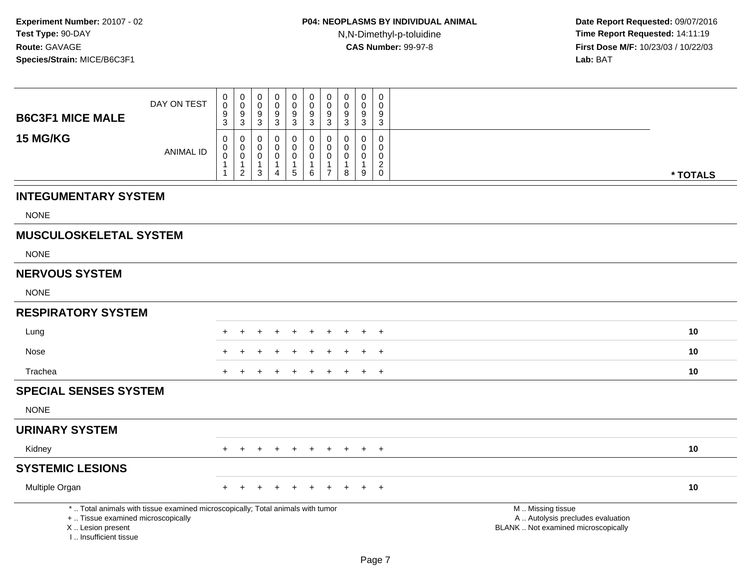| <b>B6C3F1 MICE MALE</b>                                                         | DAY ON TEST                                                                     | 0<br>$\pmb{0}$<br>9<br>$\overline{3}$                           | $_{\rm 0}^{\rm 0}$<br>$\frac{9}{3}$                                         | $\mathbf 0$<br>$\mathbf 0$<br>$\frac{9}{3}$                   | $\mathbf 0$<br>0<br>9<br>$\overline{3}$   | $\begin{smallmatrix} 0\\0 \end{smallmatrix}$<br>$\frac{9}{3}$     | 0<br>$\ddot{\mathbf{0}}$<br>$\boldsymbol{9}$<br>$\overline{3}$ | $\pmb{0}$<br>$\overline{0}$<br>$9\,$<br>$\sqrt{3}$                | 0<br>$\mathbf 0$<br>9<br>3      | $\mathbf 0$<br>$\mathsf{O}\xspace$<br>$\boldsymbol{9}$<br>$\mathbf{3}$     | $\mathbf 0$<br>$\Omega$<br>9<br>$\mathbf{3}$                           |                                                                                               |
|---------------------------------------------------------------------------------|---------------------------------------------------------------------------------|-----------------------------------------------------------------|-----------------------------------------------------------------------------|---------------------------------------------------------------|-------------------------------------------|-------------------------------------------------------------------|----------------------------------------------------------------|-------------------------------------------------------------------|---------------------------------|----------------------------------------------------------------------------|------------------------------------------------------------------------|-----------------------------------------------------------------------------------------------|
| 15 MG/KG                                                                        | <b>ANIMAL ID</b>                                                                | $\mathbf 0$<br>0<br>$\mathsf 0$<br>$\mathbf{1}$<br>$\mathbf{1}$ | $\mathbf 0$<br>$\mathbf 0$<br>$\mathbf 0$<br>$\mathbf{1}$<br>$\overline{2}$ | 0<br>$\mathbf 0$<br>$\mathbf 0$<br>$\mathbf{1}$<br>$\sqrt{3}$ | 0<br>0<br>$\mathbf 0$<br>$\mathbf 1$<br>4 | $\mathbf 0$<br>0<br>$\mathbf 0$<br>$\mathbf{1}$<br>$\overline{5}$ | 0<br>0<br>0<br>$\mathbf{1}$<br>$\,6\,$                         | $\mathbf 0$<br>0<br>$\mathbf 0$<br>$\mathbf{1}$<br>$\overline{7}$ | 0<br>$\mathbf 0$<br>0<br>1<br>8 | $\mathbf 0$<br>$\mathbf 0$<br>$\mathsf{O}\xspace$<br>1<br>$\boldsymbol{9}$ | 0<br>$\mathbf 0$<br>$\mathbf 0$<br>$\mathbf{2}$<br>$\mathsf{O}\xspace$ | * TOTALS                                                                                      |
| <b>INTEGUMENTARY SYSTEM</b>                                                     |                                                                                 |                                                                 |                                                                             |                                                               |                                           |                                                                   |                                                                |                                                                   |                                 |                                                                            |                                                                        |                                                                                               |
| <b>NONE</b>                                                                     |                                                                                 |                                                                 |                                                                             |                                                               |                                           |                                                                   |                                                                |                                                                   |                                 |                                                                            |                                                                        |                                                                                               |
| <b>MUSCULOSKELETAL SYSTEM</b>                                                   |                                                                                 |                                                                 |                                                                             |                                                               |                                           |                                                                   |                                                                |                                                                   |                                 |                                                                            |                                                                        |                                                                                               |
| <b>NONE</b>                                                                     |                                                                                 |                                                                 |                                                                             |                                                               |                                           |                                                                   |                                                                |                                                                   |                                 |                                                                            |                                                                        |                                                                                               |
| <b>NERVOUS SYSTEM</b>                                                           |                                                                                 |                                                                 |                                                                             |                                                               |                                           |                                                                   |                                                                |                                                                   |                                 |                                                                            |                                                                        |                                                                                               |
| <b>NONE</b>                                                                     |                                                                                 |                                                                 |                                                                             |                                                               |                                           |                                                                   |                                                                |                                                                   |                                 |                                                                            |                                                                        |                                                                                               |
| <b>RESPIRATORY SYSTEM</b>                                                       |                                                                                 |                                                                 |                                                                             |                                                               |                                           |                                                                   |                                                                |                                                                   |                                 |                                                                            |                                                                        |                                                                                               |
| Lung                                                                            |                                                                                 |                                                                 |                                                                             |                                                               |                                           |                                                                   |                                                                |                                                                   |                                 |                                                                            | $\overline{ }$                                                         | 10                                                                                            |
| Nose                                                                            |                                                                                 |                                                                 |                                                                             |                                                               |                                           |                                                                   |                                                                |                                                                   |                                 |                                                                            | $+$                                                                    | 10                                                                                            |
| Trachea                                                                         |                                                                                 | $\pm$                                                           |                                                                             | +                                                             | ٠                                         | $\pm$                                                             | $+$                                                            | $\pm$                                                             | $\pm$                           | $+$                                                                        | $+$                                                                    | 10                                                                                            |
| <b>SPECIAL SENSES SYSTEM</b>                                                    |                                                                                 |                                                                 |                                                                             |                                                               |                                           |                                                                   |                                                                |                                                                   |                                 |                                                                            |                                                                        |                                                                                               |
| <b>NONE</b>                                                                     |                                                                                 |                                                                 |                                                                             |                                                               |                                           |                                                                   |                                                                |                                                                   |                                 |                                                                            |                                                                        |                                                                                               |
| <b>URINARY SYSTEM</b>                                                           |                                                                                 |                                                                 |                                                                             |                                                               |                                           |                                                                   |                                                                |                                                                   |                                 |                                                                            |                                                                        |                                                                                               |
| Kidney                                                                          |                                                                                 | $+$                                                             | $+$                                                                         | $+$                                                           | $+$                                       | $+$                                                               |                                                                |                                                                   | + + + + +                       |                                                                            |                                                                        | 10                                                                                            |
| <b>SYSTEMIC LESIONS</b>                                                         |                                                                                 |                                                                 |                                                                             |                                                               |                                           |                                                                   |                                                                |                                                                   |                                 |                                                                            |                                                                        |                                                                                               |
| Multiple Organ                                                                  |                                                                                 |                                                                 |                                                                             |                                                               |                                           |                                                                   |                                                                |                                                                   |                                 |                                                                            | $+$                                                                    | 10                                                                                            |
| +  Tissue examined microscopically<br>X Lesion present<br>I Insufficient tissue | *  Total animals with tissue examined microscopically; Total animals with tumor |                                                                 |                                                                             |                                                               |                                           |                                                                   |                                                                |                                                                   |                                 |                                                                            |                                                                        | M  Missing tissue<br>A  Autolysis precludes evaluation<br>BLANK  Not examined microscopically |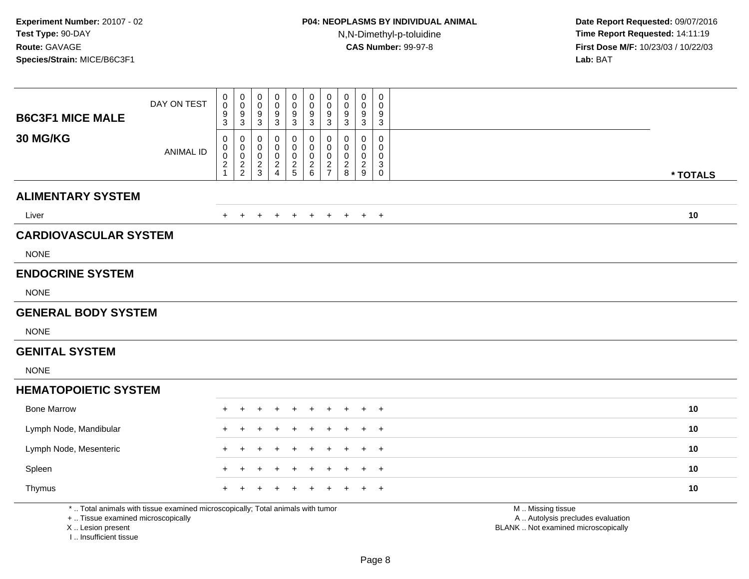| <b>B6C3F1 MICE MALE</b>                                 | DAY ON TEST                                                                     | 0<br>$\Omega$<br>9<br>3                           | $_{\rm 0}^{\rm 0}$<br>$\frac{9}{3}$            | $\mathbf 0$<br>$\mathbf 0$<br>9<br>$\mathbf{3}$ | $\mathbf 0$<br>$\mathbf 0$<br>$\frac{9}{3}$ | $\mathsf 0$<br>$\Omega$<br>9<br>$\mathbf{3}$            | $\pmb{0}$<br>$\ddot{\mathbf{0}}$<br>$\frac{9}{3}$            | $\mathbf 0$<br>$\overline{0}$<br>9<br>$\mathbf{3}$ | $\mathbf 0$<br>$\Omega$<br>9<br>3        | $\pmb{0}$<br>0<br>$\frac{9}{3}$        | $\mathsf 0$<br>$\mathbf{0}$<br>9<br>$\sqrt{3}$               |                                                                                               |
|---------------------------------------------------------|---------------------------------------------------------------------------------|---------------------------------------------------|------------------------------------------------|-------------------------------------------------|---------------------------------------------|---------------------------------------------------------|--------------------------------------------------------------|----------------------------------------------------|------------------------------------------|----------------------------------------|--------------------------------------------------------------|-----------------------------------------------------------------------------------------------|
| 30 MG/KG                                                | <b>ANIMAL ID</b>                                                                | $\mathbf 0$<br>$\mathbf 0$<br>0<br>$\overline{a}$ | 0<br>$\mathbf 0$<br>$\pmb{0}$<br>$\frac{2}{2}$ | 0<br>0<br>$\mathbf 0$<br>$\frac{2}{3}$          | 0<br>0<br>$\mathbf 0$<br>$\frac{2}{4}$      | $\mathbf 0$<br>$\Omega$<br>$\mathbf 0$<br>$\frac{2}{5}$ | 0<br>0<br>$\pmb{0}$<br>$\begin{array}{c} 2 \\ 6 \end{array}$ | 0<br>$\mathbf 0$<br>$\pmb{0}$<br>$rac{2}{7}$       | 0<br>$\Omega$<br>$\mathbf 0$<br>$_{8}^2$ | 0<br>0<br>$\mathbf 0$<br>$\frac{2}{9}$ | $\mathbf 0$<br>$\mathbf 0$<br>0<br>$\sqrt{3}$<br>$\mathbf 0$ | * TOTALS                                                                                      |
| <b>ALIMENTARY SYSTEM</b>                                |                                                                                 |                                                   |                                                |                                                 |                                             |                                                         |                                                              |                                                    |                                          |                                        |                                                              |                                                                                               |
| Liver                                                   |                                                                                 | $+$                                               | $+$                                            | $\ddot{}$                                       | $\ddot{}$                                   | $+$                                                     | $+$                                                          | $+$                                                | $+$                                      | $+$                                    | $+$                                                          | 10                                                                                            |
| <b>CARDIOVASCULAR SYSTEM</b>                            |                                                                                 |                                                   |                                                |                                                 |                                             |                                                         |                                                              |                                                    |                                          |                                        |                                                              |                                                                                               |
| <b>NONE</b>                                             |                                                                                 |                                                   |                                                |                                                 |                                             |                                                         |                                                              |                                                    |                                          |                                        |                                                              |                                                                                               |
| <b>ENDOCRINE SYSTEM</b>                                 |                                                                                 |                                                   |                                                |                                                 |                                             |                                                         |                                                              |                                                    |                                          |                                        |                                                              |                                                                                               |
| <b>NONE</b>                                             |                                                                                 |                                                   |                                                |                                                 |                                             |                                                         |                                                              |                                                    |                                          |                                        |                                                              |                                                                                               |
| <b>GENERAL BODY SYSTEM</b>                              |                                                                                 |                                                   |                                                |                                                 |                                             |                                                         |                                                              |                                                    |                                          |                                        |                                                              |                                                                                               |
| <b>NONE</b>                                             |                                                                                 |                                                   |                                                |                                                 |                                             |                                                         |                                                              |                                                    |                                          |                                        |                                                              |                                                                                               |
| <b>GENITAL SYSTEM</b>                                   |                                                                                 |                                                   |                                                |                                                 |                                             |                                                         |                                                              |                                                    |                                          |                                        |                                                              |                                                                                               |
| <b>NONE</b>                                             |                                                                                 |                                                   |                                                |                                                 |                                             |                                                         |                                                              |                                                    |                                          |                                        |                                                              |                                                                                               |
| <b>HEMATOPOIETIC SYSTEM</b>                             |                                                                                 |                                                   |                                                |                                                 |                                             |                                                         |                                                              |                                                    |                                          |                                        |                                                              |                                                                                               |
| <b>Bone Marrow</b>                                      |                                                                                 |                                                   |                                                |                                                 |                                             |                                                         |                                                              |                                                    |                                          |                                        | $\overline{1}$                                               | 10                                                                                            |
| Lymph Node, Mandibular                                  |                                                                                 |                                                   |                                                |                                                 |                                             |                                                         |                                                              |                                                    |                                          |                                        | $\overline{+}$                                               | 10                                                                                            |
| Lymph Node, Mesenteric                                  |                                                                                 |                                                   |                                                |                                                 |                                             |                                                         |                                                              |                                                    |                                          |                                        | $\overline{1}$                                               | 10                                                                                            |
| Spleen                                                  |                                                                                 |                                                   |                                                |                                                 |                                             |                                                         |                                                              |                                                    |                                          |                                        | $\overline{1}$                                               | 10                                                                                            |
| Thymus                                                  |                                                                                 |                                                   |                                                |                                                 |                                             |                                                         |                                                              |                                                    |                                          |                                        | $\overline{+}$                                               | 10                                                                                            |
| +  Tissue examined microscopically<br>X  Lesion present | *  Total animals with tissue examined microscopically; Total animals with tumor |                                                   |                                                |                                                 |                                             |                                                         |                                                              |                                                    |                                          |                                        |                                                              | M  Missing tissue<br>A  Autolysis precludes evaluation<br>BLANK  Not examined microscopically |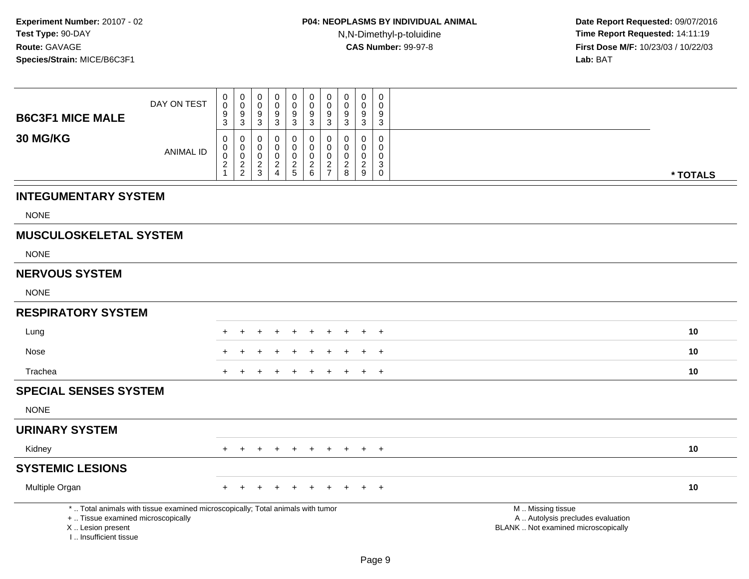|                                            |                                                                                 | $\mathbf 0$                   |                                            | 0                | $\mathbf 0$      | $\mathbf 0$                     | 0                | 0                               | $\mathbf 0$      | $\mathbf 0$      | 0                               |                                                        |  |
|--------------------------------------------|---------------------------------------------------------------------------------|-------------------------------|--------------------------------------------|------------------|------------------|---------------------------------|------------------|---------------------------------|------------------|------------------|---------------------------------|--------------------------------------------------------|--|
|                                            | DAY ON TEST                                                                     | $\overline{0}$                | $\begin{smallmatrix}0\\0\end{smallmatrix}$ | $\mathbf 0$      | 0                | $\mathbf 0$<br>$\boldsymbol{9}$ | $\overline{0}$   | $\mathbf 0$<br>$\boldsymbol{9}$ | $\pmb{0}$<br>9   | 0                | $\mathbf 0$<br>$\boldsymbol{9}$ |                                                        |  |
| <b>B6C3F1 MICE MALE</b>                    |                                                                                 | $\frac{9}{3}$                 | $\frac{9}{3}$                              | $\frac{9}{3}$    | $\frac{9}{3}$    | $\mathbf{3}$                    | $^9_3$           | 3                               | 3                | $\frac{9}{3}$    | 3                               |                                                        |  |
| 30 MG/KG                                   |                                                                                 | 0<br>0                        | $\mathbf 0$<br>$\mathbf 0$                 | $\mathbf 0$<br>0 | $\mathbf 0$<br>0 | $\mathbf 0$<br>$\mathbf 0$      | 0<br>$\mathbf 0$ | $\mathbf 0$<br>$\mathbf 0$      | 0<br>$\mathbf 0$ | $\mathbf 0$<br>0 | $\mathbf 0$<br>0                |                                                        |  |
|                                            | <b>ANIMAL ID</b>                                                                | $\mathbf 0$<br>$\overline{c}$ | $\mathbf 0$                                | $\pmb{0}$        | 0                | 0                               | $\mathbf 0$      | $\mathbf 0$                     | 0                | 0                | 0<br>$\sqrt{3}$                 |                                                        |  |
|                                            |                                                                                 | $\mathbf{1}$                  | $\frac{2}{2}$                              | $\frac{2}{3}$    | $\frac{2}{4}$    | $\frac{2}{5}$                   | $\frac{2}{6}$    | $rac{2}{7}$                     | $\frac{2}{8}$    | $\frac{2}{9}$    | $\mathbf 0$                     | * TOTALS                                               |  |
| <b>INTEGUMENTARY SYSTEM</b>                |                                                                                 |                               |                                            |                  |                  |                                 |                  |                                 |                  |                  |                                 |                                                        |  |
| <b>NONE</b>                                |                                                                                 |                               |                                            |                  |                  |                                 |                  |                                 |                  |                  |                                 |                                                        |  |
| <b>MUSCULOSKELETAL SYSTEM</b>              |                                                                                 |                               |                                            |                  |                  |                                 |                  |                                 |                  |                  |                                 |                                                        |  |
| <b>NONE</b>                                |                                                                                 |                               |                                            |                  |                  |                                 |                  |                                 |                  |                  |                                 |                                                        |  |
| <b>NERVOUS SYSTEM</b>                      |                                                                                 |                               |                                            |                  |                  |                                 |                  |                                 |                  |                  |                                 |                                                        |  |
| <b>NONE</b>                                |                                                                                 |                               |                                            |                  |                  |                                 |                  |                                 |                  |                  |                                 |                                                        |  |
| <b>RESPIRATORY SYSTEM</b>                  |                                                                                 |                               |                                            |                  |                  |                                 |                  |                                 |                  |                  |                                 |                                                        |  |
| Lung                                       |                                                                                 |                               |                                            |                  |                  |                                 |                  |                                 |                  |                  | $\overline{1}$                  | 10                                                     |  |
| Nose                                       |                                                                                 |                               |                                            |                  |                  |                                 |                  |                                 |                  |                  | $\overline{+}$                  | 10                                                     |  |
| Trachea                                    |                                                                                 | ÷                             |                                            |                  |                  |                                 |                  |                                 |                  | $+$              | $\overline{+}$                  | 10                                                     |  |
| <b>SPECIAL SENSES SYSTEM</b>               |                                                                                 |                               |                                            |                  |                  |                                 |                  |                                 |                  |                  |                                 |                                                        |  |
| <b>NONE</b>                                |                                                                                 |                               |                                            |                  |                  |                                 |                  |                                 |                  |                  |                                 |                                                        |  |
| <b>URINARY SYSTEM</b>                      |                                                                                 |                               |                                            |                  |                  |                                 |                  |                                 |                  |                  |                                 |                                                        |  |
| Kidney                                     |                                                                                 | $+$                           | $+$                                        | $+$              |                  | $\div$                          | $+$              | $\pm$                           | $+$              | $+$              | $+$                             | 10                                                     |  |
| <b>SYSTEMIC LESIONS</b>                    |                                                                                 |                               |                                            |                  |                  |                                 |                  |                                 |                  |                  |                                 |                                                        |  |
| Multiple Organ                             |                                                                                 |                               |                                            |                  |                  |                                 |                  |                                 |                  |                  | $\overline{+}$                  | 10                                                     |  |
| +  Tissue examined microscopically         | *  Total animals with tissue examined microscopically; Total animals with tumor |                               |                                            |                  |                  |                                 |                  |                                 |                  |                  |                                 | M  Missing tissue<br>A  Autolysis precludes evaluation |  |
| X  Lesion present<br>I Insufficient tissue |                                                                                 |                               |                                            |                  |                  |                                 |                  |                                 |                  |                  |                                 | BLANK  Not examined microscopically                    |  |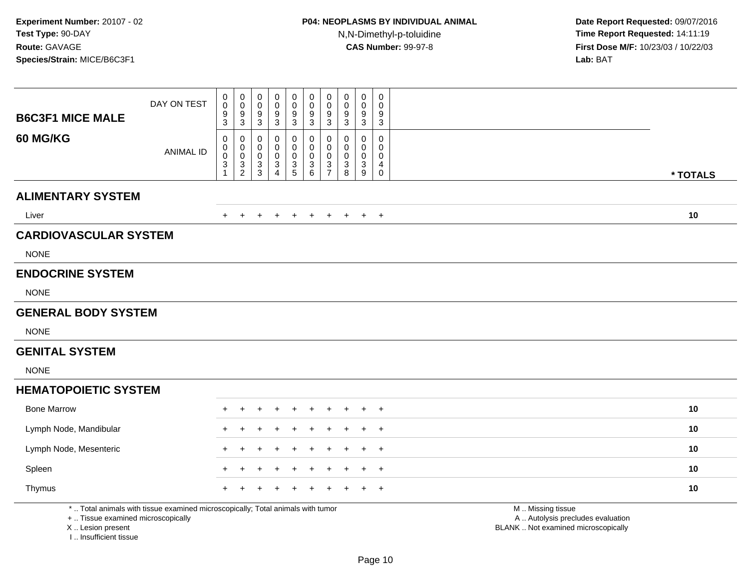| <b>B6C3F1 MICE MALE</b>                                 | DAY ON TEST                                                                     | 0<br>$\Omega$<br>9<br>3    | $_{\rm 0}^{\rm 0}$<br>$\frac{9}{3}$            | $\mathbf 0$<br>$\mathbf 0$<br>9<br>$\mathbf{3}$ | $\mathbf 0$<br>$\mathbf 0$<br>$\frac{9}{3}$           | $\mathsf 0$<br>$\Omega$<br>9<br>$\mathbf{3}$            | $\pmb{0}$<br>$\ddot{\mathbf{0}}$<br>$\frac{9}{3}$ | $\mathbf 0$<br>$\overline{0}$<br>9<br>$\mathbf{3}$ | $\mathbf 0$<br>$\Omega$<br>9<br>3                              | $\pmb{0}$<br>0<br>$\frac{9}{3}$ | $\mathsf 0$<br>$\mathbf 0$<br>9<br>$\sqrt{3}$ |                                                                                               |
|---------------------------------------------------------|---------------------------------------------------------------------------------|----------------------------|------------------------------------------------|-------------------------------------------------|-------------------------------------------------------|---------------------------------------------------------|---------------------------------------------------|----------------------------------------------------|----------------------------------------------------------------|---------------------------------|-----------------------------------------------|-----------------------------------------------------------------------------------------------|
| 60 MG/KG                                                | <b>ANIMAL ID</b>                                                                | 0<br>$\mathbf 0$<br>0<br>3 | 0<br>$\mathbf 0$<br>$\pmb{0}$<br>$\frac{3}{2}$ | 0<br>0<br>$\mathbf 0$<br>$\frac{3}{3}$          | 0<br>0<br>$\mathbf 0$<br>$\sqrt{3}$<br>$\overline{4}$ | $\mathbf 0$<br>$\Omega$<br>$\mathbf 0$<br>$\frac{3}{5}$ | 0<br>0<br>$\pmb{0}$<br>$^3$ 6                     | 0<br>$\mathbf 0$<br>$\pmb{0}$<br>$\frac{3}{7}$     | 0<br>$\Omega$<br>$\mathbf 0$<br>$\ensuremath{\mathsf{3}}$<br>8 | 0<br>0<br>$\mathbf 0$<br>$_9^3$ | 0<br>$\mathbf 0$<br>0<br>4<br>$\mathbf 0$     | * TOTALS                                                                                      |
| <b>ALIMENTARY SYSTEM</b>                                |                                                                                 |                            |                                                |                                                 |                                                       |                                                         |                                                   |                                                    |                                                                |                                 |                                               |                                                                                               |
| Liver                                                   |                                                                                 | $+$                        | $+$                                            | $\ddot{}$                                       | $\ddot{}$                                             | $+$                                                     | $+$                                               | $+$                                                | $+$                                                            | $+$                             | $+$                                           | 10                                                                                            |
| <b>CARDIOVASCULAR SYSTEM</b>                            |                                                                                 |                            |                                                |                                                 |                                                       |                                                         |                                                   |                                                    |                                                                |                                 |                                               |                                                                                               |
| <b>NONE</b>                                             |                                                                                 |                            |                                                |                                                 |                                                       |                                                         |                                                   |                                                    |                                                                |                                 |                                               |                                                                                               |
| <b>ENDOCRINE SYSTEM</b>                                 |                                                                                 |                            |                                                |                                                 |                                                       |                                                         |                                                   |                                                    |                                                                |                                 |                                               |                                                                                               |
| <b>NONE</b>                                             |                                                                                 |                            |                                                |                                                 |                                                       |                                                         |                                                   |                                                    |                                                                |                                 |                                               |                                                                                               |
| <b>GENERAL BODY SYSTEM</b>                              |                                                                                 |                            |                                                |                                                 |                                                       |                                                         |                                                   |                                                    |                                                                |                                 |                                               |                                                                                               |
| <b>NONE</b>                                             |                                                                                 |                            |                                                |                                                 |                                                       |                                                         |                                                   |                                                    |                                                                |                                 |                                               |                                                                                               |
| <b>GENITAL SYSTEM</b>                                   |                                                                                 |                            |                                                |                                                 |                                                       |                                                         |                                                   |                                                    |                                                                |                                 |                                               |                                                                                               |
| <b>NONE</b>                                             |                                                                                 |                            |                                                |                                                 |                                                       |                                                         |                                                   |                                                    |                                                                |                                 |                                               |                                                                                               |
| <b>HEMATOPOIETIC SYSTEM</b>                             |                                                                                 |                            |                                                |                                                 |                                                       |                                                         |                                                   |                                                    |                                                                |                                 |                                               |                                                                                               |
| <b>Bone Marrow</b>                                      |                                                                                 |                            |                                                |                                                 |                                                       |                                                         |                                                   |                                                    |                                                                |                                 | $\overline{1}$                                | 10                                                                                            |
| Lymph Node, Mandibular                                  |                                                                                 |                            |                                                |                                                 |                                                       |                                                         |                                                   |                                                    |                                                                |                                 | $\overline{+}$                                | 10                                                                                            |
| Lymph Node, Mesenteric                                  |                                                                                 |                            |                                                |                                                 |                                                       |                                                         |                                                   |                                                    |                                                                |                                 | $\overline{1}$                                | 10                                                                                            |
| Spleen                                                  |                                                                                 |                            |                                                |                                                 |                                                       |                                                         |                                                   |                                                    |                                                                |                                 | $\overline{1}$                                | 10                                                                                            |
| Thymus                                                  |                                                                                 |                            |                                                |                                                 |                                                       |                                                         |                                                   |                                                    |                                                                |                                 | $\overline{+}$                                | 10                                                                                            |
| +  Tissue examined microscopically<br>X  Lesion present | *  Total animals with tissue examined microscopically; Total animals with tumor |                            |                                                |                                                 |                                                       |                                                         |                                                   |                                                    |                                                                |                                 |                                               | M  Missing tissue<br>A  Autolysis precludes evaluation<br>BLANK  Not examined microscopically |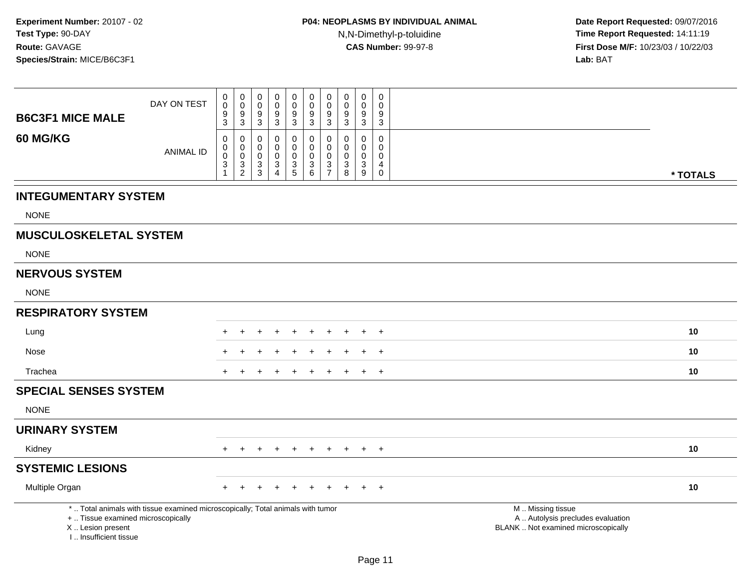| <b>B6C3F1 MICE MALE</b>                                                          | DAY ON TEST                                                                     | 0<br>0<br>$\boldsymbol{9}$<br>3                                            | $\pmb{0}$<br>$\mathbf 0$<br>$\boldsymbol{9}$<br>3 | $\pmb{0}$<br>$\mathbf 0$<br>$\frac{9}{3}$ | $\mathbf 0$<br>0<br>$\boldsymbol{9}$<br>$\mathbf{3}$                           | 0<br>$\mathbf 0$<br>$\boldsymbol{9}$<br>3        | $\pmb{0}$<br>$\pmb{0}$<br>$\frac{9}{3}$                                | $\mathbf 0$<br>$\mathbf 0$<br>$\boldsymbol{9}$<br>$\mathbf{3}$ | $\pmb{0}$<br>0<br>9<br>3                                          | $\mathbf 0$<br>0<br>$\boldsymbol{9}$<br>3 | $\mathsf 0$<br>$\mathbf 0$<br>$\boldsymbol{9}$<br>$\mathbf{3}$ |                                                                                               |          |
|----------------------------------------------------------------------------------|---------------------------------------------------------------------------------|----------------------------------------------------------------------------|---------------------------------------------------|-------------------------------------------|--------------------------------------------------------------------------------|--------------------------------------------------|------------------------------------------------------------------------|----------------------------------------------------------------|-------------------------------------------------------------------|-------------------------------------------|----------------------------------------------------------------|-----------------------------------------------------------------------------------------------|----------|
| 60 MG/KG                                                                         | <b>ANIMAL ID</b>                                                                | $\mathbf 0$<br>0<br>$\pmb{0}$<br>$\ensuremath{\mathsf{3}}$<br>$\mathbf{1}$ | 0<br>0<br>$\mathbf 0$<br>$\frac{3}{2}$            | 0<br>$\pmb{0}$<br>$\pmb{0}$<br>$_3^3$     | $\mathbf 0$<br>0<br>$\mathbf 0$<br>$\ensuremath{\mathsf{3}}$<br>$\overline{4}$ | $\mathbf 0$<br>$\mathbf 0$<br>0<br>$\frac{3}{5}$ | 0<br>$\mathbf 0$<br>$\pmb{0}$<br>$\begin{array}{c} 3 \\ 6 \end{array}$ | $\mathbf 0$<br>$\mathbf 0$<br>$\mathbf 0$<br>$\frac{3}{7}$     | $\mathbf 0$<br>0<br>$\mathbf 0$<br>$\ensuremath{\mathsf{3}}$<br>8 | 0<br>0<br>0<br>$_9^3$                     | $\mathbf 0$<br>$\mathbf 0$<br>$\pmb{0}$<br>4<br>$\mathbf 0$    |                                                                                               | * TOTALS |
| <b>INTEGUMENTARY SYSTEM</b>                                                      |                                                                                 |                                                                            |                                                   |                                           |                                                                                |                                                  |                                                                        |                                                                |                                                                   |                                           |                                                                |                                                                                               |          |
| <b>NONE</b>                                                                      |                                                                                 |                                                                            |                                                   |                                           |                                                                                |                                                  |                                                                        |                                                                |                                                                   |                                           |                                                                |                                                                                               |          |
| <b>MUSCULOSKELETAL SYSTEM</b>                                                    |                                                                                 |                                                                            |                                                   |                                           |                                                                                |                                                  |                                                                        |                                                                |                                                                   |                                           |                                                                |                                                                                               |          |
| <b>NONE</b>                                                                      |                                                                                 |                                                                            |                                                   |                                           |                                                                                |                                                  |                                                                        |                                                                |                                                                   |                                           |                                                                |                                                                                               |          |
| <b>NERVOUS SYSTEM</b>                                                            |                                                                                 |                                                                            |                                                   |                                           |                                                                                |                                                  |                                                                        |                                                                |                                                                   |                                           |                                                                |                                                                                               |          |
| <b>NONE</b>                                                                      |                                                                                 |                                                                            |                                                   |                                           |                                                                                |                                                  |                                                                        |                                                                |                                                                   |                                           |                                                                |                                                                                               |          |
| <b>RESPIRATORY SYSTEM</b>                                                        |                                                                                 |                                                                            |                                                   |                                           |                                                                                |                                                  |                                                                        |                                                                |                                                                   |                                           |                                                                |                                                                                               |          |
| Lung                                                                             |                                                                                 |                                                                            |                                                   |                                           |                                                                                |                                                  |                                                                        |                                                                |                                                                   |                                           | $\overline{1}$                                                 |                                                                                               | 10       |
| Nose                                                                             |                                                                                 |                                                                            |                                                   |                                           |                                                                                |                                                  |                                                                        |                                                                |                                                                   |                                           | $\overline{1}$                                                 |                                                                                               | 10       |
| Trachea                                                                          |                                                                                 |                                                                            |                                                   |                                           |                                                                                |                                                  |                                                                        |                                                                |                                                                   | $+$                                       | $\overline{+}$                                                 |                                                                                               | 10       |
| <b>SPECIAL SENSES SYSTEM</b>                                                     |                                                                                 |                                                                            |                                                   |                                           |                                                                                |                                                  |                                                                        |                                                                |                                                                   |                                           |                                                                |                                                                                               |          |
| <b>NONE</b>                                                                      |                                                                                 |                                                                            |                                                   |                                           |                                                                                |                                                  |                                                                        |                                                                |                                                                   |                                           |                                                                |                                                                                               |          |
| <b>URINARY SYSTEM</b>                                                            |                                                                                 |                                                                            |                                                   |                                           |                                                                                |                                                  |                                                                        |                                                                |                                                                   |                                           |                                                                |                                                                                               |          |
| Kidney                                                                           |                                                                                 | $+$                                                                        | $+$                                               | $+$                                       | $+$                                                                            | $+$                                              | $+$                                                                    | $+$                                                            | $+$                                                               |                                           | $+$ $+$                                                        |                                                                                               | 10       |
| <b>SYSTEMIC LESIONS</b>                                                          |                                                                                 |                                                                            |                                                   |                                           |                                                                                |                                                  |                                                                        |                                                                |                                                                   |                                           |                                                                |                                                                                               |          |
| Multiple Organ                                                                   |                                                                                 |                                                                            |                                                   |                                           |                                                                                |                                                  |                                                                        |                                                                |                                                                   |                                           | $\overline{+}$                                                 |                                                                                               | 10       |
| +  Tissue examined microscopically<br>X  Lesion present<br>I Insufficient tissue | *  Total animals with tissue examined microscopically; Total animals with tumor |                                                                            |                                                   |                                           |                                                                                |                                                  |                                                                        |                                                                |                                                                   |                                           |                                                                | M  Missing tissue<br>A  Autolysis precludes evaluation<br>BLANK  Not examined microscopically |          |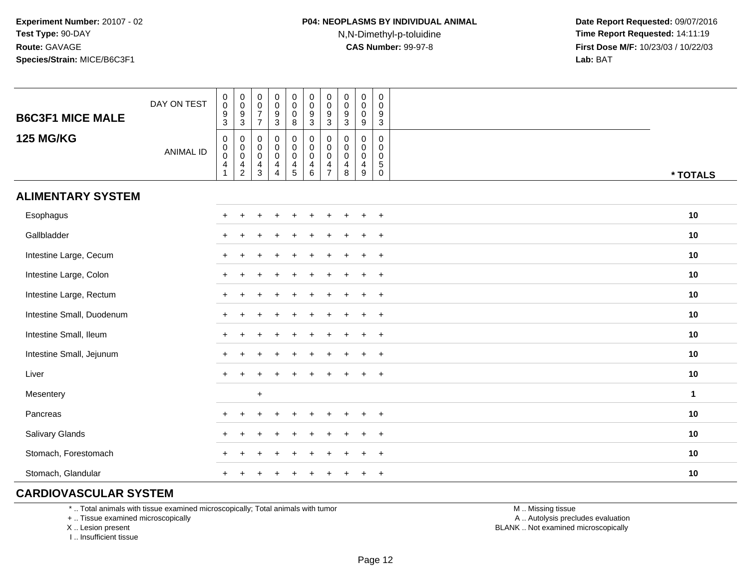| <b>B6C3F1 MICE MALE</b>   | DAY ON TEST      | $\begin{smallmatrix} 0\\0 \end{smallmatrix}$<br>$\frac{9}{3}$             | $_{\rm 0}^{\rm 0}$<br>$^9_3$                     | $\begin{smallmatrix} 0\\0 \end{smallmatrix}$<br>$\frac{7}{7}$ | $\begin{smallmatrix}0\0\0\end{smallmatrix}$<br>$\frac{9}{3}$ | $\begin{smallmatrix}0\\0\end{smallmatrix}$<br>$\pmb{0}$<br>8 | $\begin{smallmatrix} 0\\0 \end{smallmatrix}$<br>$\frac{9}{3}$          | $\pmb{0}$<br>$\boldsymbol{0}$<br>$\boldsymbol{9}$<br>3              | $\pmb{0}$<br>$\mathbf 0$<br>$\boldsymbol{9}$<br>$\mathbf{3}$ | $\pmb{0}$<br>$\mathbf 0$<br>$\mathbf 0$<br>9                     | $_{\rm 0}^{\rm 0}$<br>$\frac{9}{3}$                            |              |
|---------------------------|------------------|---------------------------------------------------------------------------|--------------------------------------------------|---------------------------------------------------------------|--------------------------------------------------------------|--------------------------------------------------------------|------------------------------------------------------------------------|---------------------------------------------------------------------|--------------------------------------------------------------|------------------------------------------------------------------|----------------------------------------------------------------|--------------|
| <b>125 MG/KG</b>          | <b>ANIMAL ID</b> | $\mathsf 0$<br>$\mathbf 0$<br>$\pmb{0}$<br>$\overline{4}$<br>$\mathbf{1}$ | $\pmb{0}$<br>$_{\rm 0}^{\rm 0}$<br>$\frac{4}{2}$ | $\pmb{0}$<br>$_{\rm 0}^{\rm 0}$<br>$\frac{4}{3}$              | 0<br>$\overline{0}$<br>0<br>$\overline{4}$<br>4              | $\pmb{0}$<br>$\begin{array}{c} 0 \\ 0 \\ 4 \\ 5 \end{array}$ | $\mathbf 0$<br>$\overline{0}$<br>$\begin{array}{c} 4 \\ 6 \end{array}$ | 0<br>$\boldsymbol{0}$<br>$\mathsf{O}\xspace$<br>4<br>$\overline{7}$ | $\mathbf 0$<br>$\pmb{0}$<br>$\pmb{0}$<br>$\overline{4}$<br>8 | $\mathbf 0$<br>$\mathsf 0$<br>$\mathsf 0$<br>$\overline{4}$<br>9 | 0<br>$\pmb{0}$<br>$\mathbf 0$<br>$\overline{5}$<br>$\mathbf 0$ | * TOTALS     |
| <b>ALIMENTARY SYSTEM</b>  |                  |                                                                           |                                                  |                                                               |                                                              |                                                              |                                                                        |                                                                     |                                                              |                                                                  |                                                                |              |
| Esophagus                 |                  |                                                                           |                                                  |                                                               | $\ddot{}$                                                    | $\ddot{}$                                                    |                                                                        |                                                                     |                                                              | ÷                                                                | $\overline{+}$                                                 | 10           |
| Gallbladder               |                  | $^+$                                                                      |                                                  |                                                               |                                                              |                                                              |                                                                        |                                                                     |                                                              |                                                                  | $\ddot{}$                                                      | 10           |
| Intestine Large, Cecum    |                  | $\ddot{}$                                                                 |                                                  |                                                               |                                                              |                                                              |                                                                        |                                                                     |                                                              |                                                                  | $\overline{+}$                                                 | 10           |
| Intestine Large, Colon    |                  | $\ddot{}$                                                                 |                                                  |                                                               |                                                              |                                                              |                                                                        |                                                                     |                                                              | ٠                                                                | $\overline{+}$                                                 | 10           |
| Intestine Large, Rectum   |                  |                                                                           |                                                  |                                                               |                                                              |                                                              |                                                                        |                                                                     |                                                              |                                                                  | $\ddot{}$                                                      | 10           |
| Intestine Small, Duodenum |                  |                                                                           |                                                  |                                                               |                                                              |                                                              |                                                                        |                                                                     |                                                              |                                                                  | $\ddot{}$                                                      | 10           |
| Intestine Small, Ileum    |                  |                                                                           |                                                  |                                                               |                                                              |                                                              |                                                                        |                                                                     |                                                              |                                                                  | $\overline{+}$                                                 | 10           |
| Intestine Small, Jejunum  |                  |                                                                           |                                                  |                                                               |                                                              |                                                              |                                                                        |                                                                     |                                                              | $\div$                                                           | $+$                                                            | 10           |
| Liver                     |                  | $\ddot{}$                                                                 |                                                  |                                                               |                                                              |                                                              |                                                                        |                                                                     |                                                              | $\ddot{}$                                                        | $^{+}$                                                         | 10           |
| Mesentery                 |                  |                                                                           |                                                  | $+$                                                           |                                                              |                                                              |                                                                        |                                                                     |                                                              |                                                                  |                                                                | $\mathbf{1}$ |
| Pancreas                  |                  | $\pm$                                                                     | ÷                                                |                                                               |                                                              |                                                              |                                                                        |                                                                     |                                                              | ٠                                                                | $\overline{+}$                                                 | 10           |
| Salivary Glands           |                  | $+$                                                                       | ÷                                                |                                                               |                                                              |                                                              |                                                                        |                                                                     |                                                              | $\ddot{}$                                                        | $+$                                                            | 10           |
| Stomach, Forestomach      |                  |                                                                           |                                                  |                                                               |                                                              |                                                              |                                                                        |                                                                     |                                                              |                                                                  | $\overline{+}$                                                 | 10           |
| Stomach, Glandular        |                  |                                                                           |                                                  |                                                               |                                                              |                                                              |                                                                        |                                                                     |                                                              |                                                                  | $\ddot{}$                                                      | 10           |

#### **CARDIOVASCULAR SYSTEM**

\* .. Total animals with tissue examined microscopically; Total animals with tumor

+ .. Tissue examined microscopically

X .. Lesion present

I .. Insufficient tissue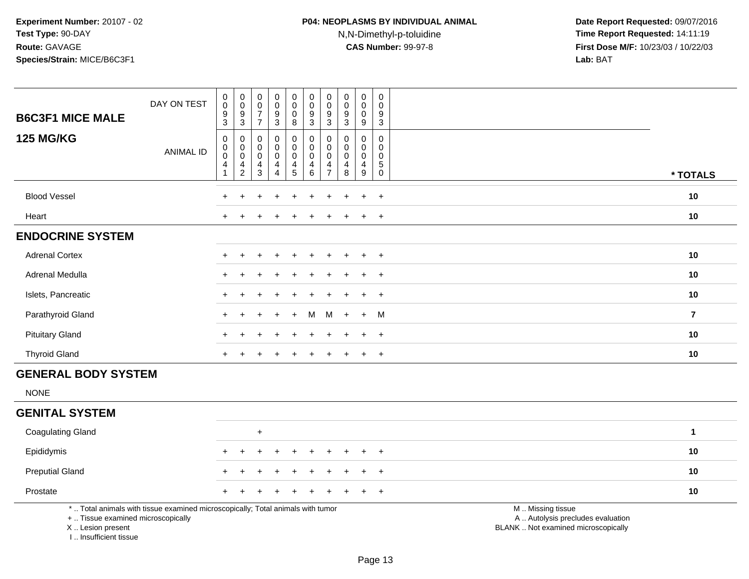## **P04: NEOPLASMS BY INDIVIDUAL ANIMAL**N,N-Dimethyl-p-toluidine

 **Date Report Requested:** 09/07/2016 **Time Report Requested:** 14:11:19 **First Dose M/F:** 10/23/03 / 10/22/03<br>**Lab:** BAT **Lab:** BAT

| <b>B6C3F1 MICE MALE</b>                                | DAY ON TEST                                                                     | $\,0\,$<br>$\mathbf 0$<br>$\boldsymbol{9}$<br>$\mathbf{3}$        | $_{\rm 0}^{\rm 0}$<br>9<br>$\mathbf{3}$ | 0<br>0<br>$\overline{7}$<br>$\overline{7}$   | $_{\rm 0}^{\rm 0}$<br>$\boldsymbol{9}$<br>$\mathfrak{Z}$                    | $\begin{smallmatrix} 0\\0 \end{smallmatrix}$<br>$\mathbf 0$<br>8          | $\pmb{0}$<br>$\mathbf 0$<br>9<br>$\sqrt{3}$                            | $\mathbf 0$<br>$\mathbf 0$<br>9<br>3                             | $\pmb{0}$<br>$\pmb{0}$<br>$\boldsymbol{9}$<br>$\sqrt{3}$      | $\pmb{0}$<br>$\overline{0}$<br>$\mathbf 0$<br>9  | $\pmb{0}$<br>$\Omega$<br>9<br>$\mathfrak{S}$                  |                                                                                               |                |
|--------------------------------------------------------|---------------------------------------------------------------------------------|-------------------------------------------------------------------|-----------------------------------------|----------------------------------------------|-----------------------------------------------------------------------------|---------------------------------------------------------------------------|------------------------------------------------------------------------|------------------------------------------------------------------|---------------------------------------------------------------|--------------------------------------------------|---------------------------------------------------------------|-----------------------------------------------------------------------------------------------|----------------|
| <b>125 MG/KG</b>                                       | <b>ANIMAL ID</b>                                                                | $\mathbf 0$<br>$\mathbf 0$<br>$\overline{0}$<br>4<br>$\mathbf{1}$ | 0<br>0<br>$\pmb{0}$<br>4<br>$\sqrt{2}$  | 0<br>0<br>$\mathbf 0$<br>$\overline{4}$<br>3 | $\mathbf 0$<br>$\mathbf 0$<br>$\pmb{0}$<br>$\overline{4}$<br>$\overline{4}$ | $\mathbf 0$<br>$\mathbf 0$<br>$\mathbf 0$<br>$\overline{4}$<br>$\sqrt{5}$ | $\mathbf 0$<br>$\mathbf 0$<br>$\mathbf 0$<br>$\overline{4}$<br>$\,6\,$ | $\mathbf 0$<br>$\mathbf 0$<br>$\mathbf 0$<br>4<br>$\overline{7}$ | $\mathbf 0$<br>0<br>$\pmb{0}$<br>$\overline{\mathbf{4}}$<br>8 | 0<br>0<br>$\mathbf 0$<br>$\overline{4}$<br>$9\,$ | 0<br>$\mathbf 0$<br>$\mathbf 0$<br>$\,$ 5 $\,$<br>$\mathbf 0$ |                                                                                               | * TOTALS       |
| <b>Blood Vessel</b>                                    |                                                                                 |                                                                   |                                         |                                              |                                                                             |                                                                           |                                                                        |                                                                  |                                                               |                                                  | $\overline{+}$                                                |                                                                                               | 10             |
| Heart                                                  |                                                                                 |                                                                   |                                         |                                              |                                                                             |                                                                           |                                                                        |                                                                  |                                                               | $\ddot{}$                                        | $\overline{+}$                                                |                                                                                               | 10             |
| <b>ENDOCRINE SYSTEM</b>                                |                                                                                 |                                                                   |                                         |                                              |                                                                             |                                                                           |                                                                        |                                                                  |                                                               |                                                  |                                                               |                                                                                               |                |
| <b>Adrenal Cortex</b>                                  |                                                                                 |                                                                   |                                         |                                              |                                                                             |                                                                           |                                                                        |                                                                  |                                                               | $\ddot{}$                                        | $+$                                                           |                                                                                               | 10             |
| Adrenal Medulla                                        |                                                                                 |                                                                   |                                         |                                              |                                                                             |                                                                           |                                                                        |                                                                  |                                                               | $\div$                                           | $\overline{+}$                                                |                                                                                               | 10             |
| Islets, Pancreatic                                     |                                                                                 |                                                                   |                                         |                                              |                                                                             |                                                                           |                                                                        |                                                                  |                                                               | $\ddot{}$                                        | $+$                                                           |                                                                                               | 10             |
| Parathyroid Gland                                      |                                                                                 |                                                                   |                                         |                                              |                                                                             |                                                                           | м                                                                      | M                                                                |                                                               | $\ddot{}$                                        | M                                                             |                                                                                               | $\overline{7}$ |
| <b>Pituitary Gland</b>                                 |                                                                                 |                                                                   |                                         |                                              |                                                                             |                                                                           |                                                                        |                                                                  |                                                               |                                                  | $\overline{+}$                                                |                                                                                               | 10             |
| <b>Thyroid Gland</b>                                   |                                                                                 | +                                                                 | $\ddot{}$                               | $\ddot{}$                                    | $\overline{+}$                                                              | $\pm$                                                                     | $\pm$                                                                  | $\pm$                                                            |                                                               | $\ddot{}$                                        | $+$                                                           |                                                                                               | 10             |
| <b>GENERAL BODY SYSTEM</b>                             |                                                                                 |                                                                   |                                         |                                              |                                                                             |                                                                           |                                                                        |                                                                  |                                                               |                                                  |                                                               |                                                                                               |                |
| <b>NONE</b>                                            |                                                                                 |                                                                   |                                         |                                              |                                                                             |                                                                           |                                                                        |                                                                  |                                                               |                                                  |                                                               |                                                                                               |                |
| <b>GENITAL SYSTEM</b>                                  |                                                                                 |                                                                   |                                         |                                              |                                                                             |                                                                           |                                                                        |                                                                  |                                                               |                                                  |                                                               |                                                                                               |                |
| <b>Coagulating Gland</b>                               |                                                                                 |                                                                   |                                         | $\ddot{}$                                    |                                                                             |                                                                           |                                                                        |                                                                  |                                                               |                                                  |                                                               |                                                                                               | $\mathbf{1}$   |
| Epididymis                                             |                                                                                 |                                                                   |                                         |                                              |                                                                             |                                                                           |                                                                        |                                                                  |                                                               |                                                  | $\ddot{}$                                                     |                                                                                               | 10             |
| <b>Preputial Gland</b>                                 |                                                                                 |                                                                   |                                         |                                              |                                                                             |                                                                           |                                                                        |                                                                  |                                                               | $\ddot{}$                                        | $\ddot{}$                                                     |                                                                                               | 10             |
| Prostate                                               |                                                                                 |                                                                   |                                         |                                              |                                                                             |                                                                           |                                                                        |                                                                  |                                                               |                                                  | $\ddot{}$                                                     |                                                                                               | $10$           |
| +  Tissue examined microscopically<br>X Lesion present | *  Total animals with tissue examined microscopically; Total animals with tumor |                                                                   |                                         |                                              |                                                                             |                                                                           |                                                                        |                                                                  |                                                               |                                                  |                                                               | M  Missing tissue<br>A  Autolysis precludes evaluation<br>BLANK  Not examined microscopically |                |

Page 13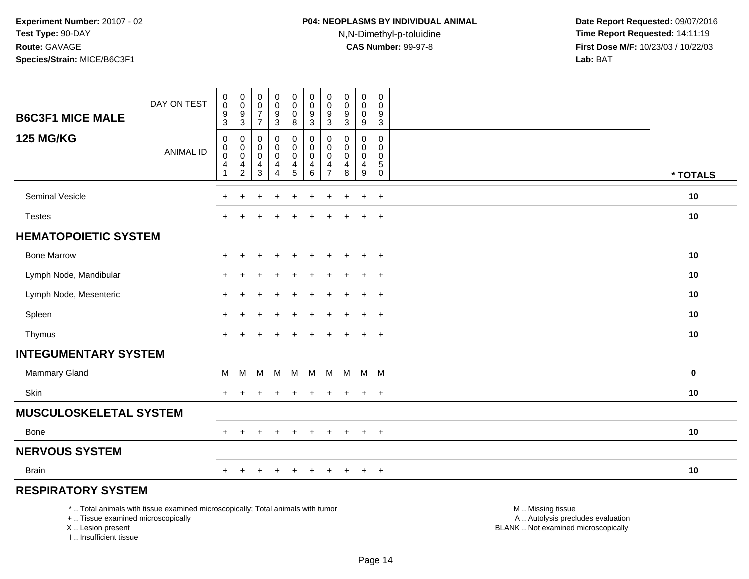## **P04: NEOPLASMS BY INDIVIDUAL ANIMAL**N,N-Dimethyl-p-toluidine

| <b>B6C3F1 MICE MALE</b>                                                         | DAY ON TEST                                                                     | $\pmb{0}$<br>$\mathsf{O}\xspace$<br>$\boldsymbol{9}$ | $\pmb{0}$<br>$\mathsf 0$<br>$\boldsymbol{9}$ | $\mathbf 0$<br>$\mathbf 0$<br>$\overline{7}$ | $\pmb{0}$<br>$\mathbf 0$<br>$9\,$          | $\pmb{0}$<br>$\mathbf 0$<br>$\mathbf 0$    | $\pmb{0}$<br>$\mathbf 0$<br>9                | $\pmb{0}$<br>$\mathbf 0$<br>9        | $\pmb{0}$<br>0<br>9        | $\pmb{0}$<br>$\mathbf 0$<br>$\mathbf 0$                     | 0<br>$\mathbf 0$<br>9                         |                                                                                               |          |
|---------------------------------------------------------------------------------|---------------------------------------------------------------------------------|------------------------------------------------------|----------------------------------------------|----------------------------------------------|--------------------------------------------|--------------------------------------------|----------------------------------------------|--------------------------------------|----------------------------|-------------------------------------------------------------|-----------------------------------------------|-----------------------------------------------------------------------------------------------|----------|
|                                                                                 |                                                                                 | 3                                                    | $\mathfrak{S}$                               | $\overline{7}$                               | $\mathbf{3}$                               | 8                                          | $\mathbf{3}$                                 | 3                                    | $\mathfrak{Z}$             | 9                                                           | $\mathbf{3}$                                  |                                                                                               |          |
| <b>125 MG/KG</b>                                                                | <b>ANIMAL ID</b>                                                                | $\pmb{0}$<br>$\pmb{0}$<br>$\ddot{\mathbf{0}}$<br>4   | $\pmb{0}$<br>$\mathsf 0$<br>$\mathbf 0$<br>4 | $\mathbf 0$<br>0<br>$\mathbf 0$<br>4         | $\pmb{0}$<br>$\mathbf 0$<br>$\pmb{0}$<br>4 | 0<br>$\pmb{0}$<br>$\mathsf{O}\xspace$<br>4 | $\mathsf 0$<br>$\pmb{0}$<br>$\mathbf 0$<br>4 | $\mathbf 0$<br>$\mathbf 0$<br>0<br>4 | 0<br>0<br>$\mathbf 0$<br>4 | $\mathbf 0$<br>$\mathbf 0$<br>$\mathbf 0$<br>$\overline{4}$ | 0<br>$\mathbf 0$<br>$\mathbf 0$<br>$\sqrt{5}$ |                                                                                               |          |
|                                                                                 |                                                                                 | $\mathbf{1}$                                         | $\overline{2}$                               | $\mathbf{3}$                                 | $\overline{4}$                             | $5\,$                                      | 6                                            | $\overline{7}$                       | 8                          | $\boldsymbol{9}$                                            | $\pmb{0}$                                     |                                                                                               | * TOTALS |
| <b>Seminal Vesicle</b>                                                          |                                                                                 |                                                      |                                              |                                              |                                            |                                            |                                              |                                      |                            |                                                             | $\overline{+}$                                |                                                                                               | 10       |
| Testes                                                                          |                                                                                 |                                                      |                                              |                                              |                                            |                                            |                                              |                                      |                            |                                                             | $\ddot{}$                                     |                                                                                               | 10       |
| <b>HEMATOPOIETIC SYSTEM</b>                                                     |                                                                                 |                                                      |                                              |                                              |                                            |                                            |                                              |                                      |                            |                                                             |                                               |                                                                                               |          |
| <b>Bone Marrow</b>                                                              |                                                                                 |                                                      |                                              |                                              |                                            |                                            |                                              |                                      |                            |                                                             | $+$                                           |                                                                                               | 10       |
| Lymph Node, Mandibular                                                          |                                                                                 |                                                      |                                              |                                              |                                            |                                            |                                              |                                      |                            |                                                             | $\ddot{}$                                     |                                                                                               | 10       |
| Lymph Node, Mesenteric                                                          |                                                                                 |                                                      |                                              |                                              |                                            |                                            |                                              |                                      |                            |                                                             | $\overline{ }$                                |                                                                                               | 10       |
| Spleen                                                                          |                                                                                 |                                                      |                                              |                                              |                                            |                                            |                                              |                                      |                            |                                                             | $\overline{+}$                                |                                                                                               | 10       |
| Thymus                                                                          |                                                                                 | $+$                                                  | $\pm$                                        |                                              |                                            |                                            |                                              |                                      |                            | $\ddot{}$                                                   | $+$                                           |                                                                                               | 10       |
| <b>INTEGUMENTARY SYSTEM</b>                                                     |                                                                                 |                                                      |                                              |                                              |                                            |                                            |                                              |                                      |                            |                                                             |                                               |                                                                                               |          |
| <b>Mammary Gland</b>                                                            |                                                                                 | М                                                    | M                                            | м                                            | M                                          | M                                          | M                                            | M                                    | M                          | M M                                                         |                                               |                                                                                               | $\bf{0}$ |
| Skin                                                                            |                                                                                 |                                                      |                                              |                                              |                                            |                                            |                                              |                                      |                            | $\pm$                                                       | $\overline{+}$                                |                                                                                               | 10       |
| <b>MUSCULOSKELETAL SYSTEM</b>                                                   |                                                                                 |                                                      |                                              |                                              |                                            |                                            |                                              |                                      |                            |                                                             |                                               |                                                                                               |          |
| Bone                                                                            |                                                                                 |                                                      | $\ddot{}$                                    | +                                            | $\ddot{}$                                  | $+$                                        | $\ddot{}$                                    | $+$                                  | $+$                        | $+$                                                         | $+$                                           |                                                                                               | 10       |
| <b>NERVOUS SYSTEM</b>                                                           |                                                                                 |                                                      |                                              |                                              |                                            |                                            |                                              |                                      |                            |                                                             |                                               |                                                                                               |          |
| <b>Brain</b>                                                                    |                                                                                 | $+$                                                  | $\ddot{}$                                    |                                              |                                            |                                            |                                              | ÷                                    |                            | $+$                                                         | $+$                                           |                                                                                               | 10       |
| <b>RESPIRATORY SYSTEM</b>                                                       |                                                                                 |                                                      |                                              |                                              |                                            |                                            |                                              |                                      |                            |                                                             |                                               |                                                                                               |          |
| +  Tissue examined microscopically<br>X Lesion present<br>I Insufficient tissue | *  Total animals with tissue examined microscopically; Total animals with tumor |                                                      |                                              |                                              |                                            |                                            |                                              |                                      |                            |                                                             |                                               | M  Missing tissue<br>A  Autolysis precludes evaluation<br>BLANK  Not examined microscopically |          |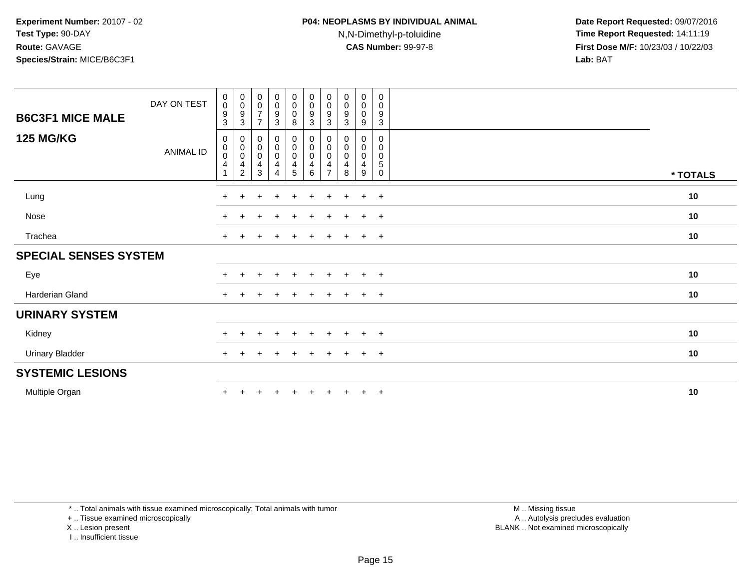| <b>B6C3F1 MICE MALE</b>      | DAY ON TEST      | 0<br>$\pmb{0}$<br>9      | $\boldsymbol{0}$<br>$\pmb{0}$<br>9                                                           | $\begin{smallmatrix} 0\\0 \end{smallmatrix}$<br>$\overline{7}$ | $_{\rm 0}^{\rm 0}$<br>9                                                  | $\begin{smallmatrix} 0\\0 \end{smallmatrix}$<br>$\pmb{0}$ | 0<br>$\mathbf 0$<br>9                   | $\pmb{0}$<br>0<br>9 | $\pmb{0}$<br>$\pmb{0}$<br>9   | $\mathbf 0$<br>$\mathbf 0$<br>$\mathbf 0$              | 0<br>$\mathbf 0$<br>$9\,$                                            |          |
|------------------------------|------------------|--------------------------|----------------------------------------------------------------------------------------------|----------------------------------------------------------------|--------------------------------------------------------------------------|-----------------------------------------------------------|-----------------------------------------|---------------------|-------------------------------|--------------------------------------------------------|----------------------------------------------------------------------|----------|
|                              |                  | 3                        | $\sqrt{3}$                                                                                   | $\overline{7}$                                                 | $\sqrt{3}$                                                               | $\,8\,$                                                   | 3                                       | 3                   | 3                             | 9                                                      | $\mathbf{3}$                                                         |          |
| <b>125 MG/KG</b>             | <b>ANIMAL ID</b> | 0<br>$\pmb{0}$<br>0<br>4 | 0<br>$\begin{smallmatrix}0\\0\end{smallmatrix}$<br>$\overline{\mathbf{4}}$<br>$\overline{c}$ | $\begin{smallmatrix}0\\0\\0\end{smallmatrix}$<br>4<br>3        | $\begin{smallmatrix} 0\\0 \end{smallmatrix}$<br>$\overline{0}$<br>4<br>4 | $_{\rm 0}^{\rm 0}$<br>$\pmb{0}$<br>$\overline{4}$<br>5    | 0<br>$\pmb{0}$<br>$\mathbf 0$<br>4<br>6 | 0<br>0<br>$\Omega$  | 0<br>0<br>$\pmb{0}$<br>4<br>8 | $\mathbf 0$<br>0<br>$\mathbf 0$<br>$\overline{4}$<br>9 | $\mathbf 0$<br>$\mathbf 0$<br>$\pmb{0}$<br>$\sqrt{5}$<br>$\mathbf 0$ | * TOTALS |
| Lung                         |                  | $\ddot{}$                | $\pm$                                                                                        | $\ddot{}$                                                      | $\pm$                                                                    | $\ddot{}$                                                 | $\pm$                                   | $\pm$               | $\overline{+}$                | $\ddot{}$                                              | $+$                                                                  | 10       |
| Nose                         |                  | $+$                      | $+$                                                                                          | $\overline{+}$                                                 | $\ddot{}$                                                                | $+$                                                       | $\ddot{}$                               | $+$                 | $+$                           | $+$                                                    | $+$                                                                  | 10       |
| Trachea                      |                  | $\ddot{}$                | $\pm$                                                                                        | $\pm$                                                          | $\ddot{}$                                                                | $\pm$                                                     | $\ddot{}$                               | $+$                 | $\ddot{}$                     | $+$                                                    | $+$                                                                  | 10       |
| <b>SPECIAL SENSES SYSTEM</b> |                  |                          |                                                                                              |                                                                |                                                                          |                                                           |                                         |                     |                               |                                                        |                                                                      |          |
| Eye                          |                  | $\pm$                    | $\pm$                                                                                        | $\div$                                                         | $+$                                                                      | $\ddot{}$                                                 | $\pm$                                   | $+$                 | $\pm$                         | $+$                                                    | $+$                                                                  | 10       |
| Harderian Gland              |                  | $+$                      | $+$                                                                                          | $\pm$                                                          | $\overline{+}$                                                           | $\overline{+}$                                            | $\ddot{}$                               | $+$                 | $+$                           | $+$                                                    | $+$                                                                  | 10       |
| <b>URINARY SYSTEM</b>        |                  |                          |                                                                                              |                                                                |                                                                          |                                                           |                                         |                     |                               |                                                        |                                                                      |          |
| Kidney                       |                  | $\ddot{}$                | $+$                                                                                          | $\pm$                                                          | $\pm$                                                                    | $\pm$                                                     | $\pm$                                   | $\pm$               | $\overline{+}$                | $+$                                                    | $+$                                                                  | 10       |
| <b>Urinary Bladder</b>       |                  | $+$                      | $\pm$                                                                                        | $\ddot{}$                                                      | $+$                                                                      | $\ddot{}$                                                 | $\ddot{}$                               | $+$                 | $+$                           | $+$                                                    | $+$                                                                  | 10       |
| <b>SYSTEMIC LESIONS</b>      |                  |                          |                                                                                              |                                                                |                                                                          |                                                           |                                         |                     |                               |                                                        |                                                                      |          |
| Multiple Organ               |                  | $\ddot{}$                |                                                                                              |                                                                | $\ddot{}$                                                                |                                                           |                                         |                     | $+$                           | $+$                                                    | $+$                                                                  | 10       |

\* .. Total animals with tissue examined microscopically; Total animals with tumor

+ .. Tissue examined microscopically

X .. Lesion present

I .. Insufficient tissue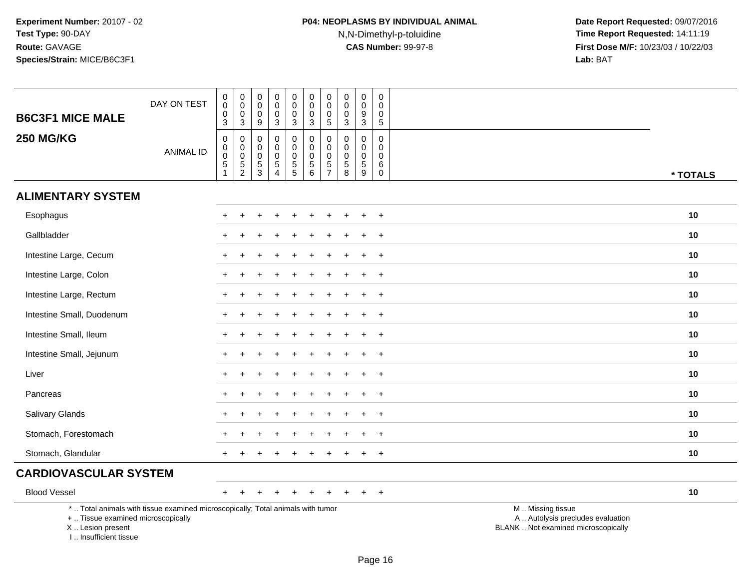# **P04: NEOPLASMS BY INDIVIDUAL ANIMAL**N,N-Dimethyl-p-toluidine

| <b>B6C3F1 MICE MALE</b>                                                          | DAY ON TEST                                                                     | $\pmb{0}$<br>$\pmb{0}$<br>$\pmb{0}$<br>$\mathbf{3}$       | $\pmb{0}$<br>$\pmb{0}$<br>$\mathbf 0$<br>$\mathbf{3}$                 | $\pmb{0}$<br>$\mathbf 0$<br>0<br>$9\,$                                  | $\pmb{0}$<br>$\mathbf 0$<br>0<br>3                                             | $\pmb{0}$<br>$\pmb{0}$<br>$\pmb{0}$<br>3                 | $\pmb{0}$<br>$\pmb{0}$<br>$\mathbf 0$<br>$\sqrt{3}$                            | $\pmb{0}$<br>$\mathbf 0$<br>0<br>$\sqrt{5}$                | $\mathbf 0$<br>$\mathbf 0$<br>0<br>3             | $\pmb{0}$<br>$\pmb{0}$<br>$\boldsymbol{9}$<br>$\mathbf{3}$              | $\mathbf 0$<br>$\Omega$<br>0<br>$\sqrt{5}$                 |                                                                                               |
|----------------------------------------------------------------------------------|---------------------------------------------------------------------------------|-----------------------------------------------------------|-----------------------------------------------------------------------|-------------------------------------------------------------------------|--------------------------------------------------------------------------------|----------------------------------------------------------|--------------------------------------------------------------------------------|------------------------------------------------------------|--------------------------------------------------|-------------------------------------------------------------------------|------------------------------------------------------------|-----------------------------------------------------------------------------------------------|
| <b>250 MG/KG</b>                                                                 | <b>ANIMAL ID</b>                                                                | 0<br>$\pmb{0}$<br>$\pmb{0}$<br>$\sqrt{5}$<br>$\mathbf{1}$ | $\mathbf 0$<br>$\pmb{0}$<br>$\pmb{0}$<br>$\sqrt{5}$<br>$\overline{2}$ | 0<br>$\mathbf 0$<br>$\mathsf{O}\xspace$<br>$\sqrt{5}$<br>$\overline{3}$ | $\mathbf 0$<br>$\mathbf 0$<br>$\mathbf 0$<br>$5\phantom{.0}$<br>$\overline{4}$ | $\mathbf 0$<br>$\mathbf 0$<br>$\pmb{0}$<br>$\frac{5}{5}$ | $\mathbf 0$<br>$\pmb{0}$<br>$\pmb{0}$<br>$\begin{array}{c} 5 \\ 6 \end{array}$ | $\mathbf 0$<br>$\mathbf 0$<br>$\mathbf 0$<br>$\frac{5}{7}$ | 0<br>$\mathbf 0$<br>$\pmb{0}$<br>$\sqrt{5}$<br>8 | $\mathbf 0$<br>$\mathbf 0$<br>$\pmb{0}$<br>$\sqrt{5}$<br>$\overline{9}$ | $\mathbf 0$<br>$\Omega$<br>$\mathbf 0$<br>6<br>$\mathbf 0$ | * TOTALS                                                                                      |
| <b>ALIMENTARY SYSTEM</b>                                                         |                                                                                 |                                                           |                                                                       |                                                                         |                                                                                |                                                          |                                                                                |                                                            |                                                  |                                                                         |                                                            |                                                                                               |
| Esophagus                                                                        |                                                                                 | +                                                         |                                                                       |                                                                         |                                                                                | $\ddot{}$                                                | $\ddot{}$                                                                      | ÷                                                          | $\div$                                           |                                                                         | $\ddot{}$                                                  | 10                                                                                            |
| Gallbladder                                                                      |                                                                                 |                                                           |                                                                       |                                                                         |                                                                                |                                                          |                                                                                |                                                            |                                                  |                                                                         | $\overline{ }$                                             | 10                                                                                            |
| Intestine Large, Cecum                                                           |                                                                                 |                                                           |                                                                       |                                                                         |                                                                                |                                                          |                                                                                |                                                            |                                                  |                                                                         | $\div$                                                     | 10                                                                                            |
| Intestine Large, Colon                                                           |                                                                                 | $\ddot{}$                                                 |                                                                       |                                                                         |                                                                                |                                                          |                                                                                |                                                            |                                                  |                                                                         | $\overline{+}$                                             | 10                                                                                            |
| Intestine Large, Rectum                                                          |                                                                                 |                                                           |                                                                       |                                                                         |                                                                                |                                                          |                                                                                |                                                            |                                                  |                                                                         | $\overline{1}$                                             | 10                                                                                            |
| Intestine Small, Duodenum                                                        |                                                                                 |                                                           |                                                                       |                                                                         |                                                                                |                                                          |                                                                                |                                                            |                                                  |                                                                         | $\overline{1}$                                             | 10                                                                                            |
| Intestine Small, Ileum                                                           |                                                                                 | $\div$                                                    |                                                                       |                                                                         |                                                                                |                                                          |                                                                                |                                                            |                                                  |                                                                         | $\overline{+}$                                             | 10                                                                                            |
| Intestine Small, Jejunum                                                         |                                                                                 |                                                           |                                                                       |                                                                         |                                                                                |                                                          |                                                                                |                                                            |                                                  |                                                                         | $\div$                                                     | 10                                                                                            |
| Liver                                                                            |                                                                                 |                                                           |                                                                       |                                                                         |                                                                                |                                                          |                                                                                |                                                            |                                                  |                                                                         | $\div$                                                     | 10                                                                                            |
| Pancreas                                                                         |                                                                                 | $\ddot{}$                                                 |                                                                       |                                                                         |                                                                                |                                                          |                                                                                |                                                            |                                                  |                                                                         | $\overline{+}$                                             | 10                                                                                            |
| Salivary Glands                                                                  |                                                                                 |                                                           |                                                                       |                                                                         |                                                                                |                                                          |                                                                                |                                                            |                                                  |                                                                         | $\ddot{}$                                                  | 10                                                                                            |
| Stomach, Forestomach                                                             |                                                                                 |                                                           |                                                                       |                                                                         |                                                                                |                                                          |                                                                                |                                                            |                                                  |                                                                         | $\overline{ }$                                             | 10                                                                                            |
| Stomach, Glandular                                                               |                                                                                 | +                                                         |                                                                       |                                                                         |                                                                                |                                                          |                                                                                |                                                            |                                                  |                                                                         | $\ddot{}$                                                  | 10                                                                                            |
| <b>CARDIOVASCULAR SYSTEM</b>                                                     |                                                                                 |                                                           |                                                                       |                                                                         |                                                                                |                                                          |                                                                                |                                                            |                                                  |                                                                         |                                                            |                                                                                               |
| <b>Blood Vessel</b>                                                              |                                                                                 | $+$                                                       | $\ddot{}$                                                             | $\ddot{}$                                                               | $\ddot{}$                                                                      | $\ddot{}$                                                | $\ddot{}$                                                                      | $\pm$                                                      | $\pm$                                            |                                                                         | $+$                                                        | 10                                                                                            |
| +  Tissue examined microscopically<br>X  Lesion present<br>I Insufficient tissue | *  Total animals with tissue examined microscopically; Total animals with tumor |                                                           |                                                                       |                                                                         |                                                                                |                                                          |                                                                                |                                                            |                                                  |                                                                         |                                                            | M  Missing tissue<br>A  Autolysis precludes evaluation<br>BLANK  Not examined microscopically |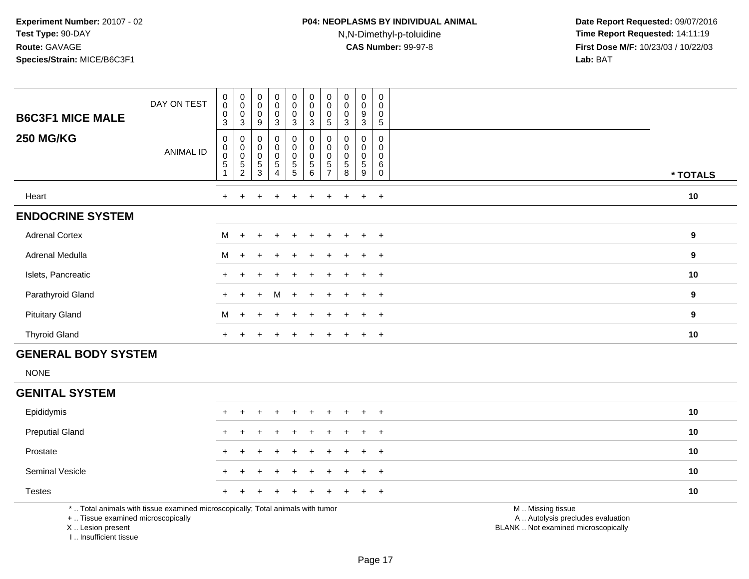### **P04: NEOPLASMS BY INDIVIDUAL ANIMAL**N,N-Dimethyl-p-toluidine

 **Date Report Requested:** 09/07/2016 **Time Report Requested:** 14:11:19 **First Dose M/F:** 10/23/03 / 10/22/03<br>**Lab:** BAT **Lab:** BAT

| <b>B6C3F1 MICE MALE</b><br><b>250 MG/KG</b> | DAY ON TEST<br>ANIMAL ID | $\pmb{0}$<br>$\mathbf 0$<br>$\pmb{0}$<br>3<br>0<br>$\pmb{0}$<br>$\pmb{0}$<br>$\mathbf 5$ | $\begin{smallmatrix} 0\\0\\0\\0 \end{smallmatrix}$<br>3<br>$\boldsymbol{0}$<br>$\begin{smallmatrix}0\\0\end{smallmatrix}$ | $_{\rm 0}^{\rm 0}$<br>$\pmb{0}$<br>9<br>$\pmb{0}$<br>$\begin{smallmatrix} 0\\0 \end{smallmatrix}$ | $\begin{smallmatrix} 0\\0 \end{smallmatrix}$<br>$\pmb{0}$<br>3<br>$\mathbf 0$<br>$\begin{matrix} 0 \\ 0 \\ 5 \end{matrix}$ | $\begin{matrix} 0 \\ 0 \\ 0 \end{matrix}$<br>$\mathbf{3}$<br>$\pmb{0}$<br>$\begin{smallmatrix} 0\\0 \end{smallmatrix}$ | $_{\rm 0}^{\rm 0}$<br>$\mathsf 0$<br>3<br>0<br>$\mathbf 0$<br>$\mathbf 0$<br>5 | $_{\rm 0}^{\rm 0}$<br>$\pmb{0}$<br>5<br>$\mathbf 0$<br>$\mathbf 0$ | $\begin{smallmatrix}0\0\0\end{smallmatrix}$<br>0<br>3<br>0<br>$\begin{smallmatrix}0\0\0\end{smallmatrix}$ | 0<br>0<br>9<br>$\mathbf{3}$<br>0<br>0<br>0 | $\mathbf 0$<br>$\pmb{0}$<br>$\pmb{0}$<br>5<br>$\mathbf 0$<br>0<br>$\mathbf 0$ |          |
|---------------------------------------------|--------------------------|------------------------------------------------------------------------------------------|---------------------------------------------------------------------------------------------------------------------------|---------------------------------------------------------------------------------------------------|----------------------------------------------------------------------------------------------------------------------------|------------------------------------------------------------------------------------------------------------------------|--------------------------------------------------------------------------------|--------------------------------------------------------------------|-----------------------------------------------------------------------------------------------------------|--------------------------------------------|-------------------------------------------------------------------------------|----------|
|                                             |                          |                                                                                          | $\frac{5}{2}$                                                                                                             | $\frac{5}{3}$                                                                                     | $\overline{4}$                                                                                                             | $\begin{array}{c} 5 \\ 5 \end{array}$                                                                                  | 6                                                                              | 5                                                                  | $\mathbf 5$<br>8                                                                                          | $\,$ 5 $\,$<br>9                           | $6\phantom{1}6$<br>$\mathbf 0$                                                | * TOTALS |
| Heart                                       |                          | $+$                                                                                      | $+$                                                                                                                       | $\ddot{}$                                                                                         | $+$                                                                                                                        | $+$                                                                                                                    | $\ddot{}$                                                                      | $^+$                                                               | $+$                                                                                                       | $+$                                        | $+$                                                                           | 10       |
| <b>ENDOCRINE SYSTEM</b>                     |                          |                                                                                          |                                                                                                                           |                                                                                                   |                                                                                                                            |                                                                                                                        |                                                                                |                                                                    |                                                                                                           |                                            |                                                                               |          |
| <b>Adrenal Cortex</b>                       |                          | M                                                                                        | $+$                                                                                                                       | $+$                                                                                               | $+$                                                                                                                        | $\ddot{}$                                                                                                              | $\ddot{}$                                                                      |                                                                    | $\ddot{}$                                                                                                 | $\pm$                                      | $+$                                                                           | 9        |
| Adrenal Medulla                             |                          | M                                                                                        | $+$                                                                                                                       | $+$                                                                                               | $+$                                                                                                                        | $+$                                                                                                                    | $+$                                                                            | $+$                                                                | $+$                                                                                                       | $+$                                        | $+$                                                                           | 9        |
| Islets, Pancreatic                          |                          | $\div$                                                                                   |                                                                                                                           | $\pm$                                                                                             | $+$                                                                                                                        | $\pm$                                                                                                                  | $+$                                                                            | $+$                                                                | $+$                                                                                                       | $+$                                        | $+$                                                                           | 10       |
| Parathyroid Gland                           |                          | $+$                                                                                      | $+$                                                                                                                       | $+$                                                                                               | M                                                                                                                          | $+$                                                                                                                    | $+$                                                                            | $+$                                                                | $+$                                                                                                       | $+$                                        | $+$                                                                           | 9        |
| <b>Pituitary Gland</b>                      |                          | M                                                                                        | $+$                                                                                                                       | $+$                                                                                               | $+$                                                                                                                        | $\pm$                                                                                                                  | $\ddot{}$                                                                      |                                                                    | $\pm$                                                                                                     | $+$                                        | $+$                                                                           | 9        |
| <b>Thyroid Gland</b>                        |                          | $\ddot{}$                                                                                |                                                                                                                           |                                                                                                   |                                                                                                                            |                                                                                                                        |                                                                                |                                                                    |                                                                                                           | $\pm$                                      | $+$                                                                           | 10       |

#### **GENERAL BODY SYSTEM**

NONE

#### **GENITAL SYSTEM**

| Epididymis             |  | + + + + + + + + + + |  |  |  |  | 10 |
|------------------------|--|---------------------|--|--|--|--|----|
| <b>Preputial Gland</b> |  | + + + + + + + + + + |  |  |  |  | 10 |
| Prostate               |  | + + + + + + + + + + |  |  |  |  | 10 |
| <b>Seminal Vesicle</b> |  | + + + + + + + + + + |  |  |  |  | 10 |
| <b>Testes</b>          |  | + + + + + + + + + + |  |  |  |  | 10 |
|                        |  |                     |  |  |  |  |    |

\* .. Total animals with tissue examined microscopically; Total animals with tumor

+ .. Tissue examined microscopically

X .. Lesion present

I .. Insufficient tissue

M .. Missing tissue

y the contract of the contract of the contract of the contract of the contract of the contract of the contract of  $A$ . Autolysis precludes evaluation

Lesion present BLANK .. Not examined microscopically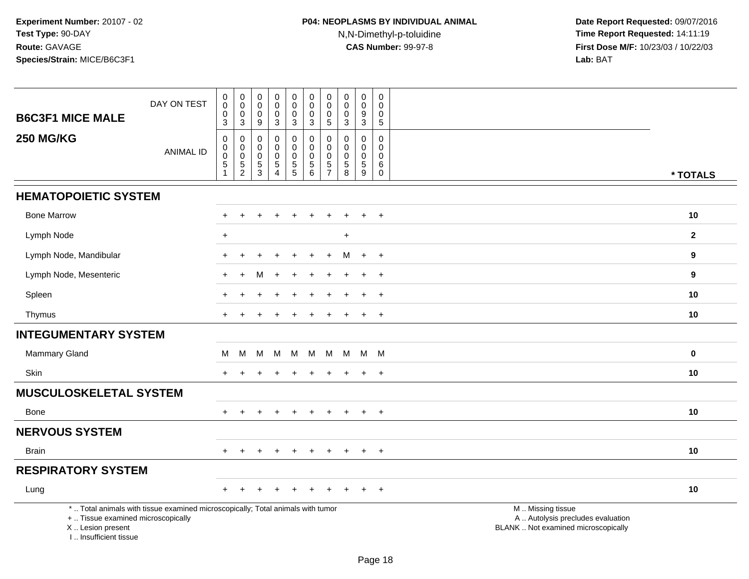# **P04: NEOPLASMS BY INDIVIDUAL ANIMAL**N,N-Dimethyl-p-toluidine

| <b>B6C3F1 MICE MALE</b>                                                          | DAY ON TEST                                                                     | $_{\rm 0}^{\rm 0}$<br>$\pmb{0}$<br>$\overline{3}$ | $\begin{smallmatrix} 0\\0 \end{smallmatrix}$<br>$\frac{0}{3}$  | $\mathbf 0$<br>$\mathsf{O}\xspace$<br>$\mathbf 0$<br>$\boldsymbol{9}$ | $\mathbf 0$<br>$\mathbf 0$<br>$\mathbf 0$<br>$\mathbf{3}$               | $\mathbf 0$<br>$\ddot{\mathbf{0}}$<br>$\mathbf 0$<br>$\overline{3}$ | $\pmb{0}$<br>$\ddot{\mathbf{0}}$<br>$\mathsf 0$<br>$\overline{3}$              | $\mathbf 0$<br>$\overline{0}$<br>$\mathbf 0$<br>$\overline{5}$ | $\mathbf 0$<br>$\mathsf{O}\xspace$<br>0<br>$\mathbf{3}$               | $\boldsymbol{0}$<br>$\ddot{\mathbf{0}}$<br>9<br>$\overline{3}$  | 0<br>$\mathbf 0$<br>0<br>$\sqrt{5}$              |                                                                                               |              |
|----------------------------------------------------------------------------------|---------------------------------------------------------------------------------|---------------------------------------------------|----------------------------------------------------------------|-----------------------------------------------------------------------|-------------------------------------------------------------------------|---------------------------------------------------------------------|--------------------------------------------------------------------------------|----------------------------------------------------------------|-----------------------------------------------------------------------|-----------------------------------------------------------------|--------------------------------------------------|-----------------------------------------------------------------------------------------------|--------------|
| <b>250 MG/KG</b>                                                                 | <b>ANIMAL ID</b>                                                                | $\pmb{0}$<br>0<br>$\pmb{0}$<br>$\,$ 5 $\,$<br>1   | $\pmb{0}$<br>$\pmb{0}$<br>$\ddot{\mathbf{0}}$<br>$\frac{5}{2}$ | $\mathbf 0$<br>$\mathbf 0$<br>$\mathbf 0$<br>$\frac{5}{3}$            | $\pmb{0}$<br>$\mathbf 0$<br>$\mathbf 0$<br>$\sqrt{5}$<br>$\overline{4}$ | 0<br>0<br>$\mathbf 0$<br>$\begin{array}{c} 5 \\ 5 \end{array}$      | $\pmb{0}$<br>$\mathsf 0$<br>$\pmb{0}$<br>$\begin{array}{c} 5 \\ 6 \end{array}$ | 0<br>$\mathbf 0$<br>$\mathbf 0$<br>$\frac{5}{7}$               | $\mathbf 0$<br>$\Omega$<br>0<br>$\begin{array}{c} 5 \\ 8 \end{array}$ | $\boldsymbol{0}$<br>$\mathbf 0$<br>$\mathbf 0$<br>$\frac{5}{9}$ | 0<br>$\Omega$<br>$\mathbf 0$<br>6<br>$\mathbf 0$ |                                                                                               | * TOTALS     |
| <b>HEMATOPOIETIC SYSTEM</b>                                                      |                                                                                 |                                                   |                                                                |                                                                       |                                                                         |                                                                     |                                                                                |                                                                |                                                                       |                                                                 |                                                  |                                                                                               |              |
| <b>Bone Marrow</b>                                                               |                                                                                 |                                                   |                                                                |                                                                       |                                                                         |                                                                     |                                                                                |                                                                |                                                                       |                                                                 | $+$                                              |                                                                                               | 10           |
| Lymph Node                                                                       |                                                                                 | $\ddot{}$                                         |                                                                |                                                                       |                                                                         |                                                                     |                                                                                |                                                                | $+$                                                                   |                                                                 |                                                  |                                                                                               | $\mathbf{2}$ |
| Lymph Node, Mandibular                                                           |                                                                                 | $\pm$                                             | $\ddot{}$                                                      |                                                                       |                                                                         | $\ddot{}$                                                           |                                                                                | $\ddot{}$                                                      | м                                                                     | $+$                                                             | $+$                                              |                                                                                               | 9            |
| Lymph Node, Mesenteric                                                           |                                                                                 |                                                   | ÷                                                              |                                                                       |                                                                         |                                                                     |                                                                                |                                                                |                                                                       | $\div$                                                          | $+$                                              |                                                                                               | 9            |
| Spleen                                                                           |                                                                                 |                                                   |                                                                |                                                                       |                                                                         |                                                                     |                                                                                |                                                                |                                                                       |                                                                 | $\overline{+}$                                   |                                                                                               | 10           |
| Thymus                                                                           |                                                                                 | $+$                                               |                                                                |                                                                       |                                                                         |                                                                     |                                                                                |                                                                |                                                                       | $\ddot{}$                                                       | $+$                                              |                                                                                               | 10           |
| <b>INTEGUMENTARY SYSTEM</b>                                                      |                                                                                 |                                                   |                                                                |                                                                       |                                                                         |                                                                     |                                                                                |                                                                |                                                                       |                                                                 |                                                  |                                                                                               |              |
| <b>Mammary Gland</b>                                                             |                                                                                 | M                                                 | M                                                              | М                                                                     | м                                                                       | M                                                                   | M                                                                              | M                                                              | M                                                                     |                                                                 | M M                                              |                                                                                               | 0            |
| <b>Skin</b>                                                                      |                                                                                 |                                                   |                                                                |                                                                       |                                                                         |                                                                     |                                                                                |                                                                |                                                                       | $\pm$                                                           | $\overline{+}$                                   |                                                                                               | 10           |
| <b>MUSCULOSKELETAL SYSTEM</b>                                                    |                                                                                 |                                                   |                                                                |                                                                       |                                                                         |                                                                     |                                                                                |                                                                |                                                                       |                                                                 |                                                  |                                                                                               |              |
| <b>Bone</b>                                                                      |                                                                                 | $+$                                               | $\pm$                                                          | +                                                                     | $\div$                                                                  | $\ddot{}$                                                           | $\ddot{}$                                                                      | $+$                                                            | $\ddot{}$                                                             | $+$                                                             | $+$                                              |                                                                                               | 10           |
| <b>NERVOUS SYSTEM</b>                                                            |                                                                                 |                                                   |                                                                |                                                                       |                                                                         |                                                                     |                                                                                |                                                                |                                                                       |                                                                 |                                                  |                                                                                               |              |
| <b>Brain</b>                                                                     |                                                                                 |                                                   | $\div$                                                         |                                                                       |                                                                         |                                                                     |                                                                                | $\div$                                                         | $\ddot{}$                                                             | $\pm$                                                           | $+$                                              |                                                                                               | 10           |
| <b>RESPIRATORY SYSTEM</b>                                                        |                                                                                 |                                                   |                                                                |                                                                       |                                                                         |                                                                     |                                                                                |                                                                |                                                                       |                                                                 |                                                  |                                                                                               |              |
| Lung                                                                             |                                                                                 |                                                   |                                                                |                                                                       |                                                                         |                                                                     |                                                                                |                                                                |                                                                       |                                                                 | $+$                                              |                                                                                               | 10           |
| +  Tissue examined microscopically<br>X  Lesion present<br>I Insufficient tissue | *  Total animals with tissue examined microscopically; Total animals with tumor |                                                   |                                                                |                                                                       |                                                                         |                                                                     |                                                                                |                                                                |                                                                       |                                                                 |                                                  | M  Missing tissue<br>A  Autolysis precludes evaluation<br>BLANK  Not examined microscopically |              |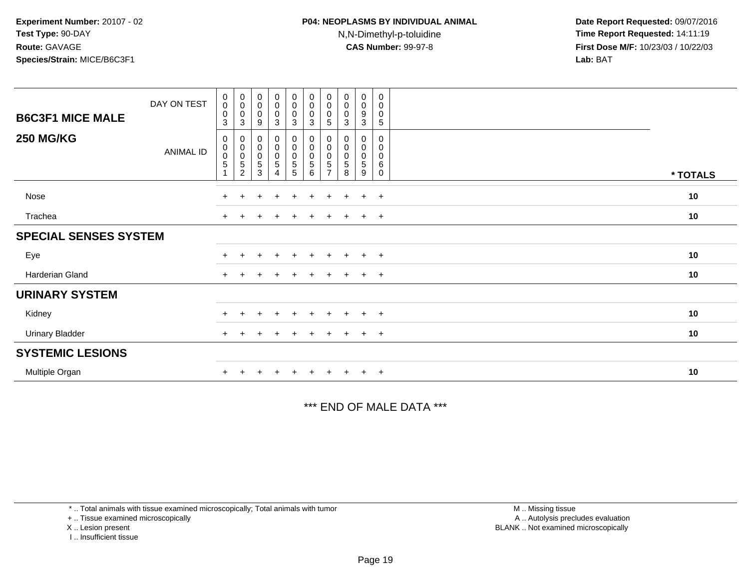| <b>B6C3F1 MICE MALE</b><br><b>250 MG/KG</b> | DAY ON TEST      | $\begin{smallmatrix} 0\\0 \end{smallmatrix}$<br>$\boldsymbol{0}$<br>$\ensuremath{\mathsf{3}}$<br>0 | $\pmb{0}$<br>$\pmb{0}$<br>$\pmb{0}$<br>$\ensuremath{\mathsf{3}}$<br>0 | $\begin{smallmatrix}0\\0\end{smallmatrix}$<br>$\pmb{0}$<br>$\boldsymbol{9}$<br>0 | $\begin{smallmatrix}0\0\0\end{smallmatrix}$<br>$\overline{0}$<br>$\sqrt{3}$<br>$\mathbf 0$ | $_0^0$<br>0<br>3<br>0 | $_{\rm 0}^{\rm 0}$<br>$\pmb{0}$<br>$\mathbf{3}$<br>$\pmb{0}$ | $\begin{smallmatrix} 0\\0 \end{smallmatrix}$<br>0<br>5<br>0 | $\begin{smallmatrix}0\\0\end{smallmatrix}$<br>$\pmb{0}$<br>3<br>0 | $\begin{smallmatrix}0\0\0\end{smallmatrix}$<br>9<br>$\ensuremath{\mathsf{3}}$<br>0 | 0<br>0<br>0<br>5<br>0 |          |
|---------------------------------------------|------------------|----------------------------------------------------------------------------------------------------|-----------------------------------------------------------------------|----------------------------------------------------------------------------------|--------------------------------------------------------------------------------------------|-----------------------|--------------------------------------------------------------|-------------------------------------------------------------|-------------------------------------------------------------------|------------------------------------------------------------------------------------|-----------------------|----------|
|                                             | <b>ANIMAL ID</b> | $\boldsymbol{0}$<br>$\pmb{0}$<br>$\sqrt{5}$                                                        | $\overline{0}$<br>$\mathbf 5$<br>$\overline{2}$                       | $\,0\,$<br>$\mathbf 0$<br>$\mathbf 5$<br>3                                       | $\begin{matrix} 0 \\ 0 \end{matrix}$<br>$\sqrt{5}$<br>4                                    | 0<br>$\frac{0}{5}$    | $\begin{matrix} 0 \\ 0 \\ 5 \end{matrix}$<br>6               | $\pmb{0}$<br>$\pmb{0}$<br>5<br>$\overline{7}$               | $\pmb{0}$<br>$\pmb{0}$<br>5<br>8                                  | $\mathbf 0$<br>$\pmb{0}$<br>5<br>9                                                 | 0<br>0<br>6<br>0      | * TOTALS |
| Nose                                        |                  | $+$                                                                                                | $\div$                                                                |                                                                                  | $\div$                                                                                     | $\pm$                 | $\div$                                                       | $\div$                                                      |                                                                   | $+$                                                                                | $+$                   | 10       |
| Trachea                                     |                  |                                                                                                    |                                                                       |                                                                                  |                                                                                            | $\pm$                 |                                                              |                                                             |                                                                   | $\pm$                                                                              | $+$                   | 10       |
| <b>SPECIAL SENSES SYSTEM</b>                |                  |                                                                                                    |                                                                       |                                                                                  |                                                                                            |                       |                                                              |                                                             |                                                                   |                                                                                    |                       |          |
| Eye                                         |                  |                                                                                                    |                                                                       |                                                                                  | $\ddot{}$                                                                                  | $+$                   | $\ddot{}$                                                    | $\ddot{}$                                                   | $\pm$                                                             | $+$                                                                                | $+$                   | 10       |
| Harderian Gland                             |                  | $+$                                                                                                |                                                                       |                                                                                  | $\div$                                                                                     | $\pm$                 |                                                              | $\div$                                                      |                                                                   | $\pm$                                                                              | $+$                   | 10       |
| <b>URINARY SYSTEM</b>                       |                  |                                                                                                    |                                                                       |                                                                                  |                                                                                            |                       |                                                              |                                                             |                                                                   |                                                                                    |                       |          |
| Kidney                                      |                  |                                                                                                    |                                                                       |                                                                                  | $\pm$                                                                                      | $\ddot{}$             |                                                              | $\pm$                                                       |                                                                   | $\pm$                                                                              | $+$                   | 10       |
| <b>Urinary Bladder</b>                      |                  | $+$                                                                                                |                                                                       |                                                                                  |                                                                                            |                       |                                                              |                                                             |                                                                   | $\pm$                                                                              | $+$                   | 10       |
| <b>SYSTEMIC LESIONS</b>                     |                  |                                                                                                    |                                                                       |                                                                                  |                                                                                            |                       |                                                              |                                                             |                                                                   |                                                                                    |                       |          |
| Multiple Organ                              |                  |                                                                                                    |                                                                       |                                                                                  |                                                                                            |                       |                                                              |                                                             |                                                                   | $+$                                                                                | $+$                   | 10       |

\*\*\* END OF MALE DATA \*\*\*

\* .. Total animals with tissue examined microscopically; Total animals with tumor

+ .. Tissue examined microscopically

X .. Lesion present

I .. Insufficient tissue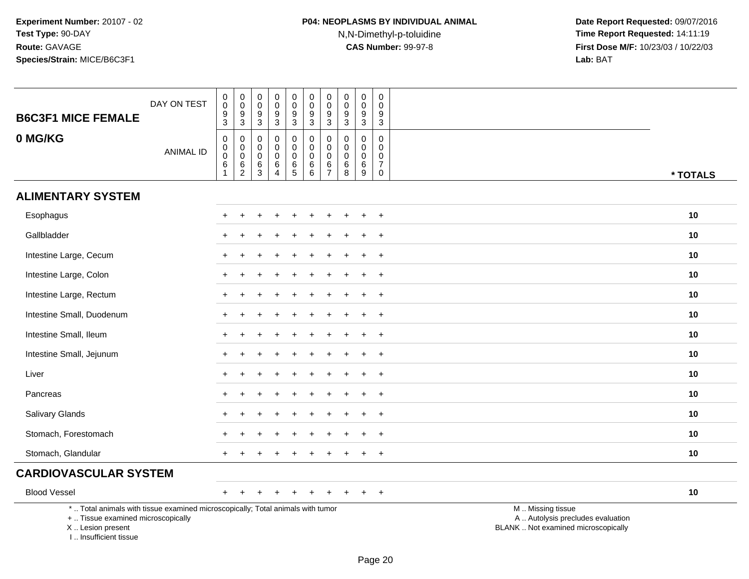# **P04: NEOPLASMS BY INDIVIDUAL ANIMAL**N,N-Dimethyl-p-toluidine

| <b>B6C3F1 MICE FEMALE</b>                                                                                                                                           | DAY ON TEST      | $\boldsymbol{0}$<br>$\ddot{\mathbf{0}}$<br>$^9_3$        | $\pmb{0}$<br>$\mathsf 0$<br>9<br>$\overline{3}$            | $\pmb{0}$<br>$\boldsymbol{0}$<br>$9\,$<br>$\sqrt{3}$           | $\pmb{0}$<br>$\mathsf{O}\xspace$<br>9<br>$\overline{3}$                  | $\mathbf 0$<br>$\frac{0}{9}$<br>$\overline{3}$           | $\pmb{0}$<br>$\frac{0}{9}$<br>$\overline{3}$        | $\pmb{0}$<br>$\mathbf 0$<br>$\boldsymbol{9}$<br>$\overline{3}$         | 0<br>$\mathsf{O}\xspace$<br>9<br>$\sqrt{3}$               | $\pmb{0}$<br>$\pmb{0}$<br>9<br>$\sqrt{3}$               | 0<br>$\mathbf 0$<br>9<br>$\sqrt{3}$                                        |                                                                                               |
|---------------------------------------------------------------------------------------------------------------------------------------------------------------------|------------------|----------------------------------------------------------|------------------------------------------------------------|----------------------------------------------------------------|--------------------------------------------------------------------------|----------------------------------------------------------|-----------------------------------------------------|------------------------------------------------------------------------|-----------------------------------------------------------|---------------------------------------------------------|----------------------------------------------------------------------------|-----------------------------------------------------------------------------------------------|
| 0 MG/KG                                                                                                                                                             | <b>ANIMAL ID</b> | $\mathbf 0$<br>$\overline{0}$<br>$\,6\,$<br>$\mathbf{1}$ | 0<br>$\mathbf 0$<br>$\mathbf 0$<br>$\,6$<br>$\overline{2}$ | $\mathbf 0$<br>$\mathbf 0$<br>$\boldsymbol{0}$<br>$\,6\,$<br>3 | $\mathbf 0$<br>$\mathbf 0$<br>$\mathsf{O}\xspace$<br>6<br>$\overline{4}$ | $\mathsf 0$<br>$\pmb{0}$<br>$\mathbf 0$<br>$\frac{6}{5}$ | $\mathbf 0$<br>$\mathbf 0$<br>$\mathbf 0$<br>$^6_6$ | $\mathbf 0$<br>$\mathbf 0$<br>$\mathbf 0$<br>$\,6\,$<br>$\overline{7}$ | $\mathbf 0$<br>$\mathbf 0$<br>$\mathbf 0$<br>$\,6\,$<br>8 | $\mathbf 0$<br>$\mathbf 0$<br>$\mathbf 0$<br>$\,6$<br>9 | $\mathbf 0$<br>$\mathbf 0$<br>$\mathbf 0$<br>$\overline{7}$<br>$\mathbf 0$ | * TOTALS                                                                                      |
| <b>ALIMENTARY SYSTEM</b>                                                                                                                                            |                  |                                                          |                                                            |                                                                |                                                                          |                                                          |                                                     |                                                                        |                                                           |                                                         |                                                                            |                                                                                               |
| Esophagus                                                                                                                                                           |                  | $\pm$                                                    | $\div$                                                     | ÷                                                              |                                                                          | $\ddot{}$                                                | $\ddot{}$                                           | $\ddot{}$                                                              | $\pm$                                                     | ÷                                                       | $+$                                                                        | 10                                                                                            |
| Gallbladder                                                                                                                                                         |                  |                                                          |                                                            |                                                                |                                                                          |                                                          |                                                     |                                                                        |                                                           |                                                         | $\overline{1}$                                                             | 10                                                                                            |
| Intestine Large, Cecum                                                                                                                                              |                  |                                                          |                                                            |                                                                |                                                                          |                                                          |                                                     |                                                                        |                                                           |                                                         | $\ddot{}$                                                                  | 10                                                                                            |
| Intestine Large, Colon                                                                                                                                              |                  | $+$                                                      |                                                            |                                                                |                                                                          |                                                          |                                                     |                                                                        |                                                           |                                                         | $\overline{ }$                                                             | 10                                                                                            |
| Intestine Large, Rectum                                                                                                                                             |                  |                                                          |                                                            |                                                                |                                                                          |                                                          |                                                     |                                                                        |                                                           |                                                         | $\overline{1}$                                                             | 10                                                                                            |
| Intestine Small, Duodenum                                                                                                                                           |                  |                                                          |                                                            |                                                                |                                                                          |                                                          |                                                     |                                                                        |                                                           |                                                         | $\overline{1}$                                                             | 10                                                                                            |
| Intestine Small, Ileum                                                                                                                                              |                  | $\ddot{}$                                                |                                                            |                                                                |                                                                          |                                                          |                                                     |                                                                        |                                                           | ÷                                                       | $+$                                                                        | 10                                                                                            |
| Intestine Small, Jejunum                                                                                                                                            |                  |                                                          |                                                            |                                                                |                                                                          |                                                          |                                                     |                                                                        |                                                           |                                                         | $\ddot{}$                                                                  | 10                                                                                            |
| Liver                                                                                                                                                               |                  |                                                          |                                                            |                                                                |                                                                          |                                                          |                                                     |                                                                        |                                                           |                                                         | $\ddot{}$                                                                  | 10                                                                                            |
| Pancreas                                                                                                                                                            |                  |                                                          |                                                            |                                                                |                                                                          |                                                          |                                                     |                                                                        |                                                           |                                                         | $\div$                                                                     | 10                                                                                            |
| Salivary Glands                                                                                                                                                     |                  |                                                          |                                                            |                                                                |                                                                          |                                                          |                                                     |                                                                        |                                                           |                                                         | $\overline{ }$                                                             | 10                                                                                            |
| Stomach, Forestomach                                                                                                                                                |                  |                                                          |                                                            |                                                                |                                                                          |                                                          |                                                     |                                                                        |                                                           |                                                         | $\overline{ }$                                                             | 10                                                                                            |
| Stomach, Glandular                                                                                                                                                  |                  |                                                          |                                                            |                                                                |                                                                          |                                                          |                                                     |                                                                        |                                                           |                                                         | $\overline{1}$                                                             | 10                                                                                            |
| <b>CARDIOVASCULAR SYSTEM</b>                                                                                                                                        |                  |                                                          |                                                            |                                                                |                                                                          |                                                          |                                                     |                                                                        |                                                           |                                                         |                                                                            |                                                                                               |
| <b>Blood Vessel</b>                                                                                                                                                 |                  | $+$                                                      |                                                            |                                                                |                                                                          |                                                          |                                                     |                                                                        |                                                           |                                                         | $+$                                                                        | 10                                                                                            |
| *  Total animals with tissue examined microscopically; Total animals with tumor<br>+  Tissue examined microscopically<br>X  Lesion present<br>I Insufficient tissue |                  |                                                          |                                                            |                                                                |                                                                          |                                                          |                                                     |                                                                        |                                                           |                                                         |                                                                            | M  Missing tissue<br>A  Autolysis precludes evaluation<br>BLANK  Not examined microscopically |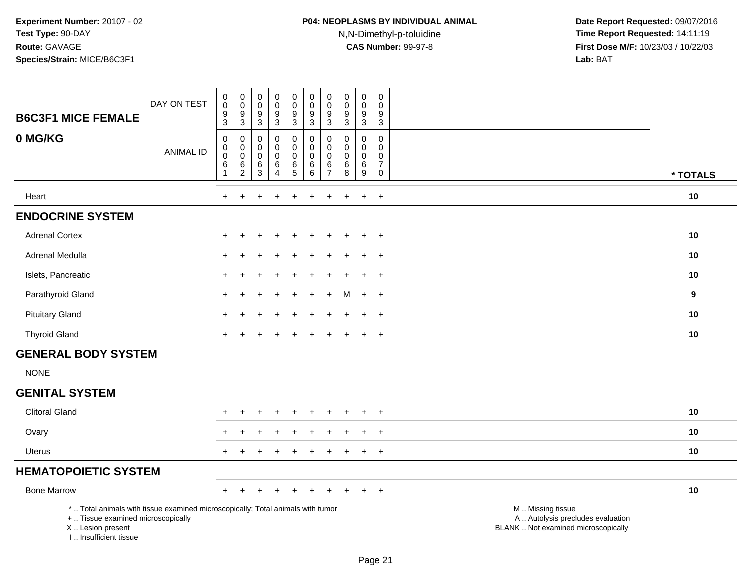| <b>B6C3F1 MICE FEMALE</b>                                                                                                                                           | DAY ON TEST      | $\pmb{0}$<br>$\overline{0}$<br>$\frac{9}{3}$                  | $_{\rm 0}^{\rm 0}$<br>$\frac{9}{3}$                                                 | $\mathbf 0$<br>$\mathsf{O}\xspace$<br>$\boldsymbol{9}$<br>$\sqrt{3}$ | $\mathbf 0$<br>$\mathbf 0$<br>9<br>$\mathbf{3}$                  | $\pmb{0}$<br>$\overline{0}$<br>$\boldsymbol{9}$<br>$\overline{3}$ | $\pmb{0}$<br>$\ddot{\mathbf{0}}$<br>$\boldsymbol{9}$<br>$\overline{3}$ | $\mathbf 0$<br>$\pmb{0}$<br>$\boldsymbol{9}$<br>$\overline{3}$ | $\pmb{0}$<br>$\pmb{0}$<br>$\boldsymbol{9}$<br>$\overline{3}$ | $\pmb{0}$<br>$\ddot{\mathbf{0}}$<br>$\boldsymbol{9}$<br>$\overline{3}$ | 0<br>$\mathbf 0$<br>$\boldsymbol{9}$<br>$\sqrt{3}$                           |                                                                                               |          |
|---------------------------------------------------------------------------------------------------------------------------------------------------------------------|------------------|---------------------------------------------------------------|-------------------------------------------------------------------------------------|----------------------------------------------------------------------|------------------------------------------------------------------|-------------------------------------------------------------------|------------------------------------------------------------------------|----------------------------------------------------------------|--------------------------------------------------------------|------------------------------------------------------------------------|------------------------------------------------------------------------------|-----------------------------------------------------------------------------------------------|----------|
| 0 MG/KG                                                                                                                                                             | <b>ANIMAL ID</b> | $\pmb{0}$<br>$\overline{0}$<br>0<br>$\,6\,$<br>$\overline{1}$ | $\pmb{0}$<br>$\ddot{\mathbf{0}}$<br>$\mathbf 0$<br>$6\phantom{a}$<br>$\overline{c}$ | 0<br>$\mathbf 0$<br>$\mathbf 0$<br>$\,6\,$<br>3                      | $\mathbf 0$<br>$\mathbf 0$<br>$\mathbf 0$<br>6<br>$\overline{4}$ | 0<br>$\pmb{0}$<br>$\mathbf 0$<br>$\,6\,$<br>5                     | 0<br>$\pmb{0}$<br>$\pmb{0}$<br>6<br>6                                  | $\mathbf 0$<br>0<br>$\mathbf 0$<br>6<br>$\overline{7}$         | $\mathbf 0$<br>$\mathbf 0$<br>0<br>$\,6\,$<br>8              | $\mathbf 0$<br>$\pmb{0}$<br>$\mathbf 0$<br>$\,6\,$<br>9                | $\mathbf 0$<br>$\mathbf 0$<br>$\mathsf 0$<br>$\boldsymbol{7}$<br>$\mathbf 0$ |                                                                                               | * TOTALS |
| Heart                                                                                                                                                               |                  | $+$                                                           | $\ddot{}$                                                                           |                                                                      |                                                                  | ÷                                                                 |                                                                        | $\ddot{}$                                                      | +                                                            | $\ddot{}$                                                              | $+$                                                                          |                                                                                               | 10       |
| <b>ENDOCRINE SYSTEM</b>                                                                                                                                             |                  |                                                               |                                                                                     |                                                                      |                                                                  |                                                                   |                                                                        |                                                                |                                                              |                                                                        |                                                                              |                                                                                               |          |
| <b>Adrenal Cortex</b>                                                                                                                                               |                  |                                                               |                                                                                     |                                                                      |                                                                  |                                                                   |                                                                        |                                                                |                                                              |                                                                        | $\overline{ }$                                                               |                                                                                               | 10       |
| Adrenal Medulla                                                                                                                                                     |                  |                                                               |                                                                                     |                                                                      |                                                                  |                                                                   |                                                                        |                                                                |                                                              |                                                                        | $\ddot{}$                                                                    |                                                                                               | 10       |
| Islets, Pancreatic                                                                                                                                                  |                  |                                                               |                                                                                     |                                                                      |                                                                  |                                                                   |                                                                        |                                                                |                                                              |                                                                        | $\overline{ }$                                                               |                                                                                               | 10       |
| Parathyroid Gland                                                                                                                                                   |                  |                                                               |                                                                                     |                                                                      |                                                                  |                                                                   |                                                                        |                                                                | M                                                            | $\div$                                                                 | $+$                                                                          |                                                                                               | 9        |
| <b>Pituitary Gland</b>                                                                                                                                              |                  |                                                               |                                                                                     |                                                                      |                                                                  |                                                                   |                                                                        |                                                                |                                                              |                                                                        | $\ddot{}$                                                                    |                                                                                               | 10       |
| <b>Thyroid Gland</b>                                                                                                                                                |                  |                                                               |                                                                                     |                                                                      |                                                                  |                                                                   |                                                                        |                                                                |                                                              |                                                                        | $\overline{+}$                                                               |                                                                                               | 10       |
| <b>GENERAL BODY SYSTEM</b>                                                                                                                                          |                  |                                                               |                                                                                     |                                                                      |                                                                  |                                                                   |                                                                        |                                                                |                                                              |                                                                        |                                                                              |                                                                                               |          |
| <b>NONE</b>                                                                                                                                                         |                  |                                                               |                                                                                     |                                                                      |                                                                  |                                                                   |                                                                        |                                                                |                                                              |                                                                        |                                                                              |                                                                                               |          |
| <b>GENITAL SYSTEM</b>                                                                                                                                               |                  |                                                               |                                                                                     |                                                                      |                                                                  |                                                                   |                                                                        |                                                                |                                                              |                                                                        |                                                                              |                                                                                               |          |
| <b>Clitoral Gland</b>                                                                                                                                               |                  |                                                               | ÷                                                                                   | +                                                                    | $\ddot{}$                                                        | $\ddot{}$                                                         |                                                                        | $\ddot{}$                                                      | $\pm$                                                        | $\ddot{}$                                                              | $+$                                                                          |                                                                                               | 10       |
| Ovary                                                                                                                                                               |                  |                                                               |                                                                                     |                                                                      |                                                                  |                                                                   |                                                                        |                                                                |                                                              |                                                                        | $\div$                                                                       |                                                                                               | 10       |
| <b>Uterus</b>                                                                                                                                                       |                  |                                                               |                                                                                     |                                                                      |                                                                  |                                                                   |                                                                        |                                                                |                                                              | $\ddot{}$                                                              | $\ddot{}$                                                                    |                                                                                               | 10       |
| <b>HEMATOPOIETIC SYSTEM</b>                                                                                                                                         |                  |                                                               |                                                                                     |                                                                      |                                                                  |                                                                   |                                                                        |                                                                |                                                              |                                                                        |                                                                              |                                                                                               |          |
| <b>Bone Marrow</b>                                                                                                                                                  |                  | $+$                                                           |                                                                                     |                                                                      |                                                                  |                                                                   |                                                                        |                                                                |                                                              |                                                                        | $+$                                                                          |                                                                                               | 10       |
| *  Total animals with tissue examined microscopically; Total animals with tumor<br>+  Tissue examined microscopically<br>X  Lesion present<br>I Insufficient tissue |                  |                                                               |                                                                                     |                                                                      |                                                                  |                                                                   |                                                                        |                                                                |                                                              |                                                                        |                                                                              | M  Missing tissue<br>A  Autolysis precludes evaluation<br>BLANK  Not examined microscopically |          |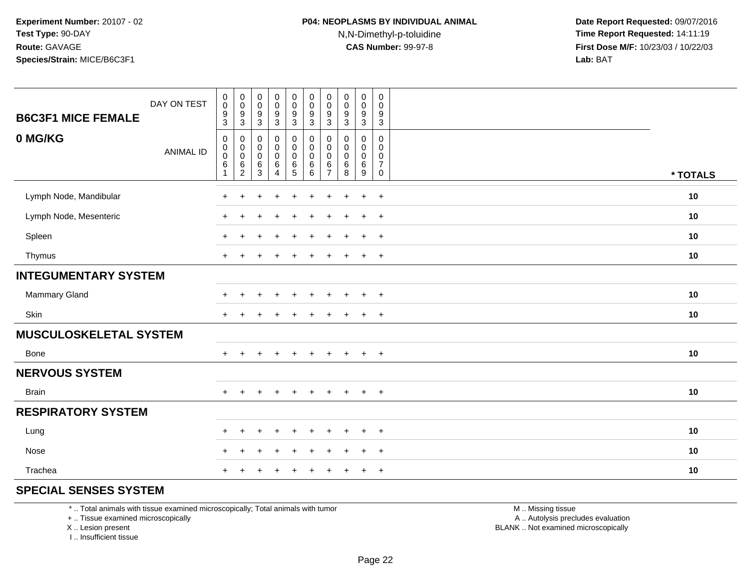| <b>B6C3F1 MICE FEMALE</b>   | DAY ON TEST      | $\pmb{0}$<br>$\mathsf{O}\xspace$<br>$\boldsymbol{9}$<br>$\mathbf{3}$ | $\pmb{0}$<br>$\mathbf 0$<br>$\boldsymbol{9}$<br>$\ensuremath{\mathsf{3}}$ | $\boldsymbol{0}$<br>$\pmb{0}$<br>$\frac{9}{3}$                 | $\pmb{0}$<br>$\pmb{0}$<br>$\frac{9}{3}$                   | 0<br>0<br>$\frac{9}{3}$                        | $\pmb{0}$<br>$\mathbf 0$<br>$\frac{9}{3}$                    | $\pmb{0}$<br>$\mathbf 0$<br>9<br>$\mathbf{3}$      | $\mathsf 0$<br>0<br>$\boldsymbol{9}$<br>$\ensuremath{\mathsf{3}}$ | $\mathbf 0$<br>$\pmb{0}$<br>$\boldsymbol{9}$<br>3        | $\mathsf{O}$<br>0<br>9<br>$\mathbf{3}$                            |          |
|-----------------------------|------------------|----------------------------------------------------------------------|---------------------------------------------------------------------------|----------------------------------------------------------------|-----------------------------------------------------------|------------------------------------------------|--------------------------------------------------------------|----------------------------------------------------|-------------------------------------------------------------------|----------------------------------------------------------|-------------------------------------------------------------------|----------|
| 0 MG/KG                     | <b>ANIMAL ID</b> | $\mathbf 0$<br>$\mathbf 0$<br>$\mathbf 0$<br>$\,6\,$<br>1            | 0<br>$\mathbf 0$<br>$\overline{0}$<br>$\frac{6}{2}$                       | $\pmb{0}$<br>$\pmb{0}$<br>$\ddot{\mathbf{0}}$<br>$\frac{6}{3}$ | $\pmb{0}$<br>$\pmb{0}$<br>$\overline{0}$<br>$\frac{6}{4}$ | 0<br>$\mathbf 0$<br>$\mathbf 0$<br>$rac{6}{5}$ | $\boldsymbol{0}$<br>$\mathbf 0$<br>$\mathbf 0$<br>$^6_{\ 6}$ | 0<br>$\pmb{0}$<br>$\pmb{0}$<br>6<br>$\overline{7}$ | 0<br>0<br>$\pmb{0}$<br>6<br>$\overline{8}$                        | 0<br>$\mathbf 0$<br>$\mathsf{O}\xspace$<br>$\frac{6}{9}$ | $\mathbf 0$<br>0<br>$\mathsf{O}$<br>$\overline{7}$<br>$\mathbf 0$ | * TOTALS |
| Lymph Node, Mandibular      |                  | $\ddot{}$                                                            | $\div$                                                                    |                                                                | $\ddot{}$                                                 | $\ddot{}$                                      | $\ddot{}$                                                    | $\ddot{}$                                          | ÷.                                                                | $+$                                                      | $+$                                                               | 10       |
| Lymph Node, Mesenteric      |                  | $+$                                                                  | ÷                                                                         |                                                                | $\ddot{}$                                                 | $\ddot{}$                                      | $\ddot{}$                                                    | $\ddot{}$                                          | $\div$                                                            | $+$                                                      | $+$                                                               | 10       |
| Spleen                      |                  | $+$                                                                  | $\ddot{}$                                                                 |                                                                | $\ddot{}$                                                 | $\ddot{}$                                      | $\ddot{}$                                                    | $\ddot{}$                                          | $\div$                                                            | $+$                                                      | $+$                                                               | 10       |
| Thymus                      |                  | $+$                                                                  | $\div$                                                                    |                                                                | $\ddot{}$                                                 | $\ddot{}$                                      | $\pm$                                                        | ÷                                                  |                                                                   | $+$                                                      | $+$                                                               | 10       |
| <b>INTEGUMENTARY SYSTEM</b> |                  |                                                                      |                                                                           |                                                                |                                                           |                                                |                                                              |                                                    |                                                                   |                                                          |                                                                   |          |
| Mammary Gland               |                  | ÷.                                                                   | $\pm$                                                                     |                                                                | $\div$                                                    | $\pm$                                          | $\div$                                                       | $\pm$                                              | $\div$                                                            | $\ddot{}$                                                | $+$                                                               | 10       |
| Skin                        |                  | $+$                                                                  | $\div$                                                                    |                                                                | $\overline{1}$                                            |                                                |                                                              |                                                    |                                                                   | $\overline{+}$                                           | $+$                                                               | 10       |
| MUSCULOSKELETAL SYSTEM      |                  |                                                                      |                                                                           |                                                                |                                                           |                                                |                                                              |                                                    |                                                                   |                                                          |                                                                   |          |
| <b>Bone</b>                 |                  | ÷                                                                    |                                                                           |                                                                | $\pm$                                                     | $\div$                                         |                                                              |                                                    |                                                                   | $\overline{+}$                                           | $+$                                                               | 10       |
| <b>NERVOUS SYSTEM</b>       |                  |                                                                      |                                                                           |                                                                |                                                           |                                                |                                                              |                                                    |                                                                   |                                                          |                                                                   |          |
| <b>Brain</b>                |                  | $+$                                                                  | $\ddot{}$                                                                 | $\ddot{}$                                                      | $+$                                                       | $+$                                            | $+$                                                          | $\ddot{}$                                          | $+$                                                               | $+$                                                      | $+$                                                               | 10       |
| <b>RESPIRATORY SYSTEM</b>   |                  |                                                                      |                                                                           |                                                                |                                                           |                                                |                                                              |                                                    |                                                                   |                                                          |                                                                   |          |
| Lung                        |                  | $\ddot{}$                                                            | $\div$                                                                    |                                                                | $\div$                                                    | ÷                                              |                                                              |                                                    |                                                                   | $\overline{+}$                                           | $+$                                                               | 10       |
| Nose                        |                  | $+$                                                                  | $\ddot{}$                                                                 |                                                                | $\ddot{}$                                                 | $\ddot{}$                                      | $\ddot{}$                                                    | $\div$                                             |                                                                   | $\ddot{}$                                                | $+$                                                               | 10       |
| Trachea                     |                  | $\ddot{}$                                                            |                                                                           |                                                                |                                                           |                                                |                                                              |                                                    |                                                                   | $\ddot{}$                                                | $+$                                                               | 10       |

#### **SPECIAL SENSES SYSTEM**

\* .. Total animals with tissue examined microscopically; Total animals with tumor

+ .. Tissue examined microscopically

X .. Lesion present

I .. Insufficient tissue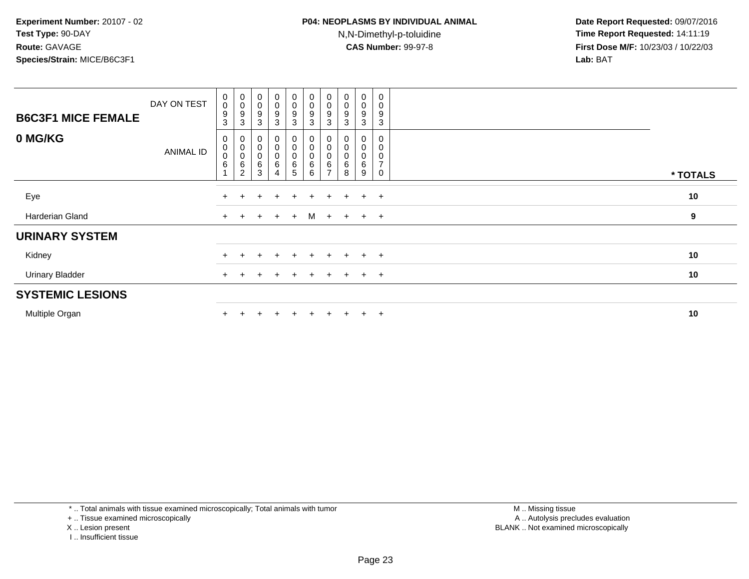| <b>B6C3F1 MICE FEMALE</b> | DAY ON TEST | $\begin{smallmatrix} 0\\0 \end{smallmatrix}$<br>$\boldsymbol{9}$<br>$\mathbf{3}$ | $_{\rm 0}^{\rm 0}$<br>9<br>3  | $\begin{smallmatrix} 0\\0 \end{smallmatrix}$<br>$\boldsymbol{9}$<br>$\mathbf{3}$ | $_{\rm 0}^{\rm 0}$<br>9<br>3 | $_{\rm 0}^{\rm 0}$<br>$\boldsymbol{9}$<br>$\mathbf{3}$                         | $_{\rm 0}^{\rm 0}$<br>9<br>3     | $\begin{smallmatrix} 0\\0 \end{smallmatrix}$<br>9<br>3 | $_{\rm 0}^{\rm 0}$<br>$\boldsymbol{9}$<br>3 | $\begin{smallmatrix}0\\0\end{smallmatrix}$<br>9<br>3 | $\pmb{0}$<br>$\pmb{0}$<br>9<br>3                                        |          |  |
|---------------------------|-------------|----------------------------------------------------------------------------------|-------------------------------|----------------------------------------------------------------------------------|------------------------------|--------------------------------------------------------------------------------|----------------------------------|--------------------------------------------------------|---------------------------------------------|------------------------------------------------------|-------------------------------------------------------------------------|----------|--|
| 0 MG/KG                   | ANIMAL ID   | $\mathbf{0}$<br>$_{\rm 0}^{\rm 0}$<br>$\,6$                                      | 0<br>$\pmb{0}$<br>0<br>6<br>2 | $\overline{0}$<br>$_{\rm 0}^{\rm 0}$<br>$\,6\,$<br>3                             | 0<br>$_0^0$<br>6<br>4        | $\boldsymbol{0}$<br>$\begin{smallmatrix}0\\0\end{smallmatrix}$<br>$\,6\,$<br>5 | $\pmb{0}$<br>$\pmb{0}$<br>6<br>6 | 0<br>6<br>$\overline{ }$                               | 0<br>0<br>0<br>6<br>8                       | 0<br>0<br>$\pmb{0}$<br>6<br>9                        | $\mathbf 0$<br>$\mathbf 0$<br>$\mathbf 0$<br>$\overline{z}$<br>$\Omega$ | * TOTALS |  |
| Eye                       |             | $\pm$                                                                            |                               |                                                                                  | $\ddot{}$                    | $\pm$                                                                          | $\ddot{}$                        | $\pm$                                                  | $\pm$                                       | $+$                                                  | $+$                                                                     | 10       |  |
| Harderian Gland           |             | $+$                                                                              | $\ddot{}$                     | $\overline{+}$                                                                   | $+$                          | $+$                                                                            | M                                |                                                        | $+$ $+$                                     | $+$ $+$                                              |                                                                         | 9        |  |
| <b>URINARY SYSTEM</b>     |             |                                                                                  |                               |                                                                                  |                              |                                                                                |                                  |                                                        |                                             |                                                      |                                                                         |          |  |
| Kidney                    |             |                                                                                  |                               |                                                                                  |                              | $\div$                                                                         |                                  | $+$                                                    | $\div$                                      | $+$                                                  | $+$                                                                     | 10       |  |
| <b>Urinary Bladder</b>    |             | $\ddot{}$                                                                        | $\pm$                         |                                                                                  | $\pm$                        | $+$                                                                            |                                  | $+$                                                    | $+$                                         | $+$ $+$                                              |                                                                         | 10       |  |
| <b>SYSTEMIC LESIONS</b>   |             |                                                                                  |                               |                                                                                  |                              |                                                                                |                                  |                                                        |                                             |                                                      |                                                                         |          |  |
| Multiple Organ            |             |                                                                                  |                               |                                                                                  | $\ddot{}$                    | $\div$                                                                         |                                  |                                                        | $+$                                         | $+$                                                  | $+$                                                                     | 10       |  |

\* .. Total animals with tissue examined microscopically; Total animals with tumor

+ .. Tissue examined microscopically

X .. Lesion present

I .. Insufficient tissue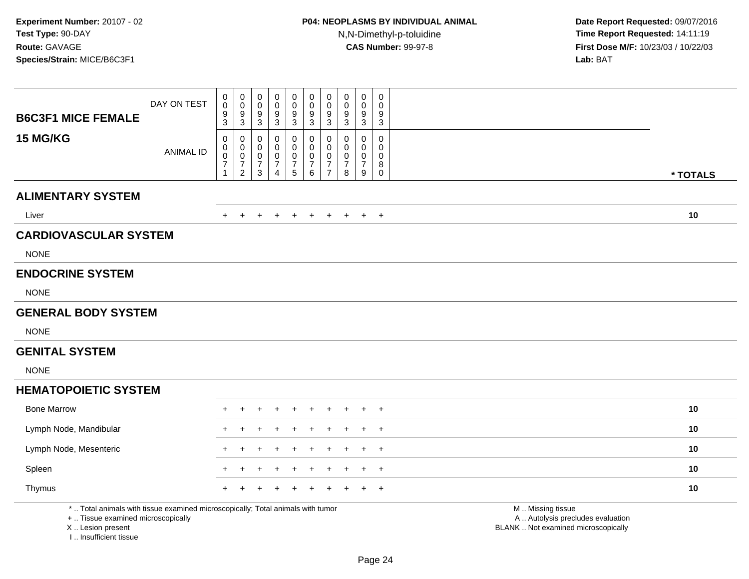|                              | DAY ON TEST      | $\pmb{0}$<br>$\mathbf 0$                                       | 0<br>$\mathbf 0$                                      | $\mathbf 0$<br>$\mathbf 0$                                                     | 0<br>$\Omega$                                          | 0<br>$\mathbf 0$                | $\begin{smallmatrix}0\0\0\end{smallmatrix}$          | 0<br>$\mathbf 0$                                                    | 0<br>$\mathbf 0$                                     | 0<br>$\mathbf 0$                                       | 0<br>$\mathbf 0$                |          |
|------------------------------|------------------|----------------------------------------------------------------|-------------------------------------------------------|--------------------------------------------------------------------------------|--------------------------------------------------------|---------------------------------|------------------------------------------------------|---------------------------------------------------------------------|------------------------------------------------------|--------------------------------------------------------|---------------------------------|----------|
| <b>B6C3F1 MICE FEMALE</b>    |                  | $\boldsymbol{9}$<br>3                                          | 9<br>$\mathbf{3}$                                     | 9<br>$\mathbf{3}$                                                              | 9<br>3                                                 | 9<br>$\mathbf{3}$               | 9<br>3                                               | 9<br>3                                                              | 9<br>$\mathbf{3}$                                    | 9<br>3                                                 | 9<br>3                          |          |
| 15 MG/KG                     | <b>ANIMAL ID</b> | $\mathbf 0$<br>0<br>$\mathsf{O}\xspace$<br>$\overline{7}$<br>1 | 0<br>0<br>$\mathbf 0$<br>$\overline{7}$<br>$\sqrt{2}$ | $\mathbf 0$<br>0<br>$\mathbf 0$<br>$\overline{7}$<br>$\ensuremath{\mathsf{3}}$ | $\Omega$<br>0<br>0<br>$\overline{7}$<br>$\overline{4}$ | 0<br>0<br>$\mathbf 0$<br>7<br>5 | $\pmb{0}$<br>$\bar{0}$<br>$\pmb{0}$<br>$\frac{7}{6}$ | $\mathbf 0$<br>$\mathbf 0$<br>0<br>$\overline{7}$<br>$\overline{7}$ | $\mathbf{0}$<br>$\Omega$<br>0<br>$\overline{7}$<br>8 | $\mathbf 0$<br>$\mathbf 0$<br>0<br>$\overline{7}$<br>9 | 0<br>0<br>0<br>8<br>$\mathbf 0$ | * TOTALS |
| <b>ALIMENTARY SYSTEM</b>     |                  |                                                                |                                                       |                                                                                |                                                        |                                 |                                                      |                                                                     |                                                      |                                                        |                                 |          |
| Liver                        |                  |                                                                |                                                       |                                                                                |                                                        | $\overline{+}$                  | $\pm$                                                | $+$                                                                 | $+$                                                  | $+$                                                    | $+$                             | 10       |
| <b>CARDIOVASCULAR SYSTEM</b> |                  |                                                                |                                                       |                                                                                |                                                        |                                 |                                                      |                                                                     |                                                      |                                                        |                                 |          |
| <b>NONE</b>                  |                  |                                                                |                                                       |                                                                                |                                                        |                                 |                                                      |                                                                     |                                                      |                                                        |                                 |          |
| <b>ENDOCRINE SYSTEM</b>      |                  |                                                                |                                                       |                                                                                |                                                        |                                 |                                                      |                                                                     |                                                      |                                                        |                                 |          |
| <b>NONE</b>                  |                  |                                                                |                                                       |                                                                                |                                                        |                                 |                                                      |                                                                     |                                                      |                                                        |                                 |          |
| <b>GENERAL BODY SYSTEM</b>   |                  |                                                                |                                                       |                                                                                |                                                        |                                 |                                                      |                                                                     |                                                      |                                                        |                                 |          |
| <b>NONE</b>                  |                  |                                                                |                                                       |                                                                                |                                                        |                                 |                                                      |                                                                     |                                                      |                                                        |                                 |          |
| <b>GENITAL SYSTEM</b>        |                  |                                                                |                                                       |                                                                                |                                                        |                                 |                                                      |                                                                     |                                                      |                                                        |                                 |          |
| <b>NONE</b>                  |                  |                                                                |                                                       |                                                                                |                                                        |                                 |                                                      |                                                                     |                                                      |                                                        |                                 |          |
| <b>HEMATOPOIETIC SYSTEM</b>  |                  |                                                                |                                                       |                                                                                |                                                        |                                 |                                                      |                                                                     |                                                      |                                                        |                                 |          |
| <b>Bone Marrow</b>           |                  |                                                                |                                                       |                                                                                |                                                        |                                 |                                                      |                                                                     |                                                      | $\pm$                                                  | $^{+}$                          | 10       |
| Lymph Node, Mandibular       |                  |                                                                |                                                       |                                                                                |                                                        |                                 |                                                      |                                                                     |                                                      |                                                        | $\div$                          | 10       |
| Lymph Node, Mesenteric       |                  |                                                                |                                                       |                                                                                |                                                        |                                 |                                                      |                                                                     |                                                      | $\div$                                                 | $+$                             | 10       |
| Spleen                       |                  |                                                                |                                                       |                                                                                |                                                        |                                 |                                                      |                                                                     |                                                      |                                                        | $\overline{+}$                  | 10       |
| Thymus                       |                  |                                                                |                                                       |                                                                                |                                                        |                                 |                                                      |                                                                     |                                                      |                                                        | $+$                             | 10       |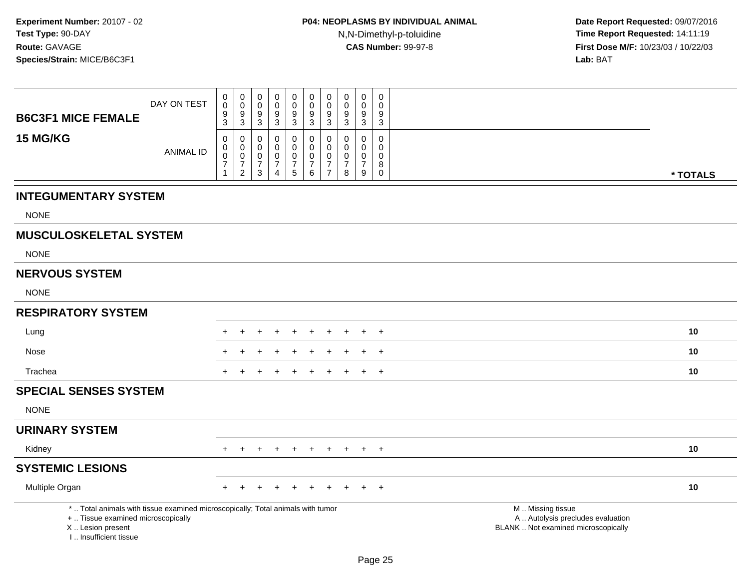| <b>B6C3F1 MICE FEMALE</b>                                                                                                                                           | DAY ON TEST      | $\pmb{0}$<br>$\mathsf{O}\xspace$<br>$\boldsymbol{9}$<br>$\mathbf{3}$ | $\begin{smallmatrix} 0\\0 \end{smallmatrix}$<br>$\frac{9}{3}$         | 0<br>$\mathbf 0$<br>9<br>$\overline{3}$                          | $\pmb{0}$<br>$\mathbf 0$<br>9<br>$\mathfrak{Z}$                     | $\pmb{0}$<br>$\pmb{0}$<br>$\boldsymbol{9}$<br>$\mathbf{3}$        | 0<br>$\mathbf 0$<br>9<br>3                         | 0<br>$\mathbf 0$<br>9<br>3                      | $\pmb{0}$<br>$\pmb{0}$<br>9<br>3                              | 0<br>$\mathbf 0$<br>9<br>3                               | 0<br>$\mathbf 0$<br>9<br>$\mathbf{3}$                     |                                                                                               |          |
|---------------------------------------------------------------------------------------------------------------------------------------------------------------------|------------------|----------------------------------------------------------------------|-----------------------------------------------------------------------|------------------------------------------------------------------|---------------------------------------------------------------------|-------------------------------------------------------------------|----------------------------------------------------|-------------------------------------------------|---------------------------------------------------------------|----------------------------------------------------------|-----------------------------------------------------------|-----------------------------------------------------------------------------------------------|----------|
| 15 MG/KG                                                                                                                                                            | <b>ANIMAL ID</b> | 0<br>0<br>0<br>$\overline{7}$<br>1                                   | 0<br>$\mathbf 0$<br>$\mathbf 0$<br>$\boldsymbol{7}$<br>$\overline{2}$ | 0<br>$\mathbf 0$<br>$\mathbf 0$<br>$\overline{7}$<br>$\mathsf 3$ | $\mathbf 0$<br>$\mathbf 0$<br>0<br>$\overline{7}$<br>$\overline{4}$ | 0<br>$\mathsf 0$<br>$\mathbf 0$<br>$\boldsymbol{7}$<br>$\sqrt{5}$ | 0<br>$\mathbf 0$<br>0<br>$\overline{7}$<br>$\,6\,$ | 0<br>0<br>0<br>$\overline{7}$<br>$\overline{7}$ | $\Omega$<br>$\mathbf 0$<br>$\mathbf 0$<br>$\overline{7}$<br>8 | $\mathbf{0}$<br>$\mathbf{0}$<br>0<br>$\overline{7}$<br>9 | $\mathbf 0$<br>0<br>$\mathbf 0$<br>$\bf 8$<br>$\mathbf 0$ |                                                                                               | * TOTALS |
| <b>INTEGUMENTARY SYSTEM</b>                                                                                                                                         |                  |                                                                      |                                                                       |                                                                  |                                                                     |                                                                   |                                                    |                                                 |                                                               |                                                          |                                                           |                                                                                               |          |
| <b>NONE</b>                                                                                                                                                         |                  |                                                                      |                                                                       |                                                                  |                                                                     |                                                                   |                                                    |                                                 |                                                               |                                                          |                                                           |                                                                                               |          |
| <b>MUSCULOSKELETAL SYSTEM</b>                                                                                                                                       |                  |                                                                      |                                                                       |                                                                  |                                                                     |                                                                   |                                                    |                                                 |                                                               |                                                          |                                                           |                                                                                               |          |
| <b>NONE</b>                                                                                                                                                         |                  |                                                                      |                                                                       |                                                                  |                                                                     |                                                                   |                                                    |                                                 |                                                               |                                                          |                                                           |                                                                                               |          |
| <b>NERVOUS SYSTEM</b>                                                                                                                                               |                  |                                                                      |                                                                       |                                                                  |                                                                     |                                                                   |                                                    |                                                 |                                                               |                                                          |                                                           |                                                                                               |          |
| <b>NONE</b>                                                                                                                                                         |                  |                                                                      |                                                                       |                                                                  |                                                                     |                                                                   |                                                    |                                                 |                                                               |                                                          |                                                           |                                                                                               |          |
| <b>RESPIRATORY SYSTEM</b>                                                                                                                                           |                  |                                                                      |                                                                       |                                                                  |                                                                     |                                                                   |                                                    |                                                 |                                                               |                                                          |                                                           |                                                                                               |          |
| Lung                                                                                                                                                                |                  | +                                                                    |                                                                       |                                                                  |                                                                     | $\ddot{}$                                                         |                                                    |                                                 |                                                               | $\ddot{}$                                                | $+$                                                       |                                                                                               | 10       |
| Nose                                                                                                                                                                |                  |                                                                      |                                                                       |                                                                  |                                                                     |                                                                   |                                                    |                                                 |                                                               |                                                          | $\ddot{}$                                                 |                                                                                               | 10       |
| Trachea                                                                                                                                                             |                  |                                                                      |                                                                       |                                                                  |                                                                     |                                                                   |                                                    |                                                 |                                                               | $\ddot{}$                                                | $+$                                                       |                                                                                               | 10       |
| <b>SPECIAL SENSES SYSTEM</b>                                                                                                                                        |                  |                                                                      |                                                                       |                                                                  |                                                                     |                                                                   |                                                    |                                                 |                                                               |                                                          |                                                           |                                                                                               |          |
| <b>NONE</b>                                                                                                                                                         |                  |                                                                      |                                                                       |                                                                  |                                                                     |                                                                   |                                                    |                                                 |                                                               |                                                          |                                                           |                                                                                               |          |
| <b>URINARY SYSTEM</b>                                                                                                                                               |                  |                                                                      |                                                                       |                                                                  |                                                                     |                                                                   |                                                    |                                                 |                                                               |                                                          |                                                           |                                                                                               |          |
| Kidney                                                                                                                                                              |                  | $+$                                                                  | $\pm$                                                                 | $\pm$                                                            | $\ddot{}$                                                           | $\ddot{}$                                                         | $\ddot{}$                                          | $\ddot{}$                                       | $\ddot{}$                                                     | $+$                                                      | $+$                                                       |                                                                                               | 10       |
| <b>SYSTEMIC LESIONS</b>                                                                                                                                             |                  |                                                                      |                                                                       |                                                                  |                                                                     |                                                                   |                                                    |                                                 |                                                               |                                                          |                                                           |                                                                                               |          |
| Multiple Organ                                                                                                                                                      |                  |                                                                      |                                                                       |                                                                  |                                                                     |                                                                   |                                                    |                                                 |                                                               |                                                          | $\ddot{}$                                                 |                                                                                               | 10       |
| *  Total animals with tissue examined microscopically; Total animals with tumor<br>+  Tissue examined microscopically<br>X  Lesion present<br>I Insufficient tissue |                  |                                                                      |                                                                       |                                                                  |                                                                     |                                                                   |                                                    |                                                 |                                                               |                                                          |                                                           | M  Missing tissue<br>A  Autolysis precludes evaluation<br>BLANK  Not examined microscopically |          |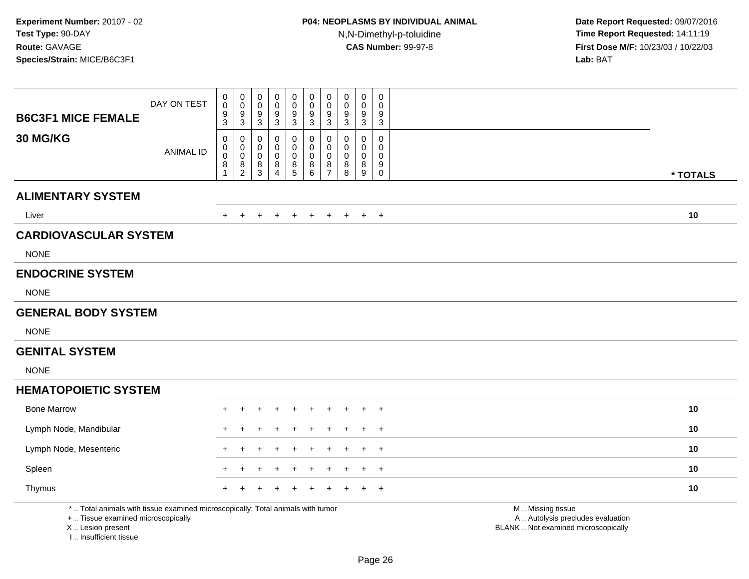| <b>B6C3F1 MICE FEMALE</b>                                                                                                                  | DAY ON TEST      | 0<br>0<br>9<br>3           | $_{\rm 0}^{\rm 0}$<br>$\frac{9}{3}$       | 0<br>$\mathbf 0$<br>9<br>$\sqrt{3}$ | $\mathbf 0$<br>$\mathbf 0$<br>$\frac{9}{3}$ | $\pmb{0}$<br>$\Omega$<br>9<br>$\mathbf{3}$ | $\pmb{0}$<br>$\ddot{\mathbf{0}}$<br>$\frac{9}{3}$ | $\mathbf 0$<br>$\mathbf 0$<br>9<br>$\mathbf{3}$             | $\mathbf 0$<br>$\Omega$<br>9<br>3 | $\pmb{0}$<br>0<br>$\frac{9}{3}$ | $\mathsf 0$<br>$\Omega$<br>9<br>$\sqrt{3}$ |                                                                                               |
|--------------------------------------------------------------------------------------------------------------------------------------------|------------------|----------------------------|-------------------------------------------|-------------------------------------|---------------------------------------------|--------------------------------------------|---------------------------------------------------|-------------------------------------------------------------|-----------------------------------|---------------------------------|--------------------------------------------|-----------------------------------------------------------------------------------------------|
| 30 MG/KG                                                                                                                                   | <b>ANIMAL ID</b> | 0<br>0<br>$\mathbf 0$<br>8 | 0<br>$\mathbf 0$<br>$\mathbf 0$<br>$^8_2$ | 0<br>0<br>$\mathbf 0$<br>$^8_3$     | 0<br>0<br>0<br>$\,8\,$<br>$\overline{4}$    | 0<br>$\Omega$<br>$\mathbf 0$<br>8<br>5     | 0<br>$\mathbf 0$<br>$\mathbf 0$<br>$^8_6$         | 0<br>$\mathbf 0$<br>$\mathbf 0$<br>$\bf8$<br>$\overline{7}$ | 0<br>$\mathbf 0$<br>0<br>8<br>8   | 0<br>0<br>0<br>$_{9}^{8}$       | 0<br>$\mathbf 0$<br>0<br>9<br>0            | * TOTALS                                                                                      |
| <b>ALIMENTARY SYSTEM</b>                                                                                                                   |                  |                            |                                           |                                     |                                             |                                            |                                                   |                                                             |                                   |                                 |                                            |                                                                                               |
| Liver                                                                                                                                      |                  | $+$                        | $\ddot{}$                                 | $\overline{+}$                      | $+$                                         | $+$                                        | $+$                                               | $+$                                                         | $+$                               | $+$                             | $+$                                        | 10                                                                                            |
| <b>CARDIOVASCULAR SYSTEM</b>                                                                                                               |                  |                            |                                           |                                     |                                             |                                            |                                                   |                                                             |                                   |                                 |                                            |                                                                                               |
| <b>NONE</b>                                                                                                                                |                  |                            |                                           |                                     |                                             |                                            |                                                   |                                                             |                                   |                                 |                                            |                                                                                               |
| <b>ENDOCRINE SYSTEM</b>                                                                                                                    |                  |                            |                                           |                                     |                                             |                                            |                                                   |                                                             |                                   |                                 |                                            |                                                                                               |
| <b>NONE</b>                                                                                                                                |                  |                            |                                           |                                     |                                             |                                            |                                                   |                                                             |                                   |                                 |                                            |                                                                                               |
| <b>GENERAL BODY SYSTEM</b>                                                                                                                 |                  |                            |                                           |                                     |                                             |                                            |                                                   |                                                             |                                   |                                 |                                            |                                                                                               |
| <b>NONE</b>                                                                                                                                |                  |                            |                                           |                                     |                                             |                                            |                                                   |                                                             |                                   |                                 |                                            |                                                                                               |
| <b>GENITAL SYSTEM</b>                                                                                                                      |                  |                            |                                           |                                     |                                             |                                            |                                                   |                                                             |                                   |                                 |                                            |                                                                                               |
| <b>NONE</b>                                                                                                                                |                  |                            |                                           |                                     |                                             |                                            |                                                   |                                                             |                                   |                                 |                                            |                                                                                               |
| <b>HEMATOPOIETIC SYSTEM</b>                                                                                                                |                  |                            |                                           |                                     |                                             |                                            |                                                   |                                                             |                                   |                                 |                                            |                                                                                               |
| <b>Bone Marrow</b>                                                                                                                         |                  |                            |                                           |                                     |                                             |                                            |                                                   |                                                             |                                   |                                 | +                                          | 10                                                                                            |
| Lymph Node, Mandibular                                                                                                                     |                  |                            |                                           |                                     |                                             |                                            |                                                   |                                                             |                                   |                                 | $\overline{1}$                             | 10                                                                                            |
| Lymph Node, Mesenteric                                                                                                                     |                  |                            |                                           |                                     |                                             |                                            |                                                   |                                                             |                                   |                                 | $\overline{+}$                             | 10                                                                                            |
| Spleen                                                                                                                                     |                  |                            |                                           |                                     |                                             |                                            |                                                   |                                                             |                                   |                                 | $\overline{1}$                             | 10                                                                                            |
| Thymus                                                                                                                                     |                  |                            |                                           |                                     |                                             |                                            |                                                   |                                                             |                                   |                                 | $\pm$                                      | 10                                                                                            |
| *  Total animals with tissue examined microscopically; Total animals with tumor<br>+  Tissue examined microscopically<br>X  Lesion present |                  |                            |                                           |                                     |                                             |                                            |                                                   |                                                             |                                   |                                 |                                            | M  Missing tissue<br>A  Autolysis precludes evaluation<br>BLANK  Not examined microscopically |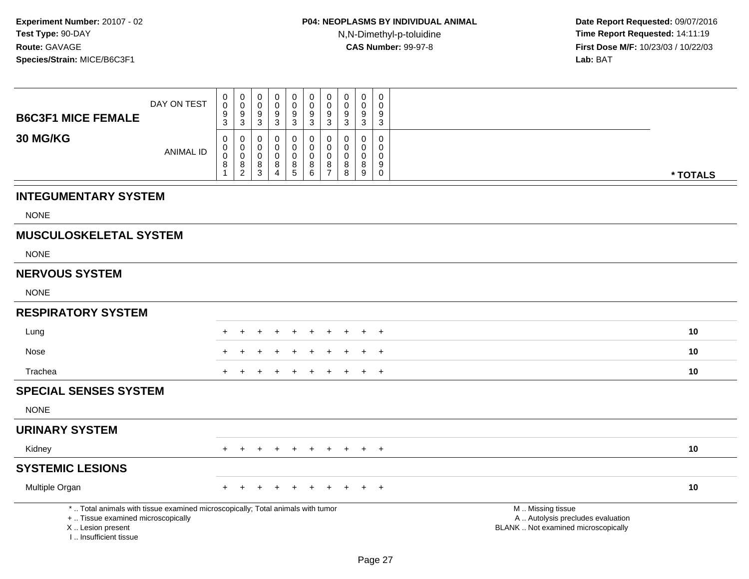| <b>B6C3F1 MICE FEMALE</b>                                                                                                                                             | DAY ON TEST      | $\pmb{0}$<br>$\pmb{0}$<br>9<br>$\mathbf{3}$                | $\pmb{0}$<br>$\mathsf{O}\xspace$<br>$\boldsymbol{9}$<br>$\mathbf{3}$ | 0<br>0<br>9<br>3                | $\pmb{0}$<br>$\pmb{0}$<br>9<br>$\sqrt{3}$ | $\pmb{0}$<br>$\pmb{0}$<br>$\boldsymbol{9}$<br>$\ensuremath{\mathsf{3}}$ | $\pmb{0}$<br>$\pmb{0}$<br>$\boldsymbol{9}$<br>$\overline{3}$ | $\pmb{0}$<br>$\mathbf 0$<br>$9\,$<br>$\mathbf{3}$                                   | $\pmb{0}$<br>$\mathbf 0$<br>9<br>3     | $\mathbf 0$<br>$\pmb{0}$<br>$\boldsymbol{9}$<br>$\mathbf{3}$ | $\mathsf 0$<br>$\Omega$<br>9<br>$\mathbf{3}$   |                                                                                               |
|-----------------------------------------------------------------------------------------------------------------------------------------------------------------------|------------------|------------------------------------------------------------|----------------------------------------------------------------------|---------------------------------|-------------------------------------------|-------------------------------------------------------------------------|--------------------------------------------------------------|-------------------------------------------------------------------------------------|----------------------------------------|--------------------------------------------------------------|------------------------------------------------|-----------------------------------------------------------------------------------------------|
| 30 MG/KG                                                                                                                                                              | <b>ANIMAL ID</b> | $\mathbf 0$<br>$\pmb{0}$<br>$\pmb{0}$<br>8<br>$\mathbf{1}$ | 0<br>$\mathbf 0$<br>$\mathbf 0$<br>$\frac{8}{2}$                     | 0<br>$\mathbf 0$<br>0<br>8<br>3 | 0<br>0<br>0<br>$\frac{8}{4}$              | $\pmb{0}$<br>$\mathbf 0$<br>$\mathbf 0$<br>$^8_5$                       | $\pmb{0}$<br>$\mathbf 0$<br>$\pmb{0}$<br>$^8_6$              | $\mathbf{0}$<br>$\mathbf 0$<br>$\mathbf 0$<br>$\begin{array}{c} 8 \\ 7 \end{array}$ | $\Omega$<br>0<br>$\mathbf 0$<br>8<br>8 | $\mathbf 0$<br>0<br>$\pmb{0}$<br>$^8_9$                      | $\Omega$<br>0<br>0<br>9<br>$\mathsf{O}\xspace$ | * TOTALS                                                                                      |
| <b>INTEGUMENTARY SYSTEM</b>                                                                                                                                           |                  |                                                            |                                                                      |                                 |                                           |                                                                         |                                                              |                                                                                     |                                        |                                                              |                                                |                                                                                               |
| <b>NONE</b>                                                                                                                                                           |                  |                                                            |                                                                      |                                 |                                           |                                                                         |                                                              |                                                                                     |                                        |                                                              |                                                |                                                                                               |
| <b>MUSCULOSKELETAL SYSTEM</b>                                                                                                                                         |                  |                                                            |                                                                      |                                 |                                           |                                                                         |                                                              |                                                                                     |                                        |                                                              |                                                |                                                                                               |
| <b>NONE</b>                                                                                                                                                           |                  |                                                            |                                                                      |                                 |                                           |                                                                         |                                                              |                                                                                     |                                        |                                                              |                                                |                                                                                               |
| <b>NERVOUS SYSTEM</b>                                                                                                                                                 |                  |                                                            |                                                                      |                                 |                                           |                                                                         |                                                              |                                                                                     |                                        |                                                              |                                                |                                                                                               |
| <b>NONE</b>                                                                                                                                                           |                  |                                                            |                                                                      |                                 |                                           |                                                                         |                                                              |                                                                                     |                                        |                                                              |                                                |                                                                                               |
| <b>RESPIRATORY SYSTEM</b>                                                                                                                                             |                  |                                                            |                                                                      |                                 |                                           |                                                                         |                                                              |                                                                                     |                                        |                                                              |                                                |                                                                                               |
| Lung                                                                                                                                                                  |                  |                                                            |                                                                      |                                 |                                           |                                                                         |                                                              |                                                                                     |                                        |                                                              | $\cdot$                                        | 10                                                                                            |
| Nose                                                                                                                                                                  |                  |                                                            |                                                                      |                                 |                                           |                                                                         |                                                              |                                                                                     |                                        |                                                              | $\ddot{}$                                      | 10                                                                                            |
| Trachea                                                                                                                                                               |                  |                                                            |                                                                      |                                 |                                           |                                                                         |                                                              |                                                                                     |                                        |                                                              | $\overline{+}$                                 | 10                                                                                            |
| <b>SPECIAL SENSES SYSTEM</b>                                                                                                                                          |                  |                                                            |                                                                      |                                 |                                           |                                                                         |                                                              |                                                                                     |                                        |                                                              |                                                |                                                                                               |
| <b>NONE</b>                                                                                                                                                           |                  |                                                            |                                                                      |                                 |                                           |                                                                         |                                                              |                                                                                     |                                        |                                                              |                                                |                                                                                               |
| <b>URINARY SYSTEM</b>                                                                                                                                                 |                  |                                                            |                                                                      |                                 |                                           |                                                                         |                                                              |                                                                                     |                                        |                                                              |                                                |                                                                                               |
| Kidney                                                                                                                                                                |                  | $+$                                                        | $\pm$                                                                | $+$                             | $\ddot{}$                                 | $+$                                                                     | $+$                                                          | $+$                                                                                 | $+$                                    | $+$                                                          | $+$                                            | 10                                                                                            |
| <b>SYSTEMIC LESIONS</b>                                                                                                                                               |                  |                                                            |                                                                      |                                 |                                           |                                                                         |                                                              |                                                                                     |                                        |                                                              |                                                |                                                                                               |
| Multiple Organ                                                                                                                                                        |                  |                                                            |                                                                      |                                 |                                           |                                                                         |                                                              |                                                                                     |                                        |                                                              | $\overline{+}$                                 | 10                                                                                            |
| *  Total animals with tissue examined microscopically; Total animals with tumor<br>+  Tissue examined microscopically<br>X  Lesion present<br>I., Insufficient tissue |                  |                                                            |                                                                      |                                 |                                           |                                                                         |                                                              |                                                                                     |                                        |                                                              |                                                | M  Missing tissue<br>A  Autolysis precludes evaluation<br>BLANK  Not examined microscopically |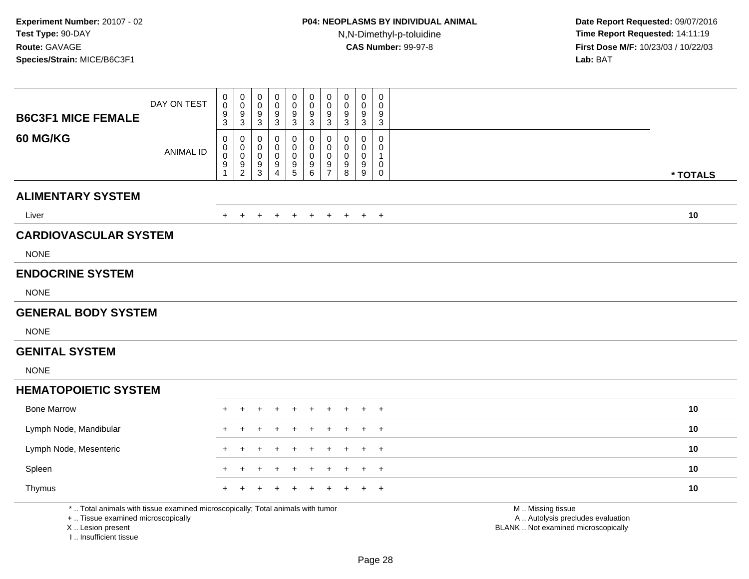| <b>B6C3F1 MICE FEMALE</b>                                                                                                                  | DAY ON TEST      | 0<br>$\tilde{0}$<br>9<br>3 | $_{\rm 0}^{\rm 0}$<br>$\frac{9}{3}$                 | $\mathbf 0$<br>$\mathbf 0$<br>$\frac{9}{3}$           | $\mathbf 0$<br>$\Omega$<br>9<br>$\sqrt{3}$             | $\mathsf 0$<br>$\mathbf 0$<br>$\frac{9}{3}$                              | $_{\rm 0}^{\rm 0}$<br>9<br>$\sqrt{3}$                                    | $_{\rm 0}^{\rm 0}$<br>$\frac{9}{3}$                    | $\mathbf 0$<br>$\Omega$<br>9<br>3             | $\mathsf{O}\xspace$<br>0<br>9<br>$\sqrt{3}$ | $\mathsf 0$<br>$\mathbf 0$<br>9<br>$\sqrt{3}$                  |                                                                                               |
|--------------------------------------------------------------------------------------------------------------------------------------------|------------------|----------------------------|-----------------------------------------------------|-------------------------------------------------------|--------------------------------------------------------|--------------------------------------------------------------------------|--------------------------------------------------------------------------|--------------------------------------------------------|-----------------------------------------------|---------------------------------------------|----------------------------------------------------------------|-----------------------------------------------------------------------------------------------|
| 60 MG/KG                                                                                                                                   | <b>ANIMAL ID</b> | 0<br>0<br>0<br>9           | 0<br>$\boldsymbol{0}$<br>$\pmb{0}$<br>$\frac{9}{2}$ | 0<br>$\mathbf 0$<br>$\boldsymbol{0}$<br>$\frac{9}{3}$ | 0<br>$\mathbf 0$<br>$\mathbf 0$<br>9<br>$\overline{4}$ | 0<br>$\mathbf 0$<br>$\mathbf 0$<br>$\begin{array}{c} 9 \\ 5 \end{array}$ | 0<br>$\mathbf 0$<br>$\mathbf 0$<br>$\begin{array}{c} 9 \\ 6 \end{array}$ | 0<br>$\mathsf{O}\xspace$<br>$\pmb{0}$<br>$\frac{9}{7}$ | 0<br>$\Omega$<br>$\mathbf 0$<br>$\frac{9}{8}$ | $\mathbf 0$<br>0<br>0<br>$^9_9$             | $\mathbf 0$<br>$\mathbf 0$<br>$\mathbf{1}$<br>$\mathbf 0$<br>0 | * TOTALS                                                                                      |
| <b>ALIMENTARY SYSTEM</b>                                                                                                                   |                  |                            |                                                     |                                                       |                                                        |                                                                          |                                                                          |                                                        |                                               |                                             |                                                                |                                                                                               |
| Liver                                                                                                                                      |                  | $+$                        | $+$                                                 | $\pm$                                                 | $\ddot{}$                                              | $+$                                                                      | $+$                                                                      | $+$                                                    | $+$                                           |                                             | $+$ $+$                                                        | 10                                                                                            |
| <b>CARDIOVASCULAR SYSTEM</b>                                                                                                               |                  |                            |                                                     |                                                       |                                                        |                                                                          |                                                                          |                                                        |                                               |                                             |                                                                |                                                                                               |
| <b>NONE</b>                                                                                                                                |                  |                            |                                                     |                                                       |                                                        |                                                                          |                                                                          |                                                        |                                               |                                             |                                                                |                                                                                               |
| <b>ENDOCRINE SYSTEM</b>                                                                                                                    |                  |                            |                                                     |                                                       |                                                        |                                                                          |                                                                          |                                                        |                                               |                                             |                                                                |                                                                                               |
| <b>NONE</b>                                                                                                                                |                  |                            |                                                     |                                                       |                                                        |                                                                          |                                                                          |                                                        |                                               |                                             |                                                                |                                                                                               |
| <b>GENERAL BODY SYSTEM</b>                                                                                                                 |                  |                            |                                                     |                                                       |                                                        |                                                                          |                                                                          |                                                        |                                               |                                             |                                                                |                                                                                               |
| <b>NONE</b>                                                                                                                                |                  |                            |                                                     |                                                       |                                                        |                                                                          |                                                                          |                                                        |                                               |                                             |                                                                |                                                                                               |
| <b>GENITAL SYSTEM</b>                                                                                                                      |                  |                            |                                                     |                                                       |                                                        |                                                                          |                                                                          |                                                        |                                               |                                             |                                                                |                                                                                               |
| <b>NONE</b>                                                                                                                                |                  |                            |                                                     |                                                       |                                                        |                                                                          |                                                                          |                                                        |                                               |                                             |                                                                |                                                                                               |
| <b>HEMATOPOIETIC SYSTEM</b>                                                                                                                |                  |                            |                                                     |                                                       |                                                        |                                                                          |                                                                          |                                                        |                                               |                                             |                                                                |                                                                                               |
| <b>Bone Marrow</b>                                                                                                                         |                  |                            |                                                     |                                                       |                                                        |                                                                          |                                                                          |                                                        |                                               |                                             | $\overline{1}$                                                 | 10                                                                                            |
| Lymph Node, Mandibular                                                                                                                     |                  |                            |                                                     |                                                       |                                                        |                                                                          |                                                                          |                                                        |                                               |                                             | $\pm$                                                          | 10                                                                                            |
| Lymph Node, Mesenteric                                                                                                                     |                  |                            |                                                     |                                                       |                                                        |                                                                          |                                                                          |                                                        |                                               |                                             | $+$                                                            | 10                                                                                            |
| Spleen                                                                                                                                     |                  |                            |                                                     |                                                       |                                                        |                                                                          |                                                                          |                                                        |                                               |                                             | $\pm$                                                          | 10                                                                                            |
| Thymus                                                                                                                                     |                  |                            |                                                     |                                                       |                                                        |                                                                          |                                                                          |                                                        |                                               |                                             | $\overline{1}$                                                 | 10                                                                                            |
| *  Total animals with tissue examined microscopically; Total animals with tumor<br>+  Tissue examined microscopically<br>X  Lesion present |                  |                            |                                                     |                                                       |                                                        |                                                                          |                                                                          |                                                        |                                               |                                             |                                                                | M  Missing tissue<br>A  Autolysis precludes evaluation<br>BLANK  Not examined microscopically |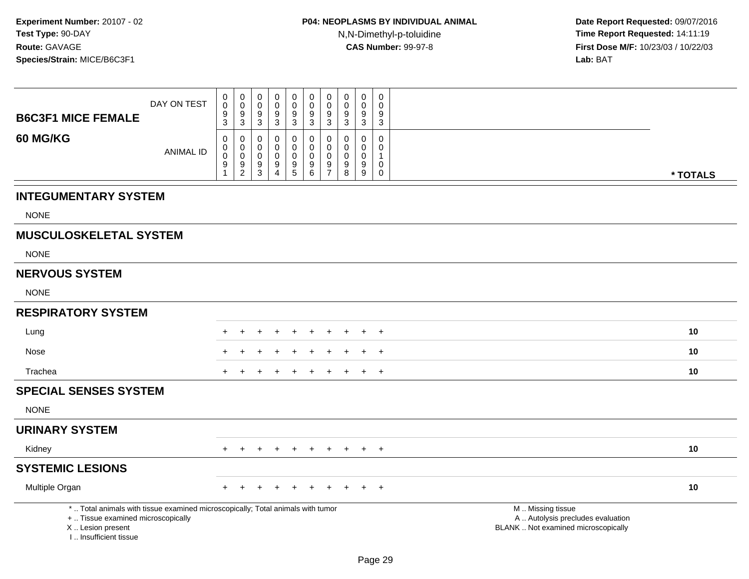| <b>B6C3F1 MICE FEMALE</b>                                                                                                                                           | DAY ON TEST      | 0<br>$\mathbf 0$<br>9<br>$\overline{3}$        | 0<br>$\mathbf 0$<br>9<br>$\overline{3}$          | 0<br>$\pmb{0}$<br>9<br>$\overline{3}$ | 0<br>$\mathbf 0$<br>9<br>$\overline{3}$ | $\pmb{0}$<br>$\pmb{0}$<br>$\frac{9}{3}$                              | $\mathbf 0$<br>$\pmb{0}$<br>9<br>$\overline{3}$   | $\mathbf 0$<br>$\mathbf 0$<br>9<br>$\overline{3}$          | 0<br>$\mathbf 0$<br>9<br>$\mathbf{3}$     | $\mathbf 0$<br>$\pmb{0}$<br>$\boldsymbol{9}$<br>$\mathbf{3}$ | 0<br>0<br>9<br>$\mathbf{3}$                      |                                                                                               |
|---------------------------------------------------------------------------------------------------------------------------------------------------------------------|------------------|------------------------------------------------|--------------------------------------------------|---------------------------------------|-----------------------------------------|----------------------------------------------------------------------|---------------------------------------------------|------------------------------------------------------------|-------------------------------------------|--------------------------------------------------------------|--------------------------------------------------|-----------------------------------------------------------------------------------------------|
| 60 MG/KG                                                                                                                                                            | <b>ANIMAL ID</b> | 0<br>$\,0\,$<br>$\pmb{0}$<br>9<br>$\mathbf{1}$ | 0<br>$\mathbf 0$<br>$\mathbf 0$<br>$\frac{9}{2}$ | 0<br>$\mathbf 0$<br>0<br>9<br>3       | 0<br>$\mathbf 0$<br>0<br>$\frac{9}{4}$  | 0<br>$\pmb{0}$<br>$\pmb{0}$<br>$\begin{array}{c} 9 \\ 5 \end{array}$ | 0<br>$\mathbf 0$<br>$\mathsf{O}\xspace$<br>$^9$ 6 | $\mathbf 0$<br>$\mathbf 0$<br>$\mathbf 0$<br>$\frac{9}{7}$ | 0<br>$\mathbf 0$<br>$\mathbf 0$<br>9<br>8 | 0<br>$\mathbf 0$<br>$\mathbf 0$<br>$^9_9$                    | 0<br>$\Omega$<br>1<br>$\mathbf 0$<br>$\mathbf 0$ | * TOTALS                                                                                      |
| <b>INTEGUMENTARY SYSTEM</b>                                                                                                                                         |                  |                                                |                                                  |                                       |                                         |                                                                      |                                                   |                                                            |                                           |                                                              |                                                  |                                                                                               |
| <b>NONE</b>                                                                                                                                                         |                  |                                                |                                                  |                                       |                                         |                                                                      |                                                   |                                                            |                                           |                                                              |                                                  |                                                                                               |
| <b>MUSCULOSKELETAL SYSTEM</b>                                                                                                                                       |                  |                                                |                                                  |                                       |                                         |                                                                      |                                                   |                                                            |                                           |                                                              |                                                  |                                                                                               |
| <b>NONE</b>                                                                                                                                                         |                  |                                                |                                                  |                                       |                                         |                                                                      |                                                   |                                                            |                                           |                                                              |                                                  |                                                                                               |
| <b>NERVOUS SYSTEM</b>                                                                                                                                               |                  |                                                |                                                  |                                       |                                         |                                                                      |                                                   |                                                            |                                           |                                                              |                                                  |                                                                                               |
| <b>NONE</b>                                                                                                                                                         |                  |                                                |                                                  |                                       |                                         |                                                                      |                                                   |                                                            |                                           |                                                              |                                                  |                                                                                               |
| <b>RESPIRATORY SYSTEM</b>                                                                                                                                           |                  |                                                |                                                  |                                       |                                         |                                                                      |                                                   |                                                            |                                           |                                                              |                                                  |                                                                                               |
| Lung                                                                                                                                                                |                  |                                                |                                                  |                                       |                                         |                                                                      |                                                   |                                                            |                                           |                                                              | $\overline{1}$                                   | 10                                                                                            |
| Nose                                                                                                                                                                |                  |                                                |                                                  |                                       |                                         |                                                                      |                                                   |                                                            |                                           |                                                              | $\overline{+}$                                   | 10                                                                                            |
| Trachea                                                                                                                                                             |                  | $\pm$                                          |                                                  |                                       |                                         |                                                                      |                                                   | ÷                                                          | ÷                                         |                                                              | $+$                                              | 10                                                                                            |
| <b>SPECIAL SENSES SYSTEM</b>                                                                                                                                        |                  |                                                |                                                  |                                       |                                         |                                                                      |                                                   |                                                            |                                           |                                                              |                                                  |                                                                                               |
| <b>NONE</b>                                                                                                                                                         |                  |                                                |                                                  |                                       |                                         |                                                                      |                                                   |                                                            |                                           |                                                              |                                                  |                                                                                               |
| <b>URINARY SYSTEM</b>                                                                                                                                               |                  |                                                |                                                  |                                       |                                         |                                                                      |                                                   |                                                            |                                           |                                                              |                                                  |                                                                                               |
| Kidney                                                                                                                                                              |                  | $+$                                            | $+$                                              | $+$                                   | $+$                                     | $\div$                                                               | $+$                                               | $+$                                                        | $+$                                       |                                                              | $+$ $+$                                          | 10                                                                                            |
| <b>SYSTEMIC LESIONS</b>                                                                                                                                             |                  |                                                |                                                  |                                       |                                         |                                                                      |                                                   |                                                            |                                           |                                                              |                                                  |                                                                                               |
| Multiple Organ                                                                                                                                                      |                  |                                                |                                                  |                                       |                                         |                                                                      |                                                   |                                                            |                                           |                                                              | $^{+}$                                           | 10                                                                                            |
| *  Total animals with tissue examined microscopically; Total animals with tumor<br>+  Tissue examined microscopically<br>X  Lesion present<br>I Insufficient tissue |                  |                                                |                                                  |                                       |                                         |                                                                      |                                                   |                                                            |                                           |                                                              |                                                  | M  Missing tissue<br>A  Autolysis precludes evaluation<br>BLANK  Not examined microscopically |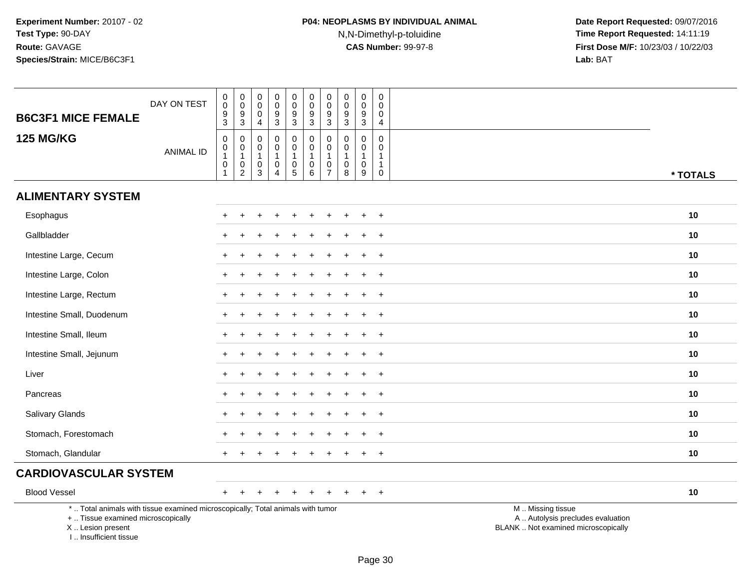# **P04: NEOPLASMS BY INDIVIDUAL ANIMAL**N,N-Dimethyl-p-toluidine

| <b>B6C3F1 MICE FEMALE</b>                                                                                                                                             | DAY ON TEST      | $\boldsymbol{0}$<br>$\frac{0}{9}$                                                        | $\pmb{0}$<br>$\mathsf 0$<br>9<br>$\overline{3}$                 | $\pmb{0}$<br>$\boldsymbol{0}$<br>$\mathbf 0$<br>$\overline{4}$ | $\pmb{0}$<br>$\mathsf{O}\xspace$<br>$\boldsymbol{9}$<br>$\overline{3}$   | $\mathbf 0$<br>$\frac{0}{9}$<br>$\overline{3}$                              | $\pmb{0}$<br>$\frac{0}{9}$<br>$\overline{3}$                                      | $\pmb{0}$<br>$\mathbf 0$<br>$\boldsymbol{9}$<br>$\overline{3}$            | $\pmb{0}$<br>$\mathsf{O}\xspace$<br>9<br>$\sqrt{3}$           | $\mathbf 0$<br>$\pmb{0}$<br>9<br>$\sqrt{3}$                      | 0<br>$\mathbf 0$<br>$\mathbf 0$<br>4                  |                                                                                               |
|-----------------------------------------------------------------------------------------------------------------------------------------------------------------------|------------------|------------------------------------------------------------------------------------------|-----------------------------------------------------------------|----------------------------------------------------------------|--------------------------------------------------------------------------|-----------------------------------------------------------------------------|-----------------------------------------------------------------------------------|---------------------------------------------------------------------------|---------------------------------------------------------------|------------------------------------------------------------------|-------------------------------------------------------|-----------------------------------------------------------------------------------------------|
| <b>125 MG/KG</b>                                                                                                                                                      | <b>ANIMAL ID</b> | $\mathbf 0$<br>$\begin{smallmatrix}0\\1\end{smallmatrix}$<br>$\mathbf 0$<br>$\mathbf{1}$ | 0<br>$\pmb{0}$<br>$\mathbf{1}$<br>$\mathbf 0$<br>$\overline{2}$ | $\mathbf 0$<br>$\mathbf 0$<br>$\mathbf{1}$<br>$\mathbf 0$<br>3 | $\mathbf 0$<br>$\pmb{0}$<br>$\mathbf 1$<br>$\mathbf 0$<br>$\overline{4}$ | $\mathsf 0$<br>$\mathbf 0$<br>$\mathbf{1}$<br>$\mathbf 0$<br>$\overline{5}$ | $\mathbf 0$<br>$\pmb{0}$<br>$\mathbf{1}$<br>$\mathsf{O}\xspace$<br>$\overline{6}$ | $\mathbf 0$<br>$\pmb{0}$<br>$\mathbf{1}$<br>$\mathbf 0$<br>$\overline{7}$ | $\mathbf 0$<br>$\Omega$<br>$\overline{1}$<br>$\mathbf 0$<br>8 | $\mathbf 0$<br>$\mathbf 0$<br>$\overline{1}$<br>$\mathbf 0$<br>9 | $\mathbf 0$<br>$\mathbf{0}$<br>1<br>$\mathbf{1}$<br>0 | * TOTALS                                                                                      |
| <b>ALIMENTARY SYSTEM</b>                                                                                                                                              |                  |                                                                                          |                                                                 |                                                                |                                                                          |                                                                             |                                                                                   |                                                                           |                                                               |                                                                  |                                                       |                                                                                               |
| Esophagus                                                                                                                                                             |                  | $+$                                                                                      |                                                                 |                                                                |                                                                          | $\ddot{}$                                                                   | $\div$                                                                            |                                                                           |                                                               |                                                                  | $\ddot{}$                                             | 10                                                                                            |
| Gallbladder                                                                                                                                                           |                  |                                                                                          |                                                                 |                                                                |                                                                          |                                                                             |                                                                                   |                                                                           |                                                               |                                                                  |                                                       | 10                                                                                            |
| Intestine Large, Cecum                                                                                                                                                |                  |                                                                                          |                                                                 |                                                                |                                                                          |                                                                             |                                                                                   |                                                                           |                                                               |                                                                  | $\overline{1}$                                        | 10                                                                                            |
| Intestine Large, Colon                                                                                                                                                |                  | $\pm$                                                                                    |                                                                 |                                                                |                                                                          |                                                                             |                                                                                   |                                                                           |                                                               |                                                                  | $+$                                                   | 10                                                                                            |
| Intestine Large, Rectum                                                                                                                                               |                  |                                                                                          |                                                                 |                                                                |                                                                          |                                                                             |                                                                                   |                                                                           |                                                               |                                                                  | $\overline{1}$                                        | 10                                                                                            |
| Intestine Small, Duodenum                                                                                                                                             |                  |                                                                                          |                                                                 |                                                                |                                                                          |                                                                             |                                                                                   |                                                                           |                                                               |                                                                  | $\ddot{}$                                             | 10                                                                                            |
| Intestine Small, Ileum                                                                                                                                                |                  |                                                                                          |                                                                 |                                                                |                                                                          |                                                                             |                                                                                   |                                                                           |                                                               |                                                                  | $+$                                                   | 10                                                                                            |
| Intestine Small, Jejunum                                                                                                                                              |                  |                                                                                          |                                                                 |                                                                |                                                                          |                                                                             |                                                                                   |                                                                           |                                                               |                                                                  | $\ddot{}$                                             | 10                                                                                            |
| Liver                                                                                                                                                                 |                  |                                                                                          |                                                                 |                                                                |                                                                          |                                                                             |                                                                                   |                                                                           |                                                               |                                                                  | $\ddot{}$                                             | 10                                                                                            |
| Pancreas                                                                                                                                                              |                  |                                                                                          |                                                                 |                                                                |                                                                          |                                                                             |                                                                                   |                                                                           |                                                               |                                                                  | $\overline{1}$                                        | 10                                                                                            |
| Salivary Glands                                                                                                                                                       |                  |                                                                                          |                                                                 |                                                                |                                                                          |                                                                             |                                                                                   |                                                                           |                                                               |                                                                  | $\div$                                                | 10                                                                                            |
| Stomach, Forestomach                                                                                                                                                  |                  |                                                                                          |                                                                 |                                                                |                                                                          |                                                                             |                                                                                   |                                                                           |                                                               |                                                                  | $\overline{+}$                                        | 10                                                                                            |
| Stomach, Glandular                                                                                                                                                    |                  | $\pm$                                                                                    |                                                                 |                                                                |                                                                          |                                                                             |                                                                                   |                                                                           |                                                               |                                                                  | $\ddot{}$                                             | 10                                                                                            |
| <b>CARDIOVASCULAR SYSTEM</b>                                                                                                                                          |                  |                                                                                          |                                                                 |                                                                |                                                                          |                                                                             |                                                                                   |                                                                           |                                                               |                                                                  |                                                       |                                                                                               |
| <b>Blood Vessel</b>                                                                                                                                                   |                  | $+$                                                                                      |                                                                 |                                                                |                                                                          | $\div$                                                                      | $\ddot{}$                                                                         |                                                                           |                                                               |                                                                  | $+$                                                   | 10                                                                                            |
| *  Total animals with tissue examined microscopically; Total animals with tumor<br>+  Tissue examined microscopically<br>X  Lesion present<br>I., Insufficient tissue |                  |                                                                                          |                                                                 |                                                                |                                                                          |                                                                             |                                                                                   |                                                                           |                                                               |                                                                  |                                                       | M  Missing tissue<br>A  Autolysis precludes evaluation<br>BLANK  Not examined microscopically |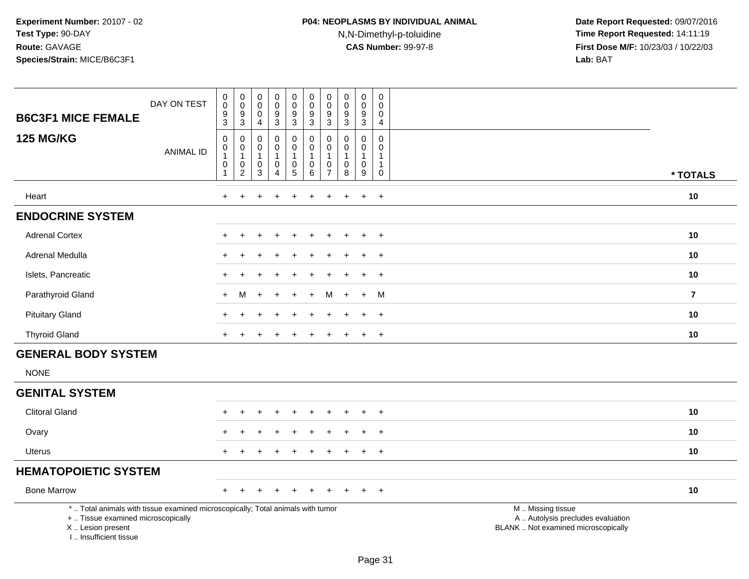| <b>B6C3F1 MICE FEMALE</b>                                                                                                                                           | DAY ON TEST      | $\begin{smallmatrix}0\0\0\end{smallmatrix}$<br>$\overline{9}$<br>$\mathbf{3}$       | $\begin{smallmatrix} 0\\0 \end{smallmatrix}$<br>$\frac{9}{3}$     | 0<br>0<br>$\mathbf 0$<br>$\overline{4}$                           | $_{\rm 0}^{\rm 0}$<br>$\overline{9}$<br>$\mathsf 3$                       | $\begin{smallmatrix}0\0\0\end{smallmatrix}$<br>$\boldsymbol{9}$<br>3 | $\pmb{0}$<br>$\mathbf 0$<br>$9\,$<br>3                         | $\pmb{0}$<br>0<br>$\boldsymbol{9}$<br>3       | $\pmb{0}$<br>$\mathbf 0$<br>$\boldsymbol{9}$<br>$\mathbf{3}$ | $\pmb{0}$<br>$\pmb{0}$<br>$\overline{9}$<br>$\mathbf{3}$         | $\mathbf 0$<br>$\mathbf 0$<br>$\mathbf 0$<br>$\overline{4}$               |                                                                                               |                         |
|---------------------------------------------------------------------------------------------------------------------------------------------------------------------|------------------|-------------------------------------------------------------------------------------|-------------------------------------------------------------------|-------------------------------------------------------------------|---------------------------------------------------------------------------|----------------------------------------------------------------------|----------------------------------------------------------------|-----------------------------------------------|--------------------------------------------------------------|------------------------------------------------------------------|---------------------------------------------------------------------------|-----------------------------------------------------------------------------------------------|-------------------------|
| <b>125 MG/KG</b>                                                                                                                                                    | <b>ANIMAL ID</b> | $\pmb{0}$<br>$\begin{smallmatrix}0\1\end{smallmatrix}$<br>$\pmb{0}$<br>$\mathbf{1}$ | $\mathbf 0$<br>$\mathbf 0$<br>$\mathbf{1}$<br>0<br>$\overline{2}$ | $\mathbf 0$<br>$\mathbf 0$<br>$\overline{1}$<br>0<br>$\mathbf{3}$ | $\mathbf 0$<br>$\mathbf 0$<br>$\mathbf{1}$<br>$\pmb{0}$<br>$\overline{4}$ | 0<br>$\mathbf 0$<br>$\mathbf{1}$<br>$\pmb{0}$<br>$\overline{5}$      | $\mathbf 0$<br>$\mathbf 0$<br>$\mathbf{1}$<br>$\mathbf 0$<br>6 | 0<br>0<br>$\mathbf{1}$<br>0<br>$\overline{7}$ | $\Omega$<br>0<br>$\mathbf{1}$<br>0<br>$\,8\,$                | $\mathbf 0$<br>$\mathbf 0$<br>$\mathbf{1}$<br>$\pmb{0}$<br>$9\,$ | $\mathbf 0$<br>$\mathbf 0$<br>$\mathbf{1}$<br>$\mathbf{1}$<br>$\mathbf 0$ |                                                                                               | * TOTALS                |
| Heart                                                                                                                                                               |                  | $+$                                                                                 | $\ddot{}$                                                         | +                                                                 |                                                                           | $\ddot{}$                                                            | $\div$                                                         | $\ddot{}$                                     | $\ddot{}$                                                    | $\ddot{}$                                                        | $+$                                                                       |                                                                                               | 10                      |
| <b>ENDOCRINE SYSTEM</b>                                                                                                                                             |                  |                                                                                     |                                                                   |                                                                   |                                                                           |                                                                      |                                                                |                                               |                                                              |                                                                  |                                                                           |                                                                                               |                         |
| <b>Adrenal Cortex</b>                                                                                                                                               |                  |                                                                                     |                                                                   |                                                                   |                                                                           |                                                                      |                                                                |                                               |                                                              |                                                                  | $\overline{+}$                                                            |                                                                                               | 10                      |
| Adrenal Medulla                                                                                                                                                     |                  |                                                                                     |                                                                   |                                                                   |                                                                           |                                                                      |                                                                |                                               |                                                              |                                                                  | $\overline{+}$                                                            |                                                                                               | 10                      |
| Islets, Pancreatic                                                                                                                                                  |                  |                                                                                     | ÷.                                                                |                                                                   |                                                                           |                                                                      |                                                                |                                               |                                                              | $\ddot{}$                                                        | $+$                                                                       |                                                                                               | 10                      |
| Parathyroid Gland                                                                                                                                                   |                  | $+$                                                                                 | м                                                                 | ÷                                                                 |                                                                           | $\div$                                                               | $\ddot{}$                                                      | м                                             | $+$                                                          | $\ddot{}$                                                        | M                                                                         |                                                                                               | $\overline{\mathbf{z}}$ |
| <b>Pituitary Gland</b>                                                                                                                                              |                  |                                                                                     |                                                                   |                                                                   |                                                                           |                                                                      |                                                                |                                               |                                                              | $\div$                                                           | $\ddot{}$                                                                 |                                                                                               | 10                      |
| <b>Thyroid Gland</b>                                                                                                                                                |                  |                                                                                     |                                                                   |                                                                   |                                                                           |                                                                      |                                                                |                                               |                                                              |                                                                  | $\ddot{}$                                                                 |                                                                                               | 10                      |
| <b>GENERAL BODY SYSTEM</b>                                                                                                                                          |                  |                                                                                     |                                                                   |                                                                   |                                                                           |                                                                      |                                                                |                                               |                                                              |                                                                  |                                                                           |                                                                                               |                         |
| <b>NONE</b>                                                                                                                                                         |                  |                                                                                     |                                                                   |                                                                   |                                                                           |                                                                      |                                                                |                                               |                                                              |                                                                  |                                                                           |                                                                                               |                         |
| <b>GENITAL SYSTEM</b>                                                                                                                                               |                  |                                                                                     |                                                                   |                                                                   |                                                                           |                                                                      |                                                                |                                               |                                                              |                                                                  |                                                                           |                                                                                               |                         |
| <b>Clitoral Gland</b>                                                                                                                                               |                  |                                                                                     |                                                                   |                                                                   |                                                                           |                                                                      |                                                                |                                               |                                                              | $\div$                                                           | $+$                                                                       |                                                                                               | 10                      |
| Ovary                                                                                                                                                               |                  |                                                                                     |                                                                   |                                                                   |                                                                           |                                                                      |                                                                |                                               |                                                              |                                                                  |                                                                           |                                                                                               | 10                      |
| <b>Uterus</b>                                                                                                                                                       |                  |                                                                                     | $\ddot{}$                                                         |                                                                   |                                                                           |                                                                      |                                                                |                                               |                                                              | $\ddot{}$                                                        | $+$                                                                       |                                                                                               | 10                      |
| <b>HEMATOPOIETIC SYSTEM</b>                                                                                                                                         |                  |                                                                                     |                                                                   |                                                                   |                                                                           |                                                                      |                                                                |                                               |                                                              |                                                                  |                                                                           |                                                                                               |                         |
| <b>Bone Marrow</b>                                                                                                                                                  |                  |                                                                                     |                                                                   |                                                                   |                                                                           |                                                                      |                                                                |                                               |                                                              |                                                                  | $+$                                                                       |                                                                                               | 10                      |
| *  Total animals with tissue examined microscopically; Total animals with tumor<br>+  Tissue examined microscopically<br>X  Lesion present<br>I Insufficient tissue |                  |                                                                                     |                                                                   |                                                                   |                                                                           |                                                                      |                                                                |                                               |                                                              |                                                                  |                                                                           | M  Missing tissue<br>A  Autolysis precludes evaluation<br>BLANK  Not examined microscopically |                         |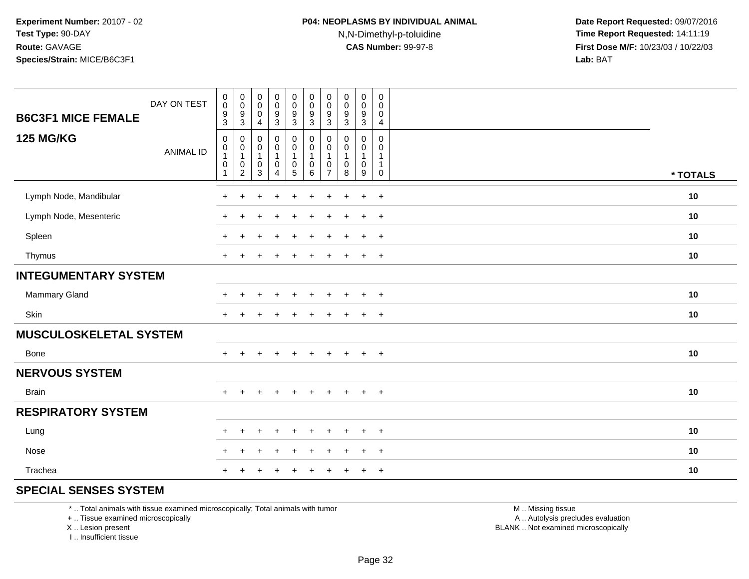**Date Report Requested:** 09/07/2016 **Time Report Requested:** 14:11:19 **First Dose M/F:** 10/23/03 / 10/22/03<br>**Lab:** BAT **Lab:** BAT

| <b>B6C3F1 MICE FEMALE</b>     | DAY ON TEST      | $\begin{smallmatrix}0\\0\end{smallmatrix}$<br>$^9_3$ | $\begin{smallmatrix} 0\\0 \end{smallmatrix}$<br>$\frac{9}{3}$                                             | $\pmb{0}$<br>$\overline{0}$<br>$\,0\,$<br>$\overline{4}$                | $\mathbf 0$<br>$\overline{0}$<br>$\boldsymbol{9}$<br>$\ensuremath{\mathsf{3}}$ | $\mathsf 0$<br>$\frac{0}{9}$<br>$\sqrt{3}$                                | $_{\rm 0}^{\rm 0}$<br>$\frac{9}{3}$                        | $\begin{smallmatrix} 0\\0 \end{smallmatrix}$<br>$\frac{9}{3}$   | $\mathbf 0$<br>$\pmb{0}$<br>9<br>$\sqrt{3}$          | $\mathbf 0$<br>$\pmb{0}$<br>9<br>$\mathbf{3}$ | 0<br>$\mathbf 0$<br>$\pmb{0}$<br>$\overline{4}$                                   |          |
|-------------------------------|------------------|------------------------------------------------------|-----------------------------------------------------------------------------------------------------------|-------------------------------------------------------------------------|--------------------------------------------------------------------------------|---------------------------------------------------------------------------|------------------------------------------------------------|-----------------------------------------------------------------|------------------------------------------------------|-----------------------------------------------|-----------------------------------------------------------------------------------|----------|
| <b>125 MG/KG</b>              | <b>ANIMAL ID</b> | 0<br>$\pmb{0}$<br>$\overline{1}$<br>$\pmb{0}$<br>1   | $\mathbf 0$<br>$\begin{smallmatrix}0\\1\end{smallmatrix}$<br>$\begin{smallmatrix} 0\\2 \end{smallmatrix}$ | $\pmb{0}$<br>$\pmb{0}$<br>$\overline{1}$<br>$\pmb{0}$<br>$\overline{3}$ | 0<br>$\mathsf 0$<br>$\mathbf{1}$<br>$\pmb{0}$<br>4                             | 0<br>$\mathbf 0$<br>$\mathbf{1}$<br>$\begin{array}{c} 0 \\ 5 \end{array}$ | $\mathbf 0$<br>$\pmb{0}$<br>$\mathbf{1}$<br>$\pmb{0}$<br>6 | 0<br>$\pmb{0}$<br>$\overline{1}$<br>$\pmb{0}$<br>$\overline{7}$ | 0<br>$\mathbf 0$<br>$\overline{1}$<br>$\pmb{0}$<br>8 | 0<br>0<br>1<br>$\pmb{0}$<br>9                 | $\mathbf 0$<br>$\mathbf 0$<br>$\mathbf{1}$<br>$\mathbf{1}$<br>$\mathsf{O}\xspace$ | * TOTALS |
| Lymph Node, Mandibular        |                  | $+$                                                  | $\pm$                                                                                                     | $\div$                                                                  | $\ddot{}$                                                                      | $\ddot{}$                                                                 | $\ddot{}$                                                  | $+$                                                             | $\ddot{}$                                            | $\ddot{}$                                     | $+$                                                                               | 10       |
| Lymph Node, Mesenteric        |                  | $+$                                                  |                                                                                                           |                                                                         | $\ddot{}$                                                                      | $\ddot{}$                                                                 | $\ddot{}$                                                  | +                                                               | $\div$                                               | $\ddot{}$                                     | $+$                                                                               | 10       |
| Spleen                        |                  | $+$                                                  | $+$                                                                                                       |                                                                         | $\div$                                                                         | $\ddot{}$                                                                 | $\ddot{}$                                                  | $\pm$                                                           | $\ddot{}$                                            | $\ddot{}$                                     | $+$                                                                               | 10       |
| Thymus                        |                  | $\ddot{}$                                            |                                                                                                           |                                                                         |                                                                                |                                                                           | $\ddot{}$                                                  |                                                                 |                                                      | $\ddot{}$                                     | $+$                                                                               | 10       |
| <b>INTEGUMENTARY SYSTEM</b>   |                  |                                                      |                                                                                                           |                                                                         |                                                                                |                                                                           |                                                            |                                                                 |                                                      |                                               |                                                                                   |          |
| Mammary Gland                 |                  | $\overline{+}$                                       | ÷                                                                                                         |                                                                         |                                                                                | ÷                                                                         | $\div$                                                     |                                                                 |                                                      | $\ddot{}$                                     | $^{+}$                                                                            | 10       |
| Skin                          |                  | $\pm$                                                |                                                                                                           |                                                                         |                                                                                |                                                                           | $\div$                                                     |                                                                 |                                                      | $\ddot{}$                                     | $\overline{+}$                                                                    | 10       |
| <b>MUSCULOSKELETAL SYSTEM</b> |                  |                                                      |                                                                                                           |                                                                         |                                                                                |                                                                           |                                                            |                                                                 |                                                      |                                               |                                                                                   |          |
| Bone                          |                  | $+$                                                  | $\ddot{}$                                                                                                 | $\ddot{}$                                                               | $+$                                                                            | $+$                                                                       | $+$                                                        | $+$                                                             | $+$                                                  | $+$                                           | $+$                                                                               | 10       |
| <b>NERVOUS SYSTEM</b>         |                  |                                                      |                                                                                                           |                                                                         |                                                                                |                                                                           |                                                            |                                                                 |                                                      |                                               |                                                                                   |          |
| <b>Brain</b>                  |                  | $+$                                                  |                                                                                                           |                                                                         | $\div$                                                                         |                                                                           | $\ddot{}$                                                  |                                                                 | $\div$                                               | $\ddot{}$                                     | $+$                                                                               | 10       |
| <b>RESPIRATORY SYSTEM</b>     |                  |                                                      |                                                                                                           |                                                                         |                                                                                |                                                                           |                                                            |                                                                 |                                                      |                                               |                                                                                   |          |
| Lung                          |                  | $\pm$                                                | ÷                                                                                                         |                                                                         |                                                                                |                                                                           |                                                            |                                                                 |                                                      | $\div$                                        | $^{+}$                                                                            | 10       |
| Nose                          |                  | ٠                                                    |                                                                                                           |                                                                         | ⊣                                                                              |                                                                           |                                                            |                                                                 |                                                      | $\ddot{}$                                     | $\overline{1}$                                                                    | 10       |
| Trachea                       |                  |                                                      |                                                                                                           |                                                                         |                                                                                |                                                                           |                                                            |                                                                 |                                                      | ÷                                             | $\overline{+}$                                                                    | 10       |

#### **SPECIAL SENSES SYSTEM**

\* .. Total animals with tissue examined microscopically; Total animals with tumor

+ .. Tissue examined microscopically

X .. Lesion present

I .. Insufficient tissue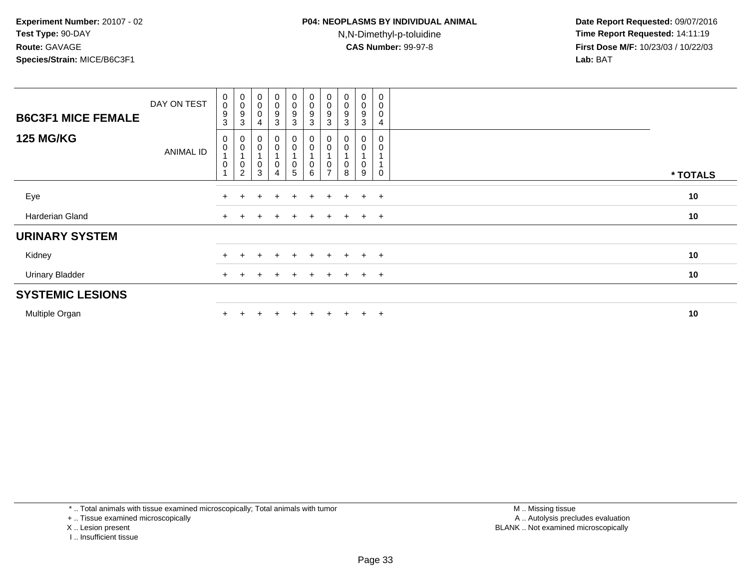| <b>B6C3F1 MICE FEMALE</b> | DAY ON TEST      | $_{\rm 0}^{\rm 0}$<br>9<br>3 | 0<br>0<br>9<br>3                                           | $_{\rm 0}^{\rm 0}$<br>$\mathbf 0$<br>4 | $\begin{smallmatrix} 0\\0 \end{smallmatrix}$<br>$\frac{9}{3}$               | $\begin{smallmatrix} 0\\0 \end{smallmatrix}$<br>$\boldsymbol{9}$<br>$\mathbf{3}$ | $\begin{smallmatrix} 0\\0 \end{smallmatrix}$<br>9<br>3 | $\begin{smallmatrix}0\\0\end{smallmatrix}$<br>9<br>3 | $_{\rm 0}^{\rm 0}$<br>$\boldsymbol{9}$<br>3 | $\mathbf 0$<br>$\mathsf 0$<br>9<br>3 | $\pmb{0}$<br>$\pmb{0}$<br>$\pmb{0}$<br>4 |          |  |
|---------------------------|------------------|------------------------------|------------------------------------------------------------|----------------------------------------|-----------------------------------------------------------------------------|----------------------------------------------------------------------------------|--------------------------------------------------------|------------------------------------------------------|---------------------------------------------|--------------------------------------|------------------------------------------|----------|--|
| <b>125 MG/KG</b>          | <b>ANIMAL ID</b> | 0<br>0<br>0                  | $_{\rm 0}^{\rm 0}$<br>$\overline{A}$<br>$^{\rm 0}_{\rm 2}$ | $_{\rm 0}^{\rm 0}$<br>0<br>3           | $\begin{smallmatrix} 0\\0 \end{smallmatrix}$<br>$\pmb{0}$<br>$\overline{4}$ | $\begin{matrix} 0 \\ 0 \\ 1 \end{matrix}$<br>$\pmb{0}$<br>5                      | 0<br>$\pmb{0}$<br>0<br>6                               | $\overline{ }$                                       | 0<br>0<br>0<br>8                            | 0<br>0<br>0<br>9                     | $\mathbf 0$<br>0<br>$\Omega$             | * TOTALS |  |
| Eye                       |                  | $\ddot{}$                    | $+$                                                        | $\ddot{}$                              | $\ddot{}$                                                                   | $\ddot{}$                                                                        | $\pm$                                                  | $+$                                                  | $\pm$                                       | $+$                                  | $+$                                      | 10       |  |
| Harderian Gland           |                  | $\ddot{}$                    |                                                            |                                        | $\pm$                                                                       |                                                                                  | +                                                      | $\pm$                                                | $\overline{+}$                              | $+$                                  | $+$                                      | 10       |  |
| <b>URINARY SYSTEM</b>     |                  |                              |                                                            |                                        |                                                                             |                                                                                  |                                                        |                                                      |                                             |                                      |                                          |          |  |
| Kidney                    |                  | $\ddot{}$                    |                                                            |                                        | $\div$                                                                      | $+$                                                                              |                                                        | $+$                                                  | $\ddot{}$                                   | $+$                                  | $+$                                      | 10       |  |
| <b>Urinary Bladder</b>    |                  | $+$                          | $+$                                                        | $\pm$                                  | $+$                                                                         | $+$                                                                              | $\pm$                                                  | $+$                                                  | $+$                                         | $+$ $+$                              |                                          | 10       |  |
| <b>SYSTEMIC LESIONS</b>   |                  |                              |                                                            |                                        |                                                                             |                                                                                  |                                                        |                                                      |                                             |                                      |                                          |          |  |
| Multiple Organ            |                  |                              |                                                            |                                        | $\div$                                                                      | $\div$                                                                           |                                                        |                                                      | $+$                                         | $+$                                  | $+$                                      | 10       |  |

\* .. Total animals with tissue examined microscopically; Total animals with tumor

+ .. Tissue examined microscopically

- X .. Lesion present
- I .. Insufficient tissue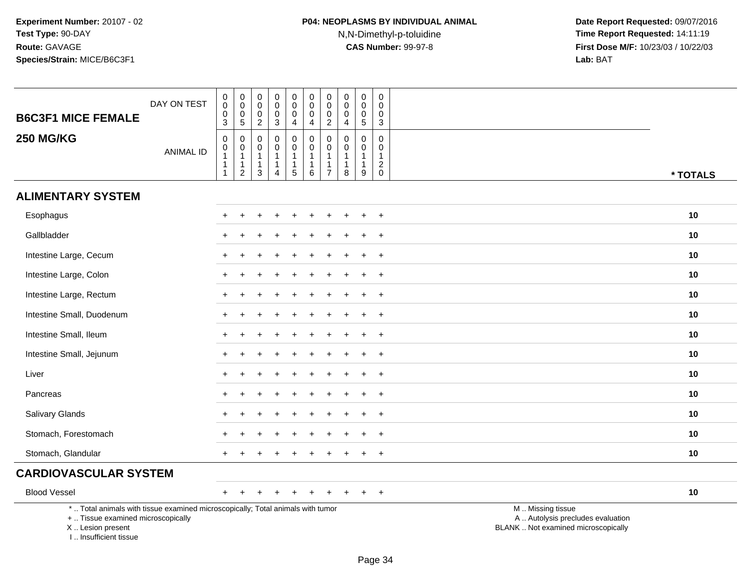# **P04: NEOPLASMS BY INDIVIDUAL ANIMAL**N,N-Dimethyl-p-toluidine

| <b>B6C3F1 MICE FEMALE</b>                                                                                                                                            | DAY ON TEST      | 0<br>$\ddot{\mathbf{0}}$<br>$\pmb{0}$<br>$\mathbf{3}$ | $_{\rm 0}^{\rm 0}$<br>$\pmb{0}$<br>$\sqrt{5}$                            | 0<br>$\mathbf 0$<br>0<br>$\overline{2}$                           | 0<br>$\mathbf 0$<br>$\mathbf 0$<br>$\ensuremath{\mathsf{3}}$                         | $\pmb{0}$<br>$\mathsf{O}\xspace$<br>0<br>4                          | $\pmb{0}$<br>$\mathbf 0$<br>0<br>4                      | $\pmb{0}$<br>$\pmb{0}$<br>$\pmb{0}$<br>$\overline{2}$              | $\pmb{0}$<br>$\mathbf 0$<br>0<br>$\overline{4}$                   | $\pmb{0}$<br>$\mathbf 0$<br>$\mathbf 0$<br>$\sqrt{5}$           | $\mathbf 0$<br>$\mathbf 0$<br>$\mathbf 0$<br>$\mathbf{3}$     |                                                                                               |
|----------------------------------------------------------------------------------------------------------------------------------------------------------------------|------------------|-------------------------------------------------------|--------------------------------------------------------------------------|-------------------------------------------------------------------|--------------------------------------------------------------------------------------|---------------------------------------------------------------------|---------------------------------------------------------|--------------------------------------------------------------------|-------------------------------------------------------------------|-----------------------------------------------------------------|---------------------------------------------------------------|-----------------------------------------------------------------------------------------------|
| <b>250 MG/KG</b>                                                                                                                                                     | <b>ANIMAL ID</b> | $\pmb{0}$<br>$\boldsymbol{0}$<br>$\mathbf{1}$<br>-1   | $\pmb{0}$<br>$\pmb{0}$<br>$\mathbf{1}$<br>$\mathbf{1}$<br>$\overline{2}$ | $\mathbf 0$<br>$\mathbf 0$<br>$\mathbf{1}$<br>$\overline{1}$<br>3 | $\mathbf 0$<br>$\mathbf 0$<br>$\mathbf{1}$<br>$\mathbf{1}$<br>$\boldsymbol{\Lambda}$ | $\mathbf 0$<br>$\mathsf{O}$<br>$\mathbf{1}$<br>1<br>$5\phantom{.0}$ | $\mathbf 0$<br>0<br>$\mathbf{1}$<br>$\overline{1}$<br>6 | $\mathbf 0$<br>$\mathbf 0$<br>$\mathbf{1}$<br>-1<br>$\overline{7}$ | $\mathbf 0$<br>$\mathbf 0$<br>$\overline{1}$<br>$\mathbf{1}$<br>8 | $\mathbf 0$<br>$\mathbf 0$<br>$\mathbf{1}$<br>$\mathbf{1}$<br>9 | $\mathbf 0$<br>0<br>$\mathbf{1}$<br>$\sqrt{2}$<br>$\mathbf 0$ | * TOTALS                                                                                      |
| <b>ALIMENTARY SYSTEM</b>                                                                                                                                             |                  |                                                       |                                                                          |                                                                   |                                                                                      |                                                                     |                                                         |                                                                    |                                                                   |                                                                 |                                                               |                                                                                               |
| Esophagus                                                                                                                                                            |                  | $\pm$                                                 |                                                                          |                                                                   |                                                                                      |                                                                     | ÷                                                       |                                                                    |                                                                   |                                                                 | $+$                                                           | 10                                                                                            |
| Gallbladder                                                                                                                                                          |                  |                                                       |                                                                          |                                                                   |                                                                                      |                                                                     |                                                         |                                                                    |                                                                   |                                                                 | $\overline{+}$                                                | 10                                                                                            |
| Intestine Large, Cecum                                                                                                                                               |                  |                                                       |                                                                          |                                                                   |                                                                                      |                                                                     |                                                         |                                                                    |                                                                   |                                                                 | $\ddot{}$                                                     | 10                                                                                            |
| Intestine Large, Colon                                                                                                                                               |                  | $+$                                                   |                                                                          |                                                                   |                                                                                      |                                                                     |                                                         |                                                                    |                                                                   |                                                                 | $+$                                                           | 10                                                                                            |
| Intestine Large, Rectum                                                                                                                                              |                  |                                                       |                                                                          |                                                                   |                                                                                      |                                                                     |                                                         |                                                                    |                                                                   |                                                                 | $\overline{+}$                                                | 10                                                                                            |
| Intestine Small, Duodenum                                                                                                                                            |                  |                                                       |                                                                          |                                                                   |                                                                                      |                                                                     |                                                         |                                                                    |                                                                   |                                                                 | $\ddot{}$                                                     | 10                                                                                            |
| Intestine Small, Ileum                                                                                                                                               |                  | $+$                                                   |                                                                          |                                                                   |                                                                                      |                                                                     |                                                         |                                                                    |                                                                   | $\div$                                                          | $+$                                                           | 10                                                                                            |
| Intestine Small, Jejunum                                                                                                                                             |                  | $+$                                                   |                                                                          |                                                                   |                                                                                      |                                                                     |                                                         |                                                                    |                                                                   |                                                                 | $+$                                                           | 10                                                                                            |
| Liver                                                                                                                                                                |                  |                                                       |                                                                          |                                                                   |                                                                                      |                                                                     |                                                         |                                                                    |                                                                   |                                                                 | $\overline{+}$                                                | 10                                                                                            |
| Pancreas                                                                                                                                                             |                  | $\pm$                                                 |                                                                          |                                                                   |                                                                                      |                                                                     |                                                         |                                                                    |                                                                   |                                                                 | $\ddot{}$                                                     | 10                                                                                            |
| Salivary Glands                                                                                                                                                      |                  |                                                       |                                                                          |                                                                   |                                                                                      |                                                                     |                                                         |                                                                    |                                                                   |                                                                 | $\overline{+}$                                                | 10                                                                                            |
| Stomach, Forestomach                                                                                                                                                 |                  |                                                       |                                                                          |                                                                   |                                                                                      |                                                                     |                                                         |                                                                    |                                                                   |                                                                 | $\ddot{}$                                                     | 10                                                                                            |
| Stomach, Glandular                                                                                                                                                   |                  | $\pm$                                                 |                                                                          |                                                                   |                                                                                      |                                                                     |                                                         |                                                                    |                                                                   |                                                                 | $+$                                                           | 10                                                                                            |
| <b>CARDIOVASCULAR SYSTEM</b>                                                                                                                                         |                  |                                                       |                                                                          |                                                                   |                                                                                      |                                                                     |                                                         |                                                                    |                                                                   |                                                                 |                                                               |                                                                                               |
| <b>Blood Vessel</b>                                                                                                                                                  |                  | $+$                                                   | $\ddot{}$                                                                | $+$                                                               | $\ddot{}$                                                                            | $\ddot{}$                                                           | $+$                                                     | $\pm$                                                              | $\div$                                                            | $\pm$                                                           | $+$                                                           | 10                                                                                            |
| *  Total animals with tissue examined microscopically; Total animals with tumor<br>+  Tissue examined microscopically<br>X  Lesion present<br>I  Insufficient tissue |                  |                                                       |                                                                          |                                                                   |                                                                                      |                                                                     |                                                         |                                                                    |                                                                   |                                                                 |                                                               | M  Missing tissue<br>A  Autolysis precludes evaluation<br>BLANK  Not examined microscopically |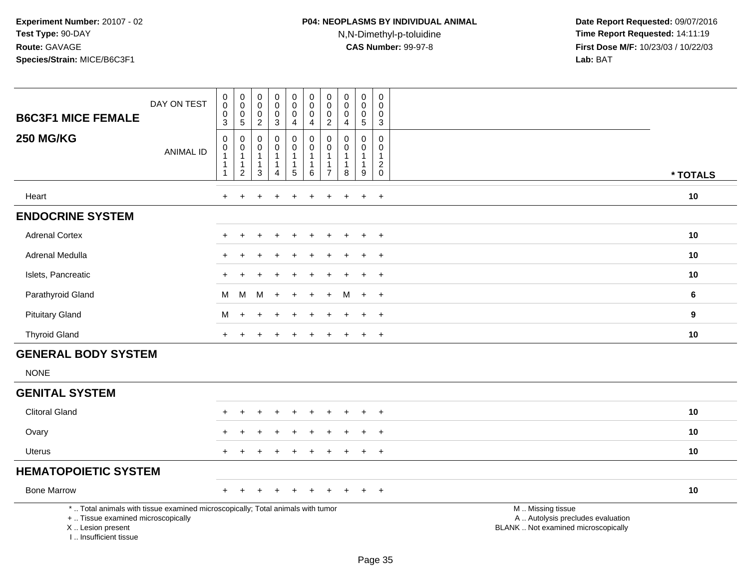| <b>B6C3F1 MICE FEMALE</b>                                                                                                                                           | DAY ON TEST      | $\begin{smallmatrix}0\0\0\end{smallmatrix}$<br>$\mathbf 0$<br>3                        | $_{\rm 0}^{\rm 0}$<br>$\mathsf{O}\xspace$<br>$\sqrt{5}$                           | $\mathbf 0$<br>$\mathbf 0$<br>0<br>$\overline{2}$ | $\pmb{0}$<br>$\mathbf 0$<br>$\pmb{0}$<br>$\mathbf{3}$                        | 0<br>$\mathbf 0$<br>$\pmb{0}$<br>$\overline{4}$           | $\mathbf 0$<br>$\mathbf 0$<br>$\mathbf 0$<br>4                        | 0<br>0<br>0<br>$\overline{c}$      | $\mathbf 0$<br>$\mathbf 0$<br>$\mathbf 0$<br>$\overline{\mathbf{4}}$ | $\pmb{0}$<br>0<br>$\mathsf{O}\xspace$<br>$\sqrt{5}$ | $\mathbf 0$<br>$\mathbf 0$<br>$\mathbf 0$<br>$\mathbf{3}$  |                                                                                               |          |
|---------------------------------------------------------------------------------------------------------------------------------------------------------------------|------------------|----------------------------------------------------------------------------------------|-----------------------------------------------------------------------------------|---------------------------------------------------|------------------------------------------------------------------------------|-----------------------------------------------------------|-----------------------------------------------------------------------|------------------------------------|----------------------------------------------------------------------|-----------------------------------------------------|------------------------------------------------------------|-----------------------------------------------------------------------------------------------|----------|
| <b>250 MG/KG</b>                                                                                                                                                    | <b>ANIMAL ID</b> | $\pmb{0}$<br>$\begin{smallmatrix}0\1\end{smallmatrix}$<br>$\mathbf{1}$<br>$\mathbf{1}$ | $\mathbf 0$<br>$\boldsymbol{0}$<br>$\mathbf{1}$<br>$\mathbf{1}$<br>$\overline{2}$ | $\mathbf 0$<br>0<br>-1<br>$\mathbf 1$<br>3        | $\mathbf 0$<br>$\pmb{0}$<br>$\overline{1}$<br>$\mathbf{1}$<br>$\overline{4}$ | $\mathbf 0$<br>0<br>$\mathbf{1}$<br>$\mathbf{1}$<br>$5\,$ | $\mathbf 0$<br>$\mathbf 0$<br>$\mathbf{1}$<br>$\mathbf{1}$<br>$\,6\,$ | 0<br>0<br>1<br>1<br>$\overline{7}$ | $\Omega$<br>0<br>$\mathbf{1}$<br>$\overline{1}$<br>8                 | $\mathbf 0$<br>0<br>$\mathbf 1$<br>1<br>9           | $\mathbf 0$<br>$\mathbf 0$<br>$\mathbf{1}$<br>$^2_{\rm 0}$ |                                                                                               | * TOTALS |
| Heart                                                                                                                                                               |                  | $\ddot{}$                                                                              | $\ddot{}$                                                                         |                                                   |                                                                              | ÷.                                                        |                                                                       | ÷.                                 | ÷                                                                    | $\ddot{}$                                           | $+$                                                        |                                                                                               | 10       |
| <b>ENDOCRINE SYSTEM</b>                                                                                                                                             |                  |                                                                                        |                                                                                   |                                                   |                                                                              |                                                           |                                                                       |                                    |                                                                      |                                                     |                                                            |                                                                                               |          |
| <b>Adrenal Cortex</b>                                                                                                                                               |                  |                                                                                        |                                                                                   |                                                   |                                                                              |                                                           |                                                                       |                                    |                                                                      |                                                     | $\overline{1}$                                             |                                                                                               | 10       |
| Adrenal Medulla                                                                                                                                                     |                  |                                                                                        |                                                                                   |                                                   |                                                                              |                                                           |                                                                       |                                    |                                                                      |                                                     | $\ddot{}$                                                  |                                                                                               | 10       |
| Islets, Pancreatic                                                                                                                                                  |                  |                                                                                        |                                                                                   |                                                   |                                                                              |                                                           |                                                                       |                                    |                                                                      | $\ddot{}$                                           | $\overline{+}$                                             |                                                                                               | 10       |
| Parathyroid Gland                                                                                                                                                   |                  | M                                                                                      | M                                                                                 | м                                                 |                                                                              |                                                           |                                                                       |                                    | м                                                                    | $\ddot{}$                                           | $+$                                                        |                                                                                               | 6        |
| <b>Pituitary Gland</b>                                                                                                                                              |                  | М                                                                                      | $\ddot{}$                                                                         |                                                   |                                                                              |                                                           |                                                                       |                                    |                                                                      | $\ddot{}$                                           | $\ddot{}$                                                  |                                                                                               | 9        |
| <b>Thyroid Gland</b>                                                                                                                                                |                  |                                                                                        |                                                                                   |                                                   |                                                                              |                                                           |                                                                       |                                    |                                                                      | $\div$                                              | $\ddot{}$                                                  |                                                                                               | 10       |
| <b>GENERAL BODY SYSTEM</b>                                                                                                                                          |                  |                                                                                        |                                                                                   |                                                   |                                                                              |                                                           |                                                                       |                                    |                                                                      |                                                     |                                                            |                                                                                               |          |
| <b>NONE</b>                                                                                                                                                         |                  |                                                                                        |                                                                                   |                                                   |                                                                              |                                                           |                                                                       |                                    |                                                                      |                                                     |                                                            |                                                                                               |          |
| <b>GENITAL SYSTEM</b>                                                                                                                                               |                  |                                                                                        |                                                                                   |                                                   |                                                                              |                                                           |                                                                       |                                    |                                                                      |                                                     |                                                            |                                                                                               |          |
| <b>Clitoral Gland</b>                                                                                                                                               |                  |                                                                                        |                                                                                   |                                                   |                                                                              |                                                           |                                                                       |                                    |                                                                      | ÷                                                   | $\ddot{}$                                                  |                                                                                               | 10       |
| Ovary                                                                                                                                                               |                  |                                                                                        |                                                                                   |                                                   |                                                                              |                                                           |                                                                       |                                    |                                                                      |                                                     | $\overline{1}$                                             |                                                                                               | 10       |
| <b>Uterus</b>                                                                                                                                                       |                  | $+$                                                                                    | $\pm$                                                                             |                                                   |                                                                              |                                                           |                                                                       |                                    |                                                                      | $\ddot{}$                                           | $\overline{+}$                                             |                                                                                               | 10       |
| <b>HEMATOPOIETIC SYSTEM</b>                                                                                                                                         |                  |                                                                                        |                                                                                   |                                                   |                                                                              |                                                           |                                                                       |                                    |                                                                      |                                                     |                                                            |                                                                                               |          |
| <b>Bone Marrow</b>                                                                                                                                                  |                  |                                                                                        |                                                                                   |                                                   |                                                                              |                                                           |                                                                       |                                    |                                                                      | $\ddot{}$                                           | $+$                                                        |                                                                                               | 10       |
| *  Total animals with tissue examined microscopically; Total animals with tumor<br>+  Tissue examined microscopically<br>X  Lesion present<br>I Insufficient tissue |                  |                                                                                        |                                                                                   |                                                   |                                                                              |                                                           |                                                                       |                                    |                                                                      |                                                     |                                                            | M  Missing tissue<br>A  Autolysis precludes evaluation<br>BLANK  Not examined microscopically |          |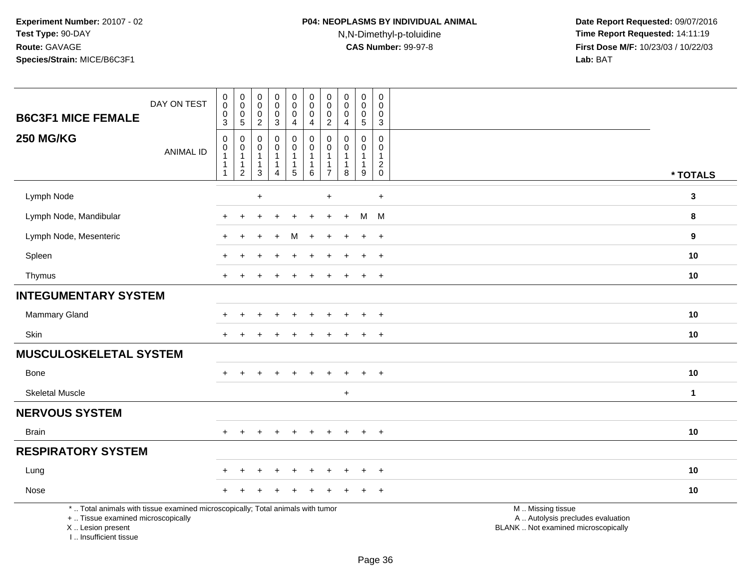| DAY ON TEST<br><b>B6C3F1 MICE FEMALE</b>                                                                                                   | $\,0\,$<br>$\mathbf 0$<br>$\mathbf 0$<br>$\mathbf{3}$                                | 0<br>$\pmb{0}$<br>0<br>$\overline{5}$         | $\boldsymbol{0}$<br>$\pmb{0}$<br>$\pmb{0}$<br>$\overline{c}$ | $\pmb{0}$<br>$\pmb{0}$<br>$_{3}^{\rm 0}$                                           | $\mathbf 0$<br>$\pmb{0}$<br>$\mathbf 0$<br>4                     | $\pmb{0}$<br>$\mathbf 0$<br>$\pmb{0}$<br>4                        | $\pmb{0}$<br>$\mathbf 0$<br>0<br>$\overline{2}$         | $\pmb{0}$<br>$\pmb{0}$<br>$\pmb{0}$<br>$\overline{\mathbf{4}}$  | $\pmb{0}$<br>$\mathbf 0$<br>$\mathbf 0$<br>$\overline{5}$       | $\mathsf 0$<br>$\mathbf 0$<br>$\pmb{0}$<br>$\overline{3}$         |                                                                                               |              |
|--------------------------------------------------------------------------------------------------------------------------------------------|--------------------------------------------------------------------------------------|-----------------------------------------------|--------------------------------------------------------------|------------------------------------------------------------------------------------|------------------------------------------------------------------|-------------------------------------------------------------------|---------------------------------------------------------|-----------------------------------------------------------------|-----------------------------------------------------------------|-------------------------------------------------------------------|-----------------------------------------------------------------------------------------------|--------------|
| <b>250 MG/KG</b><br><b>ANIMAL ID</b>                                                                                                       | $\boldsymbol{0}$<br>$\boldsymbol{0}$<br>$\mathbf{1}$<br>$\mathbf{1}$<br>$\mathbf{1}$ | 0<br>0<br>1<br>$\mathbf{1}$<br>$\overline{2}$ | 0<br>0<br>$\overline{1}$<br>$\mathbf{1}$<br>$\mathbf{3}$     | $\pmb{0}$<br>$\mathbf 0$<br>$\mathbf{1}$<br>$\mathbf{1}$<br>$\boldsymbol{\Lambda}$ | 0<br>$\mathbf 0$<br>$\overline{1}$<br>$\mathbf{1}$<br>$\sqrt{5}$ | $\pmb{0}$<br>$\pmb{0}$<br>$\mathbf{1}$<br>$\mathbf{1}$<br>$\,6\,$ | 0<br>$\mathbf 0$<br>1<br>$\mathbf{1}$<br>$\overline{7}$ | 0<br>0<br>$\mathbf{1}$<br>$\begin{array}{c} 1 \\ 8 \end{array}$ | $\mathbf 0$<br>$\mathbf 0$<br>$\mathbf{1}$<br>$\mathbf{1}$<br>9 | 0<br>$\mathbf 0$<br>$\mathbf{1}$<br>$\overline{c}$<br>$\mathbf 0$ |                                                                                               | * TOTALS     |
| Lymph Node                                                                                                                                 |                                                                                      |                                               | $\ddot{}$                                                    |                                                                                    |                                                                  |                                                                   | $\ddot{}$                                               |                                                                 |                                                                 | $\ddot{}$                                                         |                                                                                               | $\mathbf{3}$ |
| Lymph Node, Mandibular                                                                                                                     |                                                                                      |                                               |                                                              |                                                                                    |                                                                  |                                                                   |                                                         |                                                                 | M                                                               | M                                                                 |                                                                                               | 8            |
| Lymph Node, Mesenteric                                                                                                                     |                                                                                      |                                               |                                                              |                                                                                    | M                                                                |                                                                   |                                                         |                                                                 | $\ddot{}$                                                       | $+$                                                               |                                                                                               | 9            |
| Spleen                                                                                                                                     |                                                                                      |                                               |                                                              |                                                                                    |                                                                  |                                                                   |                                                         |                                                                 | $\ddot{}$                                                       | $+$                                                               |                                                                                               | 10           |
| Thymus                                                                                                                                     | $\pm$                                                                                |                                               |                                                              |                                                                                    |                                                                  |                                                                   |                                                         |                                                                 | $\ddot{}$                                                       | $+$                                                               |                                                                                               | 10           |
| <b>INTEGUMENTARY SYSTEM</b>                                                                                                                |                                                                                      |                                               |                                                              |                                                                                    |                                                                  |                                                                   |                                                         |                                                                 |                                                                 |                                                                   |                                                                                               |              |
| Mammary Gland                                                                                                                              |                                                                                      |                                               |                                                              |                                                                                    |                                                                  |                                                                   |                                                         |                                                                 |                                                                 | $\ddot{}$                                                         |                                                                                               | 10           |
| Skin                                                                                                                                       | $\pm$                                                                                | $\ddot{}$                                     |                                                              |                                                                                    |                                                                  |                                                                   |                                                         |                                                                 | $+$                                                             | $+$                                                               |                                                                                               | 10           |
| <b>MUSCULOSKELETAL SYSTEM</b>                                                                                                              |                                                                                      |                                               |                                                              |                                                                                    |                                                                  |                                                                   |                                                         |                                                                 |                                                                 |                                                                   |                                                                                               |              |
| Bone                                                                                                                                       | $+$                                                                                  | $\ddot{}$                                     |                                                              |                                                                                    |                                                                  |                                                                   |                                                         |                                                                 | $\ddot{}$                                                       | $\overline{+}$                                                    |                                                                                               | 10           |
| <b>Skeletal Muscle</b>                                                                                                                     |                                                                                      |                                               |                                                              |                                                                                    |                                                                  |                                                                   |                                                         | $\ddot{}$                                                       |                                                                 |                                                                   |                                                                                               | $\mathbf{1}$ |
| <b>NERVOUS SYSTEM</b>                                                                                                                      |                                                                                      |                                               |                                                              |                                                                                    |                                                                  |                                                                   |                                                         |                                                                 |                                                                 |                                                                   |                                                                                               |              |
| <b>Brain</b>                                                                                                                               | $\pm$                                                                                | $\ddot{}$                                     |                                                              |                                                                                    | $\ddot{}$                                                        | $\ddot{}$                                                         | $\ddot{}$                                               |                                                                 | $\ddot{}$                                                       | $+$                                                               |                                                                                               | 10           |
| <b>RESPIRATORY SYSTEM</b>                                                                                                                  |                                                                                      |                                               |                                                              |                                                                                    |                                                                  |                                                                   |                                                         |                                                                 |                                                                 |                                                                   |                                                                                               |              |
| Lung                                                                                                                                       |                                                                                      |                                               |                                                              |                                                                                    |                                                                  |                                                                   |                                                         |                                                                 |                                                                 | $\ddot{}$                                                         |                                                                                               | 10           |
| Nose                                                                                                                                       |                                                                                      |                                               |                                                              |                                                                                    |                                                                  |                                                                   |                                                         |                                                                 |                                                                 | $+$                                                               |                                                                                               | 10           |
| *  Total animals with tissue examined microscopically; Total animals with tumor<br>+  Tissue examined microscopically<br>X  Lesion present |                                                                                      |                                               |                                                              |                                                                                    |                                                                  |                                                                   |                                                         |                                                                 |                                                                 |                                                                   | M  Missing tissue<br>A  Autolysis precludes evaluation<br>BLANK  Not examined microscopically |              |